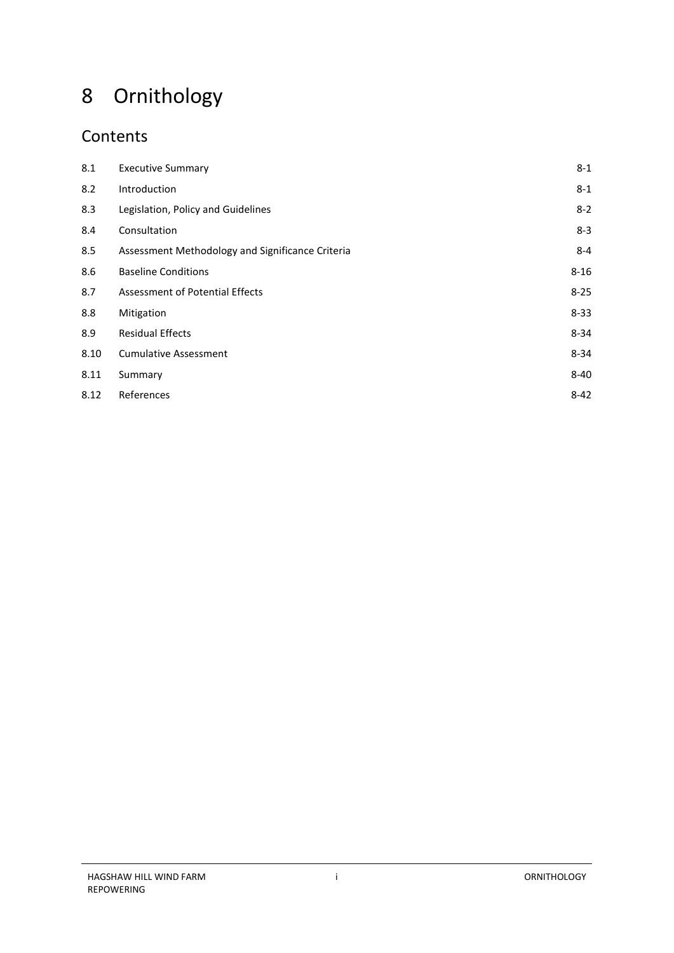# 8 Ornithology

# **Contents**

| 8.1  | <b>Executive Summary</b>                         | $8 - 1$  |
|------|--------------------------------------------------|----------|
| 8.2  | Introduction                                     | $8 - 1$  |
| 8.3  | Legislation, Policy and Guidelines               | $8 - 2$  |
| 8.4  | Consultation                                     | $8 - 3$  |
| 8.5  | Assessment Methodology and Significance Criteria | $8 - 4$  |
| 8.6  | <b>Baseline Conditions</b>                       | $8 - 16$ |
| 8.7  | <b>Assessment of Potential Effects</b>           | $8 - 25$ |
| 8.8  | Mitigation                                       | $8 - 33$ |
| 8.9  | <b>Residual Effects</b>                          | $8 - 34$ |
| 8.10 | <b>Cumulative Assessment</b>                     | $8 - 34$ |
| 8.11 | Summary                                          | $8 - 40$ |
| 8.12 | References                                       | $8 - 42$ |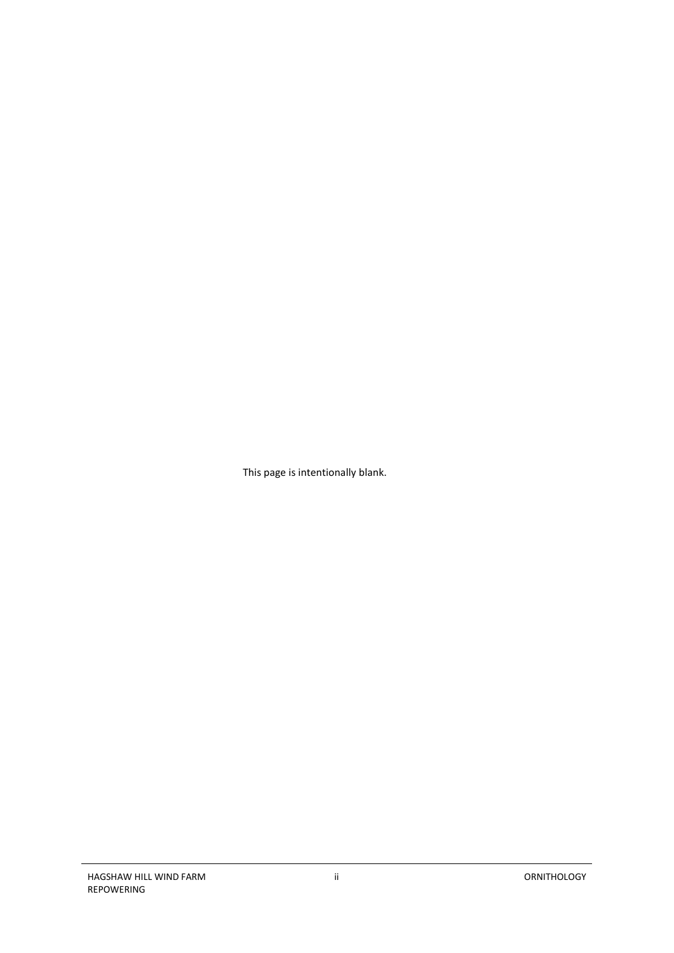This page is intentionally blank.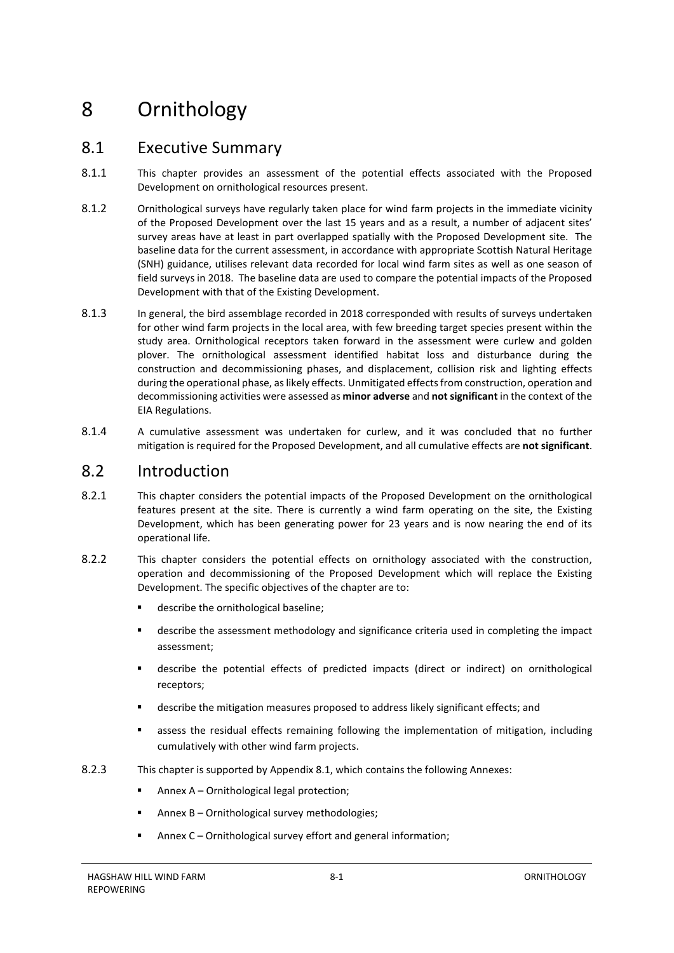# 8 Ornithology

# <span id="page-2-0"></span>8.1 Executive Summary

- 8.1.1 This chapter provides an assessment of the potential effects associated with the Proposed Development on ornithological resources present.
- 8.1.2 Ornithological surveys have regularly taken place for wind farm projects in the immediate vicinity of the Proposed Development over the last 15 years and as a result, a number of adjacent sites' survey areas have at least in part overlapped spatially with the Proposed Development site. The baseline data for the current assessment, in accordance with appropriate Scottish Natural Heritage (SNH) guidance, utilises relevant data recorded for local wind farm sites as well as one season of field surveys in 2018. The baseline data are used to compare the potential impacts of the Proposed Development with that of the Existing Development.
- 8.1.3 In general, the bird assemblage recorded in 2018 corresponded with results of surveys undertaken for other wind farm projects in the local area, with few breeding target species present within the study area. Ornithological receptors taken forward in the assessment were curlew and golden plover. The ornithological assessment identified habitat loss and disturbance during the construction and decommissioning phases, and displacement, collision risk and lighting effects during the operational phase, as likely effects. Unmitigated effects from construction, operation and decommissioning activities were assessed as **minor adverse** and **not significant** in the context of the EIA Regulations.
- 8.1.4 A cumulative assessment was undertaken for curlew, and it was concluded that no further mitigation is required for the Proposed Development, and all cumulative effects are **not significant**.

# <span id="page-2-1"></span>8.2 Introduction

- 8.2.1 This chapter considers the potential impacts of the Proposed Development on the ornithological features present at the site. There is currently a wind farm operating on the site, the Existing Development, which has been generating power for 23 years and is now nearing the end of its operational life.
- 8.2.2 This chapter considers the potential effects on ornithology associated with the construction, operation and decommissioning of the Proposed Development which will replace the Existing Development. The specific objectives of the chapter are to:
	- describe the ornithological baseline;
	- **•** describe the assessment methodology and significance criteria used in completing the impact assessment;
	- describe the potential effects of predicted impacts (direct or indirect) on ornithological receptors;
	- describe the mitigation measures proposed to address likely significant effects; and
	- assess the residual effects remaining following the implementation of mitigation, including cumulatively with other wind farm projects.
- 8.2.3 This chapter is supported by Appendix 8.1, which contains the following Annexes:
	- Annex A Ornithological legal protection;
	- Annex B Ornithological survey methodologies;
	- Annex C Ornithological survey effort and general information;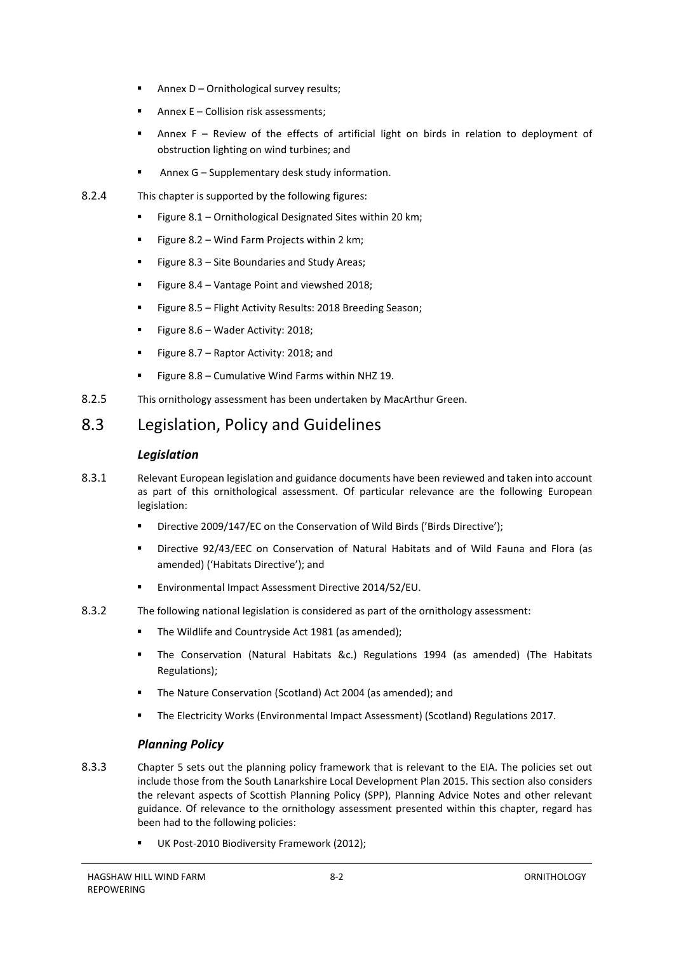- Annex D Ornithological survey results;
- Annex E Collision risk assessments;
- Annex F Review of the effects of artificial light on birds in relation to deployment of obstruction lighting on wind turbines; and
- Annex G Supplementary desk study information.
- 8.2.4 This chapter is supported by the following figures:
	- Figure 8.1 Ornithological Designated Sites within 20 km;
	- **Figure 8.2 Wind Farm Projects within 2 km;**
	- **Figure 8.3 Site Boundaries and Study Areas;**
	- **Figure 8.4 Vantage Point and viewshed 2018;**
	- **Figure 8.5 Flight Activity Results: 2018 Breeding Season;**
	- Figure  $8.6 -$  Wader Activity: 2018;
	- Figure 8.7 Raptor Activity: 2018; and
	- Figure  $8.8$  Cumulative Wind Farms within NHZ 19.
- 8.2.5 This ornithology assessment has been undertaken by MacArthur Green.

# <span id="page-3-0"></span>8.3 Legislation, Policy and Guidelines

# *Legislation*

- 8.3.1 Relevant European legislation and guidance documents have been reviewed and taken into account as part of this ornithological assessment. Of particular relevance are the following European legislation:
	- Directive 2009/147/EC on the Conservation of Wild Birds ('Birds Directive');
	- Directive 92/43/EEC on Conservation of Natural Habitats and of Wild Fauna and Flora (as amended) ('Habitats Directive'); and
	- **Environmental Impact Assessment Directive 2014/52/EU.**
- 8.3.2 The following national legislation is considered as part of the ornithology assessment:
	- **The Wildlife and Countryside Act 1981 (as amended);**
	- The Conservation (Natural Habitats &c.) Regulations 1994 (as amended) (The Habitats Regulations);
	- The Nature Conservation (Scotland) Act 2004 (as amended); and
	- The Electricity Works (Environmental Impact Assessment) (Scotland) Regulations 2017.

# *Planning Policy*

- 8.3.3 Chapter 5 sets out the planning policy framework that is relevant to the EIA. The policies set out include those from the South Lanarkshire Local Development Plan 2015. This section also considers the relevant aspects of Scottish Planning Policy (SPP), Planning Advice Notes and other relevant guidance. Of relevance to the ornithology assessment presented within this chapter, regard has been had to the following policies:
	- UK Post-2010 Biodiversity Framework (2012);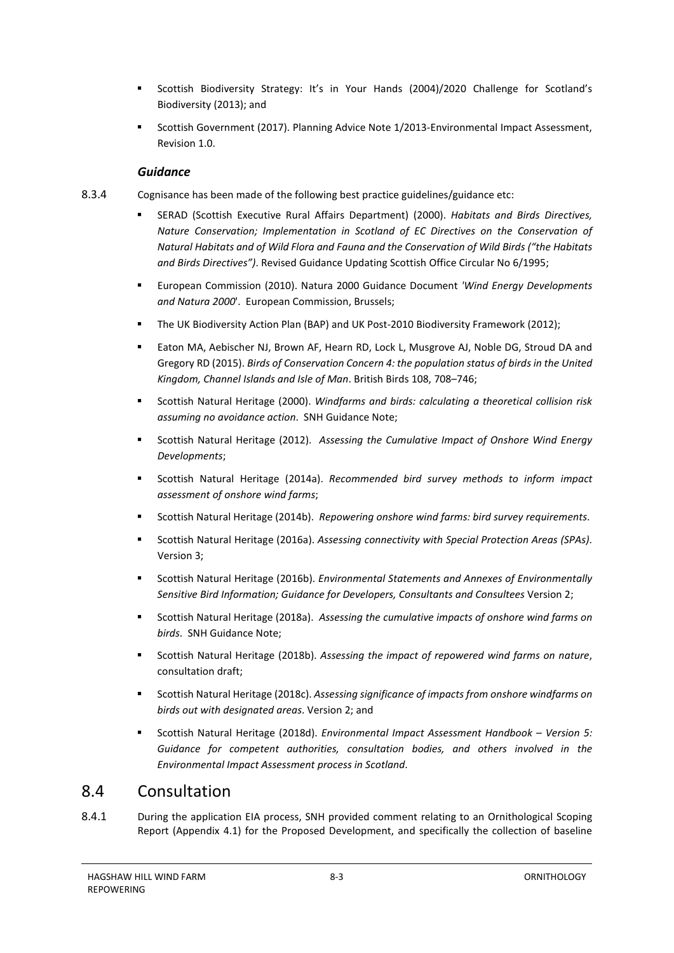- Scottish Biodiversity Strategy: It's in Your Hands (2004)/2020 Challenge for Scotland's Biodiversity (2013); and
- Scottish Government (2017). Planning Advice Note 1/2013-Environmental Impact Assessment, Revision 1.0.

# *Guidance*

- 8.3.4 Cognisance has been made of the following best practice guidelines/guidance etc:
	- SERAD (Scottish Executive Rural Affairs Department) (2000). *Habitats and Birds Directives, Nature Conservation; Implementation in Scotland of EC Directives on the Conservation of Natural Habitats and of Wild Flora and Fauna and the Conservation of Wild Birds ("the Habitats and Birds Directives")*. Revised Guidance Updating Scottish Office Circular No 6/1995;
	- European Commission (2010). Natura 2000 Guidance Document *'Wind Energy Developments and Natura 2000*'. European Commission, Brussels;
	- The UK Biodiversity Action Plan (BAP) and UK Post-2010 Biodiversity Framework (2012);
	- Eaton MA, Aebischer NJ, Brown AF, Hearn RD, Lock L, Musgrove AJ, Noble DG, Stroud DA and Gregory RD (2015). *Birds of Conservation Concern 4: the population status of birds in the United Kingdom, Channel Islands and Isle of Man*. British Birds 108, 708–746;
	- Scottish Natural Heritage (2000). *Windfarms and birds: calculating a theoretical collision risk assuming no avoidance action*. SNH Guidance Note;
	- Scottish Natural Heritage (2012). *Assessing the Cumulative Impact of Onshore Wind Energy Developments*;
	- Scottish Natural Heritage (2014a). *Recommended bird survey methods to inform impact assessment of onshore wind farms*;
	- Scottish Natural Heritage (2014b). *Repowering onshore wind farms: bird survey requirements*.
	- Scottish Natural Heritage (2016a). *Assessing connectivity with Special Protection Areas (SPAs)*. Version 3;
	- Scottish Natural Heritage (2016b). *Environmental Statements and Annexes of Environmentally Sensitive Bird Information; Guidance for Developers, Consultants and Consultees* Version 2;
	- Scottish Natural Heritage (2018a). *Assessing the cumulative impacts of onshore wind farms on birds*. SNH Guidance Note;
	- Scottish Natural Heritage (2018b). *Assessing the impact of repowered wind farms on nature*, consultation draft;
	- Scottish Natural Heritage (2018c). *Assessing significance of impacts from onshore windfarms on birds out with designated areas*. Version 2; and
	- Scottish Natural Heritage (2018d). *Environmental Impact Assessment Handbook – Version 5: Guidance for competent authorities, consultation bodies, and others involved in the Environmental Impact Assessment process in Scotland*.

# <span id="page-4-0"></span>8.4 Consultation

8.4.1 During the application EIA process, SNH provided comment relating to an Ornithological Scoping Report (Appendix 4.1) for the Proposed Development, and specifically the collection of baseline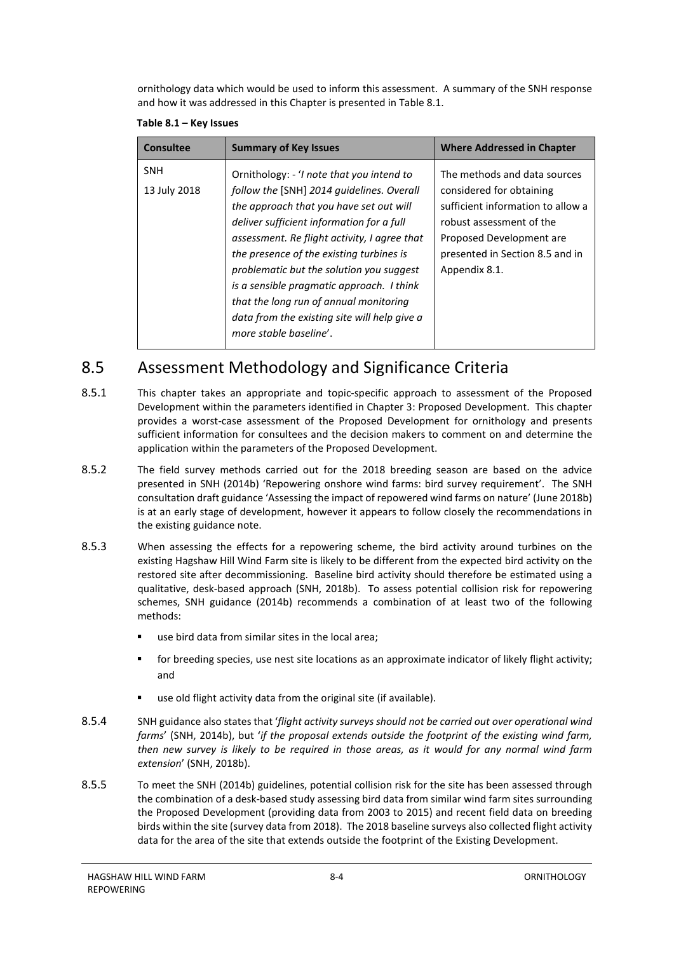ornithology data which would be used to inform this assessment. A summary of the SNH response and how it was addressed in this Chapter is presented in Table 8.1.

| Table 8.1 – Key Issues |  |  |  |  |  |  |
|------------------------|--|--|--|--|--|--|
|------------------------|--|--|--|--|--|--|

| <b>Consultee</b>           | <b>Summary of Key Issues</b>                                                                                                                                                                                                                                                                                                                                                                                                                                                            | <b>Where Addressed in Chapter</b>                                                                                                                                                                         |
|----------------------------|-----------------------------------------------------------------------------------------------------------------------------------------------------------------------------------------------------------------------------------------------------------------------------------------------------------------------------------------------------------------------------------------------------------------------------------------------------------------------------------------|-----------------------------------------------------------------------------------------------------------------------------------------------------------------------------------------------------------|
| <b>SNH</b><br>13 July 2018 | Ornithology: - 'I note that you intend to<br>follow the [SNH] 2014 guidelines. Overall<br>the approach that you have set out will<br>deliver sufficient information for a full<br>assessment. Re flight activity, I agree that<br>the presence of the existing turbines is<br>problematic but the solution you suggest<br>is a sensible pragmatic approach. I think<br>that the long run of annual monitoring<br>data from the existing site will help give a<br>more stable baseline'. | The methods and data sources<br>considered for obtaining<br>sufficient information to allow a<br>robust assessment of the<br>Proposed Development are<br>presented in Section 8.5 and in<br>Appendix 8.1. |

# <span id="page-5-0"></span>8.5 Assessment Methodology and Significance Criteria

- 8.5.1 This chapter takes an appropriate and topic-specific approach to assessment of the Proposed Development within the parameters identified in Chapter 3: Proposed Development. This chapter provides a worst-case assessment of the Proposed Development for ornithology and presents sufficient information for consultees and the decision makers to comment on and determine the application within the parameters of the Proposed Development.
- 8.5.2 The field survey methods carried out for the 2018 breeding season are based on the advice presented in SNH (2014b) 'Repowering onshore wind farms: bird survey requirement'. The SNH consultation draft guidance 'Assessing the impact of repowered wind farms on nature' (June 2018b) is at an early stage of development, however it appears to follow closely the recommendations in the existing guidance note.
- 8.5.3 When assessing the effects for a repowering scheme, the bird activity around turbines on the existing Hagshaw Hill Wind Farm site is likely to be different from the expected bird activity on the restored site after decommissioning. Baseline bird activity should therefore be estimated using a qualitative, desk-based approach (SNH, 2018b). To assess potential collision risk for repowering schemes, SNH guidance (2014b) recommends a combination of at least two of the following methods:
	- use bird data from similar sites in the local area;
	- **for breeding species, use nest site locations as an approximate indicator of likely flight activity;** and
	- use old flight activity data from the original site (if available).
- 8.5.4 SNH guidance also states that '*flight activity surveys should not be carried out over operational wind farms*' (SNH, 2014b), but '*if the proposal extends outside the footprint of the existing wind farm, then new survey is likely to be required in those areas, as it would for any normal wind farm extension*' (SNH, 2018b).
- 8.5.5 To meet the SNH (2014b) guidelines, potential collision risk for the site has been assessed through the combination of a desk-based study assessing bird data from similar wind farm sites surrounding the Proposed Development (providing data from 2003 to 2015) and recent field data on breeding birds within the site (survey data from 2018). The 2018 baseline surveys also collected flight activity data for the area of the site that extends outside the footprint of the Existing Development.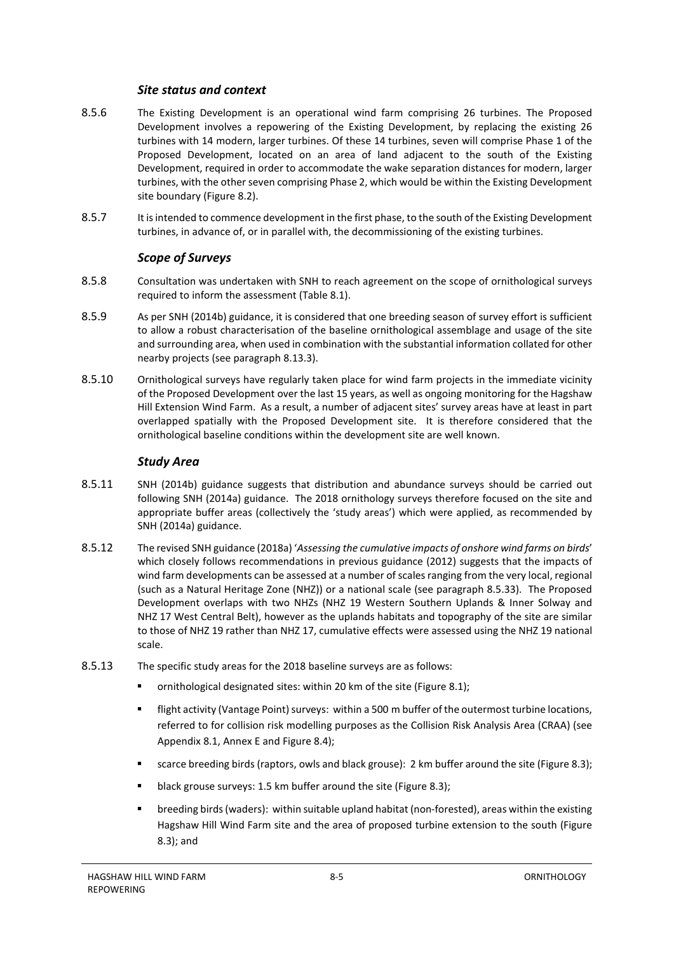### *Site status and context*

- 8.5.6 The Existing Development is an operational wind farm comprising 26 turbines. The Proposed Development involves a repowering of the Existing Development, by replacing the existing 26 turbines with 14 modern, larger turbines. Of these 14 turbines, seven will comprise Phase 1 of the Proposed Development, located on an area of land adjacent to the south of the Existing Development, required in order to accommodate the wake separation distances for modern, larger turbines, with the other seven comprising Phase 2, which would be within the Existing Development site boundary (Figure 8.2).
- 8.5.7 It is intended to commence development in the first phase, to the south of the Existing Development turbines, in advance of, or in parallel with, the decommissioning of the existing turbines.

### *Scope of Surveys*

- 8.5.8 Consultation was undertaken with SNH to reach agreement on the scope of ornithological surveys required to inform the assessment (Table 8.1).
- 8.5.9 As per SNH (2014b) guidance, it is considered that one breeding season of survey effort is sufficient to allow a robust characterisation of the baseline ornithological assemblage and usage of the site and surrounding area, when used in combination with the substantial information collated for other nearby projects (see paragraph 8.13.3).
- 8.5.10 Ornithological surveys have regularly taken place for wind farm projects in the immediate vicinity of the Proposed Development over the last 15 years, as well as ongoing monitoring for the Hagshaw Hill Extension Wind Farm. As a result, a number of adjacent sites' survey areas have at least in part overlapped spatially with the Proposed Development site. It is therefore considered that the ornithological baseline conditions within the development site are well known.

### *Study Area*

- 8.5.11 SNH (2014b) guidance suggests that distribution and abundance surveys should be carried out following SNH (2014a) guidance. The 2018 ornithology surveys therefore focused on the site and appropriate buffer areas (collectively the 'study areas') which were applied, as recommended by SNH (2014a) guidance.
- <span id="page-6-0"></span>8.5.12 The revised SNH guidance (2018a) '*Assessing the cumulative impacts of onshore wind farms on birds*' which closely follows recommendations in previous guidance (2012) suggests that the impacts of wind farm developments can be assessed at a number of scales ranging from the very local, regional (such as a Natural Heritage Zone (NHZ)) or a national scale (see paragraph [8.5.33\)](#page-10-0). The Proposed Development overlaps with two NHZs (NHZ 19 Western Southern Uplands & Inner Solway and NHZ 17 West Central Belt), however as the uplands habitats and topography of the site are similar to those of NHZ 19 rather than NHZ 17, cumulative effects were assessed using the NHZ 19 national scale.
- 8.5.13 The specific study areas for the 2018 baseline surveys are as follows:
	- ornithological designated sites: within 20 km of the site (Figure 8.1);
	- flight activity (Vantage Point) surveys: within a 500 m buffer of the outermost turbine locations, referred to for collision risk modelling purposes as the Collision Risk Analysis Area (CRAA) (see Appendix 8.1, Annex E and Figure 8.4);
	- scarce breeding birds (raptors, owls and black grouse): 2 km buffer around the site (Figure 8.3);
	- **black grouse surveys: 1.5 km buffer around the site (Figure 8.3);**
	- breeding birds (waders): within suitable upland habitat (non-forested), areas within the existing Hagshaw Hill Wind Farm site and the area of proposed turbine extension to the south (Figure 8.3); and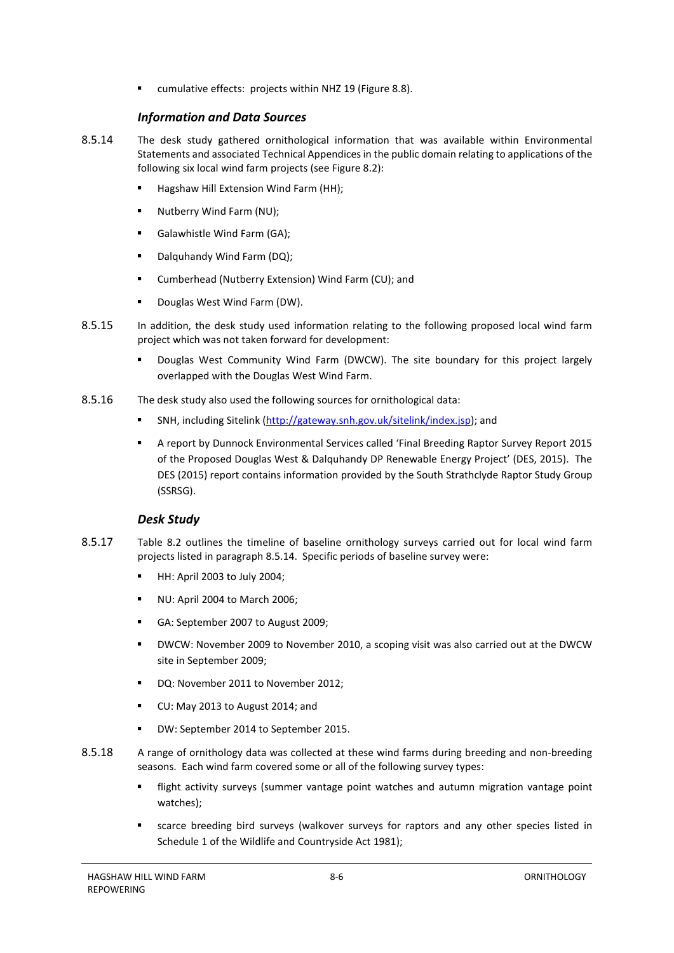cumulative effects: projects within NHZ 19 (Figure 8.8).

# *Information and Data Sources*

- <span id="page-7-0"></span>8.5.14 The desk study gathered ornithological information that was available within Environmental Statements and associated Technical Appendices in the public domain relating to applications of the following six local wind farm projects (see Figure 8.2):
	- Hagshaw Hill Extension Wind Farm (HH);
	- Nutberry Wind Farm (NU);
	- Galawhistle Wind Farm (GA);
	- Dalquhandy Wind Farm (DQ);
	- **E** Cumberhead (Nutberry Extension) Wind Farm (CU); and
	- Douglas West Wind Farm (DW).
- 8.5.15 In addition, the desk study used information relating to the following proposed local wind farm project which was not taken forward for development:
	- Douglas West Community Wind Farm (DWCW). The site boundary for this project largely overlapped with the Douglas West Wind Farm.
- 8.5.16 The desk study also used the following sources for ornithological data:
	- SNH, including Sitelink [\(http://gateway.snh.gov.uk/sitelink/index.jsp\)](http://gateway.snh.gov.uk/sitelink/index.jsp); and
	- A report by Dunnock Environmental Services called 'Final Breeding Raptor Survey Report 2015 of the Proposed Douglas West & Dalquhandy DP Renewable Energy Project' (DES, 2015). The DES (2015) report contains information provided by the South Strathclyde Raptor Study Group (SSRSG).

# *Desk Study*

- 8.5.17 Table 8.2 outlines the timeline of baseline ornithology surveys carried out for local wind farm projects listed in paragraph 8.5.14. Specific periods of baseline survey were:
	- **HH: April 2003 to July 2004;**
	- NU: April 2004 to March 2006;
	- GA: September 2007 to August 2009;
	- DWCW: November 2009 to November 2010, a scoping visit was also carried out at the DWCW site in September 2009;
	- DQ: November 2011 to November 2012;
	- CU: May 2013 to August 2014; and
	- DW: September 2014 to September 2015.
- 8.5.18 A range of ornithology data was collected at these wind farms during breeding and non-breeding seasons. Each wind farm covered some or all of the following survey types:
	- flight activity surveys (summer vantage point watches and autumn migration vantage point watches);
	- scarce breeding bird surveys (walkover surveys for raptors and any other species listed in Schedule 1 of the Wildlife and Countryside Act 1981);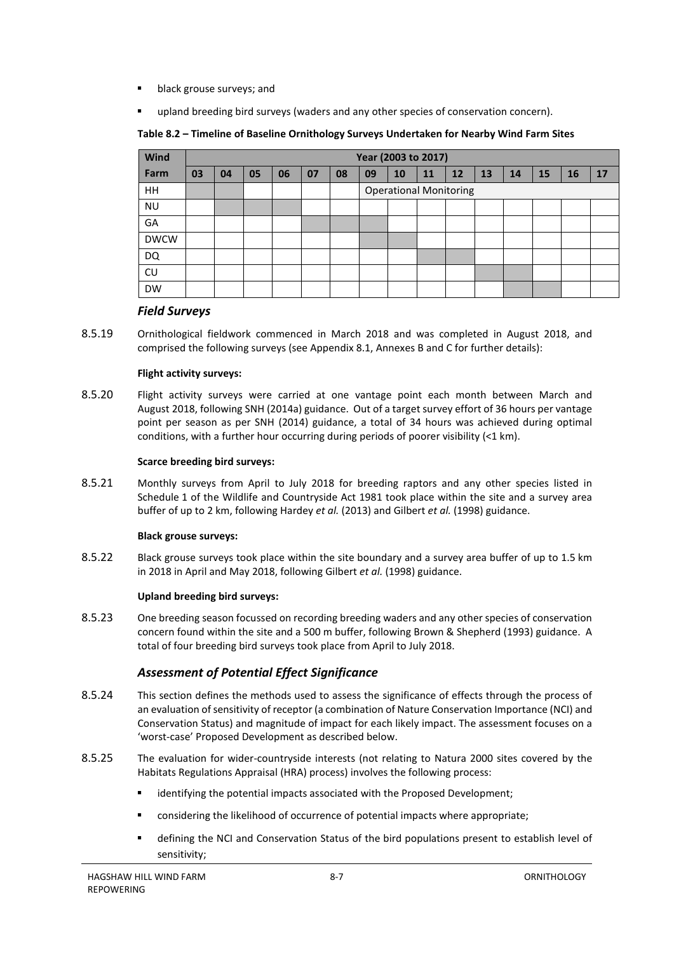- black grouse surveys; and
- upland breeding bird surveys (waders and any other species of conservation concern).

| Wind        |    | Year (2003 to 2017) |    |    |    |    |    |                               |    |    |    |    |    |    |    |
|-------------|----|---------------------|----|----|----|----|----|-------------------------------|----|----|----|----|----|----|----|
| Farm        | 03 | 04                  | 05 | 06 | 07 | 08 | 09 | 10                            | 11 | 12 | 13 | 14 | 15 | 16 | 17 |
| HH          |    |                     |    |    |    |    |    | <b>Operational Monitoring</b> |    |    |    |    |    |    |    |
| <b>NU</b>   |    |                     |    |    |    |    |    |                               |    |    |    |    |    |    |    |
| GA          |    |                     |    |    |    |    |    |                               |    |    |    |    |    |    |    |
| <b>DWCW</b> |    |                     |    |    |    |    |    |                               |    |    |    |    |    |    |    |
| <b>DQ</b>   |    |                     |    |    |    |    |    |                               |    |    |    |    |    |    |    |
| CU          |    |                     |    |    |    |    |    |                               |    |    |    |    |    |    |    |
| <b>DW</b>   |    |                     |    |    |    |    |    |                               |    |    |    |    |    |    |    |

**Table 8.2 – Timeline of Baseline Ornithology Surveys Undertaken for Nearby Wind Farm Sites**

# *Field Surveys*

8.5.19 Ornithological fieldwork commenced in March 2018 and was completed in August 2018, and comprised the following surveys (see Appendix 8.1, Annexes B and C for further details):

### **Flight activity surveys:**

8.5.20 Flight activity surveys were carried at one vantage point each month between March and August 2018, following SNH (2014a) guidance. Out of a target survey effort of 36 hours per vantage point per season as per SNH (2014) guidance, a total of 34 hours was achieved during optimal conditions, with a further hour occurring during periods of poorer visibility (<1 km).

#### **Scarce breeding bird surveys:**

8.5.21 Monthly surveys from April to July 2018 for breeding raptors and any other species listed in Schedule 1 of the Wildlife and Countryside Act 1981 took place within the site and a survey area buffer of up to 2 km, following Hardey *et al.* (2013) and Gilbert *et al.* (1998) guidance.

#### **Black grouse surveys:**

8.5.22 Black grouse surveys took place within the site boundary and a survey area buffer of up to 1.5 km in 2018 in April and May 2018, following Gilbert *et al.* (1998) guidance.

# **Upland breeding bird surveys:**

8.5.23 One breeding season focussed on recording breeding waders and any other species of conservation concern found within the site and a 500 m buffer, following Brown & Shepherd (1993) guidance. A total of four breeding bird surveys took place from April to July 2018.

# *Assessment of Potential Effect Significance*

- 8.5.24 This section defines the methods used to assess the significance of effects through the process of an evaluation of sensitivity of receptor (a combination of Nature Conservation Importance (NCI) and Conservation Status) and magnitude of impact for each likely impact. The assessment focuses on a 'worst-case' Proposed Development as described below.
- 8.5.25 The evaluation for wider-countryside interests (not relating to Natura 2000 sites covered by the Habitats Regulations Appraisal (HRA) process) involves the following process:
	- **EXEDENT** identifying the potential impacts associated with the Proposed Development;
	- considering the likelihood of occurrence of potential impacts where appropriate;
	- defining the NCI and Conservation Status of the bird populations present to establish level of sensitivity;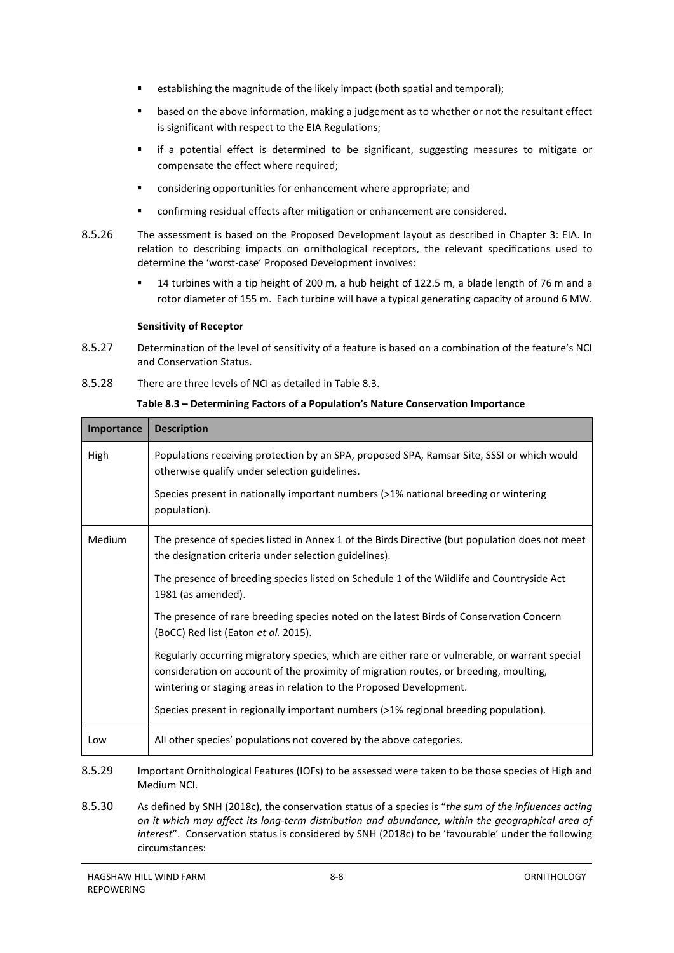- establishing the magnitude of the likely impact (both spatial and temporal);
- based on the above information, making a judgement as to whether or not the resultant effect is significant with respect to the EIA Regulations;
- if a potential effect is determined to be significant, suggesting measures to mitigate or compensate the effect where required;
- considering opportunities for enhancement where appropriate; and
- confirming residual effects after mitigation or enhancement are considered.
- 8.5.26 The assessment is based on the Proposed Development layout as described in Chapter 3: EIA. In relation to describing impacts on ornithological receptors, the relevant specifications used to determine the 'worst-case' Proposed Development involves:
	- 14 turbines with a tip height of 200 m, a hub height of 122.5 m, a blade length of 76 m and a rotor diameter of 155 m. Each turbine will have a typical generating capacity of around 6 MW.

#### **Sensitivity of Receptor**

- 8.5.27 Determination of the level of sensitivity of a feature is based on a combination of the feature's NCI and Conservation Status.
- 8.5.28 There are three levels of NCI as detailed in Table 8.3.

| <b>Importance</b> | <b>Description</b>                                                                                                                                                                                                                                             |
|-------------------|----------------------------------------------------------------------------------------------------------------------------------------------------------------------------------------------------------------------------------------------------------------|
| High              | Populations receiving protection by an SPA, proposed SPA, Ramsar Site, SSSI or which would<br>otherwise qualify under selection guidelines.                                                                                                                    |
|                   | Species present in nationally important numbers (>1% national breeding or wintering<br>population).                                                                                                                                                            |
| Medium            | The presence of species listed in Annex 1 of the Birds Directive (but population does not meet<br>the designation criteria under selection guidelines).                                                                                                        |
|                   | The presence of breeding species listed on Schedule 1 of the Wildlife and Countryside Act<br>1981 (as amended).                                                                                                                                                |
|                   | The presence of rare breeding species noted on the latest Birds of Conservation Concern<br>(BoCC) Red list (Eaton et al. 2015).                                                                                                                                |
|                   | Regularly occurring migratory species, which are either rare or vulnerable, or warrant special<br>consideration on account of the proximity of migration routes, or breeding, moulting,<br>wintering or staging areas in relation to the Proposed Development. |
|                   | Species present in regionally important numbers (>1% regional breeding population).                                                                                                                                                                            |
| Low               | All other species' populations not covered by the above categories.                                                                                                                                                                                            |
|                   |                                                                                                                                                                                                                                                                |

#### **Table 8.3 – Determining Factors of a Population's Nature Conservation Importance**

- 8.5.29 Important Ornithological Features (IOFs) to be assessed were taken to be those species of High and Medium NCI.
- 8.5.30 As defined by SNH (2018c), the conservation status of a species is "*the sum of the influences acting on it which may affect its long-term distribution and abundance, within the geographical area of interest*". Conservation status is considered by SNH (2018c) to be 'favourable' under the following circumstances: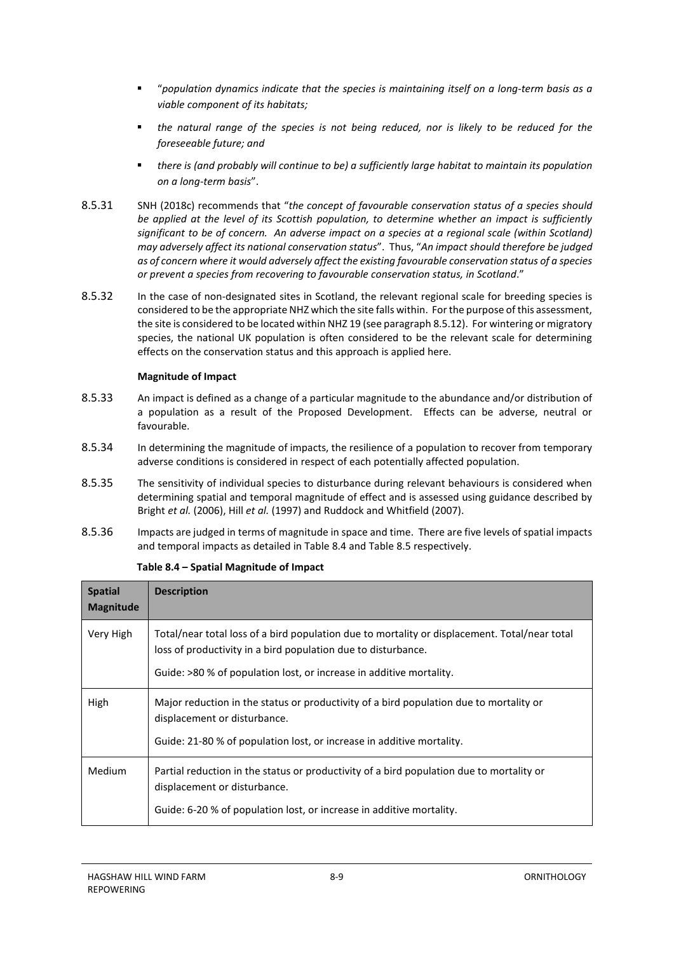- "*population dynamics indicate that the species is maintaining itself on a long-term basis as a viable component of its habitats;*
- *the natural range of the species is not being reduced, nor is likely to be reduced for the foreseeable future; and*
- *there is (and probably will continue to be) a sufficiently large habitat to maintain its population on a long-term basis*".
- 8.5.31 SNH (2018c) recommends that "*the concept of favourable conservation status of a species should be applied at the level of its Scottish population, to determine whether an impact is sufficiently significant to be of concern. An adverse impact on a species at a regional scale (within Scotland) may adversely affect its national conservation status*". Thus, "*An impact should therefore be judged as of concern where it would adversely affect the existing favourable conservation status of a species or prevent a species from recovering to favourable conservation status, in Scotland*."
- <span id="page-10-0"></span>8.5.32 In the case of non-designated sites in Scotland, the relevant regional scale for breeding species is considered to be the appropriate NHZ which the site falls within. For the purpose of this assessment, the site is considered to be located within NHZ 19 (see paragrap[h 8.5.12\)](#page-6-0). For wintering or migratory species, the national UK population is often considered to be the relevant scale for determining effects on the conservation status and this approach is applied here.

#### **Magnitude of Impact**

- 8.5.33 An impact is defined as a change of a particular magnitude to the abundance and/or distribution of a population as a result of the Proposed Development. Effects can be adverse, neutral or favourable.
- 8.5.34 In determining the magnitude of impacts, the resilience of a population to recover from temporary adverse conditions is considered in respect of each potentially affected population.
- 8.5.35 The sensitivity of individual species to disturbance during relevant behaviours is considered when determining spatial and temporal magnitude of effect and is assessed using guidance described by Bright *et al.* (2006), Hill *et al.* (1997) and Ruddock and Whitfield (2007).
- 8.5.36 Impacts are judged in terms of magnitude in space and time. There are five levels of spatial impacts and temporal impacts as detailed in Table 8.4 and Table 8.5 respectively.

| <b>Spatial</b><br><b>Magnitude</b> | <b>Description</b>                                                                                                                                             |
|------------------------------------|----------------------------------------------------------------------------------------------------------------------------------------------------------------|
| Very High                          | Total/near total loss of a bird population due to mortality or displacement. Total/near total<br>loss of productivity in a bird population due to disturbance. |
|                                    | Guide: >80 % of population lost, or increase in additive mortality.                                                                                            |
| High                               | Major reduction in the status or productivity of a bird population due to mortality or<br>displacement or disturbance.                                         |
|                                    | Guide: 21-80 % of population lost, or increase in additive mortality.                                                                                          |
| <b>Medium</b>                      | Partial reduction in the status or productivity of a bird population due to mortality or<br>displacement or disturbance.                                       |
|                                    | Guide: 6-20 % of population lost, or increase in additive mortality.                                                                                           |

#### **Table 8.4 – Spatial Magnitude of Impact**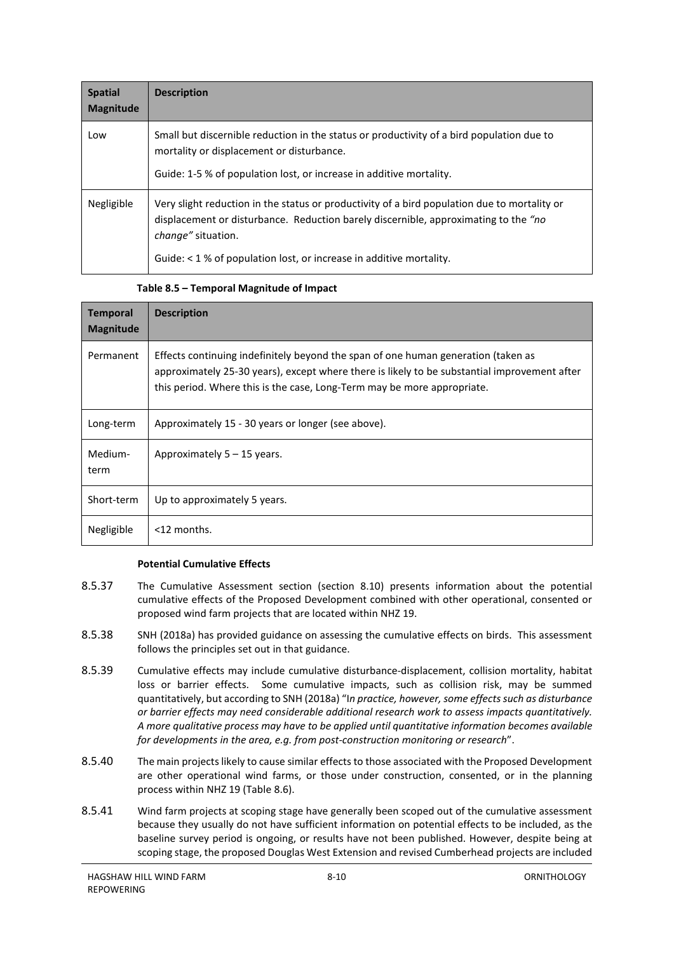| <b>Spatial</b><br><b>Magnitude</b> | <b>Description</b>                                                                                                                                                                                                                                                                      |
|------------------------------------|-----------------------------------------------------------------------------------------------------------------------------------------------------------------------------------------------------------------------------------------------------------------------------------------|
| Low                                | Small but discernible reduction in the status or productivity of a bird population due to<br>mortality or displacement or disturbance.<br>Guide: 1-5 % of population lost, or increase in additive mortality.                                                                           |
| Negligible                         | Very slight reduction in the status or productivity of a bird population due to mortality or<br>displacement or disturbance. Reduction barely discernible, approximating to the "no<br><i>change"</i> situation.<br>Guide: < 1 % of population lost, or increase in additive mortality. |

### **Table 8.5 – Temporal Magnitude of Impact**

| <b>Temporal</b><br><b>Magnitude</b> | <b>Description</b>                                                                                                                                                                                                                                           |
|-------------------------------------|--------------------------------------------------------------------------------------------------------------------------------------------------------------------------------------------------------------------------------------------------------------|
| Permanent                           | Effects continuing indefinitely beyond the span of one human generation (taken as<br>approximately 25-30 years), except where there is likely to be substantial improvement after<br>this period. Where this is the case, Long-Term may be more appropriate. |
| Long-term                           | Approximately 15 - 30 years or longer (see above).                                                                                                                                                                                                           |
| Medium-<br>term                     | Approximately $5 - 15$ years.                                                                                                                                                                                                                                |
| Short-term                          | Up to approximately 5 years.                                                                                                                                                                                                                                 |
| Negligible                          | $<$ 12 months.                                                                                                                                                                                                                                               |

#### **Potential Cumulative Effects**

- 8.5.37 The Cumulative Assessment section (section [8.10\)](#page-35-1) presents information about the potential cumulative effects of the Proposed Development combined with other operational, consented or proposed wind farm projects that are located within NHZ 19.
- 8.5.38 SNH (2018a) has provided guidance on assessing the cumulative effects on birds. This assessment follows the principles set out in that guidance.
- 8.5.39 Cumulative effects may include cumulative disturbance-displacement, collision mortality, habitat loss or barrier effects. Some cumulative impacts, such as collision risk, may be summed quantitatively, but according to SNH (2018a) "I*n practice, however, some effects such as disturbance or barrier effects may need considerable additional research work to assess impacts quantitatively. A more qualitative process may have to be applied until quantitative information becomes available for developments in the area, e.g. from post-construction monitoring or research*".
- 8.5.40 The main projects likely to cause similar effects to those associated with the Proposed Development are other operational wind farms, or those under construction, consented, or in the planning process within NHZ 19 (Table 8.6).
- 8.5.41 Wind farm projects at scoping stage have generally been scoped out of the cumulative assessment because they usually do not have sufficient information on potential effects to be included, as the baseline survey period is ongoing, or results have not been published. However, despite being at scoping stage, the proposed Douglas West Extension and revised Cumberhead projects are included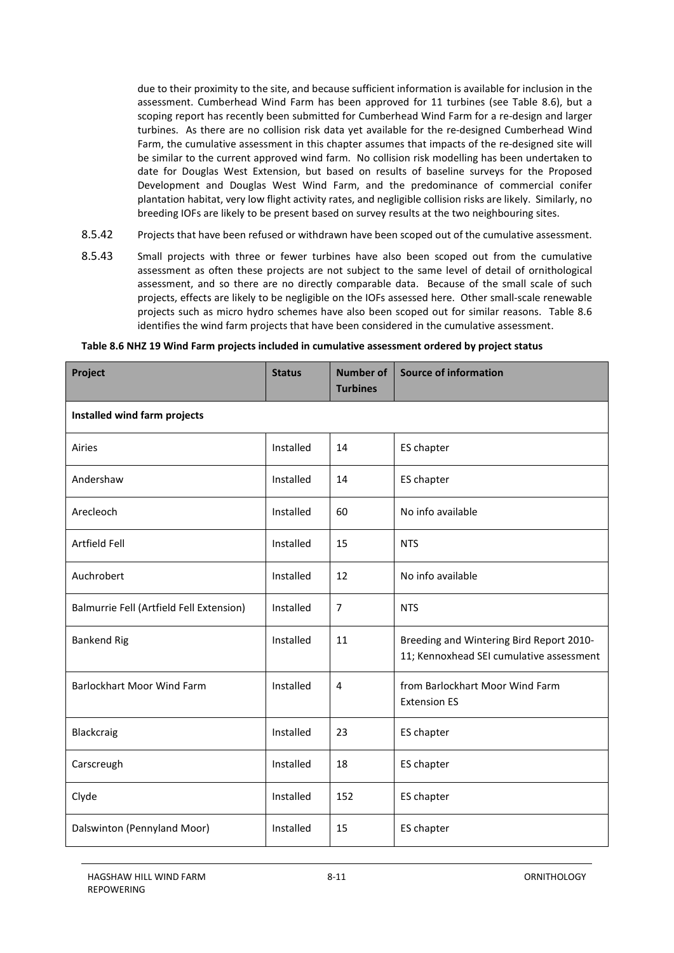due to their proximity to the site, and because sufficient information is available for inclusion in the assessment. Cumberhead Wind Farm has been approved for 11 turbines (see Table 8.6), but a scoping report has recently been submitted for Cumberhead Wind Farm for a re-design and larger turbines. As there are no collision risk data yet available for the re-designed Cumberhead Wind Farm, the cumulative assessment in this chapter assumes that impacts of the re-designed site will be similar to the current approved wind farm. No collision risk modelling has been undertaken to date for Douglas West Extension, but based on results of baseline surveys for the Proposed Development and Douglas West Wind Farm, and the predominance of commercial conifer plantation habitat, very low flight activity rates, and negligible collision risks are likely. Similarly, no breeding IOFs are likely to be present based on survey results at the two neighbouring sites.

- 8.5.42 Projects that have been refused or withdrawn have been scoped out of the cumulative assessment.
- 8.5.43 Small projects with three or fewer turbines have also been scoped out from the cumulative assessment as often these projects are not subject to the same level of detail of ornithological assessment, and so there are no directly comparable data. Because of the small scale of such projects, effects are likely to be negligible on the IOFs assessed here. Other small-scale renewable projects such as micro hydro schemes have also been scoped out for similar reasons. Table 8.6 identifies the wind farm projects that have been considered in the cumulative assessment.

|  | Table 8.6 NHZ 19 Wind Farm projects included in cumulative assessment ordered by project status |  |  |  |
|--|-------------------------------------------------------------------------------------------------|--|--|--|
|--|-------------------------------------------------------------------------------------------------|--|--|--|

| Project                                  | <b>Status</b> | <b>Number of</b><br><b>Turbines</b> | <b>Source of information</b>                                                         |  |  |  |  |  |
|------------------------------------------|---------------|-------------------------------------|--------------------------------------------------------------------------------------|--|--|--|--|--|
| Installed wind farm projects             |               |                                     |                                                                                      |  |  |  |  |  |
| Airies                                   | Installed     | 14                                  | ES chapter                                                                           |  |  |  |  |  |
| Andershaw                                | Installed     | 14                                  | ES chapter                                                                           |  |  |  |  |  |
| Arecleoch                                | Installed     | 60                                  | No info available                                                                    |  |  |  |  |  |
| Artfield Fell                            | Installed     | 15                                  | <b>NTS</b>                                                                           |  |  |  |  |  |
| Auchrobert                               | Installed     | 12                                  | No info available                                                                    |  |  |  |  |  |
| Balmurrie Fell (Artfield Fell Extension) | Installed     | $\overline{7}$                      | <b>NTS</b>                                                                           |  |  |  |  |  |
| <b>Bankend Rig</b>                       | Installed     | 11                                  | Breeding and Wintering Bird Report 2010-<br>11; Kennoxhead SEI cumulative assessment |  |  |  |  |  |
| <b>Barlockhart Moor Wind Farm</b>        | Installed     | 4                                   | from Barlockhart Moor Wind Farm<br><b>Extension ES</b>                               |  |  |  |  |  |
| Blackcraig                               | Installed     | 23                                  | ES chapter                                                                           |  |  |  |  |  |
| Carscreugh                               | Installed     | 18                                  | ES chapter                                                                           |  |  |  |  |  |
| Clyde                                    | Installed     | 152                                 | ES chapter                                                                           |  |  |  |  |  |
| Dalswinton (Pennyland Moor)              | Installed     | 15                                  | ES chapter                                                                           |  |  |  |  |  |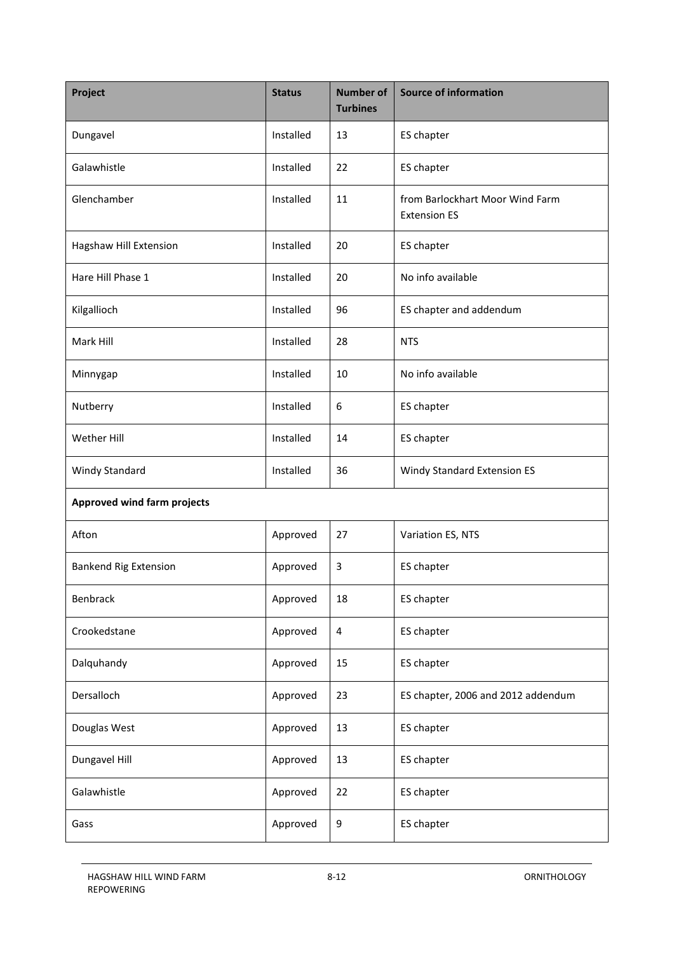| Project                            | <b>Status</b> | <b>Number of</b><br><b>Turbines</b> | <b>Source of information</b>                           |
|------------------------------------|---------------|-------------------------------------|--------------------------------------------------------|
| Dungavel                           | Installed     | 13                                  | ES chapter                                             |
| Galawhistle                        | Installed     | 22                                  | ES chapter                                             |
| Glenchamber                        | Installed     | 11                                  | from Barlockhart Moor Wind Farm<br><b>Extension ES</b> |
| Hagshaw Hill Extension             | Installed     | 20                                  | ES chapter                                             |
| Hare Hill Phase 1                  | Installed     | 20                                  | No info available                                      |
| Kilgallioch                        | Installed     | 96                                  | ES chapter and addendum                                |
| Mark Hill                          | Installed     | 28                                  | <b>NTS</b>                                             |
| Minnygap                           | Installed     | 10                                  | No info available                                      |
| Nutberry                           | Installed     | 6                                   | ES chapter                                             |
| Wether Hill                        | Installed     | 14                                  | ES chapter                                             |
| <b>Windy Standard</b>              | Installed     | 36                                  | Windy Standard Extension ES                            |
| <b>Approved wind farm projects</b> |               |                                     |                                                        |
| Afton                              | Approved      | 27                                  | Variation ES, NTS                                      |
| <b>Bankend Rig Extension</b>       | Approved      | 3                                   | ES chapter                                             |
| Benbrack                           | Approved      | 18                                  | ES chapter                                             |
| Crookedstane                       | Approved      | $\overline{a}$                      | ES chapter                                             |
| Dalquhandy                         | Approved      | 15                                  | ES chapter                                             |
| Dersalloch                         | Approved      | 23                                  | ES chapter, 2006 and 2012 addendum                     |
| Douglas West                       | Approved      | 13                                  | ES chapter                                             |
| Dungavel Hill                      | Approved      | 13                                  | ES chapter                                             |
| Galawhistle                        | Approved      | 22                                  | ES chapter                                             |
| Gass                               | Approved      | 9                                   | ES chapter                                             |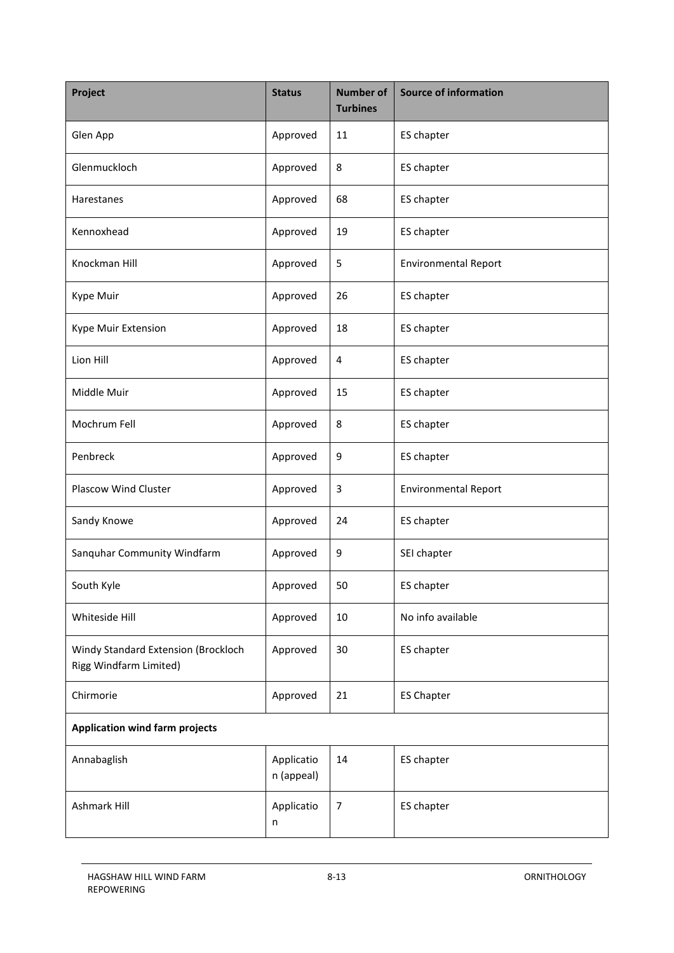| Project                                                       | <b>Status</b>            | <b>Number of</b><br><b>Turbines</b> | <b>Source of information</b> |
|---------------------------------------------------------------|--------------------------|-------------------------------------|------------------------------|
| Glen App                                                      | Approved                 | 11                                  | ES chapter                   |
| Glenmuckloch                                                  | Approved                 | 8                                   | ES chapter                   |
| Harestanes                                                    | Approved                 | 68                                  | ES chapter                   |
| Kennoxhead                                                    | Approved                 | 19                                  | ES chapter                   |
| Knockman Hill                                                 | Approved                 | 5                                   | <b>Environmental Report</b>  |
| Kype Muir                                                     | Approved                 | 26                                  | ES chapter                   |
| Kype Muir Extension                                           | Approved                 | 18                                  | ES chapter                   |
| Lion Hill                                                     | Approved                 | 4                                   | ES chapter                   |
| Middle Muir                                                   | Approved                 | 15                                  | ES chapter                   |
| Mochrum Fell                                                  | Approved                 | 8                                   | ES chapter                   |
| Penbreck                                                      | Approved                 | 9                                   | ES chapter                   |
| Plascow Wind Cluster                                          | Approved                 | 3                                   | <b>Environmental Report</b>  |
| Sandy Knowe                                                   | Approved                 | 24                                  | ES chapter                   |
| Sanquhar Community Windfarm                                   | Approved                 | 9                                   | SEI chapter                  |
| South Kyle                                                    | Approved                 | 50                                  | ES chapter                   |
| Whiteside Hill                                                | Approved                 | 10                                  | No info available            |
| Windy Standard Extension (Brockloch<br>Rigg Windfarm Limited) | Approved                 | 30                                  | ES chapter                   |
| Chirmorie                                                     | Approved                 | 21                                  | <b>ES Chapter</b>            |
| <b>Application wind farm projects</b>                         |                          |                                     |                              |
| Annabaglish                                                   | Applicatio<br>n (appeal) | 14                                  | ES chapter                   |
| Ashmark Hill                                                  | Applicatio<br>n          | $\overline{7}$                      | ES chapter                   |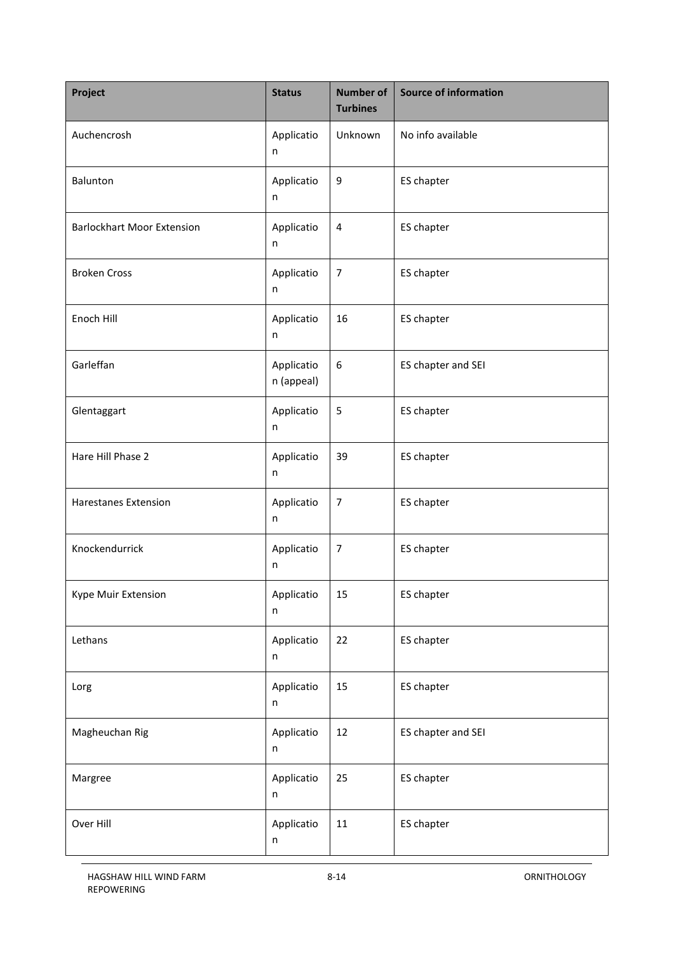| Project                           | <b>Status</b>            | <b>Number of</b><br><b>Turbines</b> | <b>Source of information</b> |
|-----------------------------------|--------------------------|-------------------------------------|------------------------------|
| Auchencrosh                       | Applicatio<br>n          | Unknown                             | No info available            |
| Balunton                          | Applicatio<br>n          | $\boldsymbol{9}$                    | ES chapter                   |
| <b>Barlockhart Moor Extension</b> | Applicatio<br>n          | 4                                   | ES chapter                   |
| <b>Broken Cross</b>               | Applicatio<br>n          | $\overline{7}$                      | ES chapter                   |
| Enoch Hill                        | Applicatio<br>n          | 16                                  | ES chapter                   |
| Garleffan                         | Applicatio<br>n (appeal) | 6                                   | ES chapter and SEI           |
| Glentaggart                       | Applicatio<br>n          | $\sqrt{5}$                          | ES chapter                   |
| Hare Hill Phase 2                 | Applicatio<br>n          | 39                                  | ES chapter                   |
| <b>Harestanes Extension</b>       | Applicatio<br>n          | $\overline{7}$                      | ES chapter                   |
| Knockendurrick                    | Applicatio<br>n          | 7                                   | ES chapter                   |
| Kype Muir Extension               | Applicatio<br>n          | 15                                  | ES chapter                   |
| Lethans                           | Applicatio<br>n          | 22                                  | ES chapter                   |
| Lorg                              | Applicatio<br>n          | 15                                  | ES chapter                   |
| Magheuchan Rig                    | Applicatio<br>n          | 12                                  | ES chapter and SEI           |
| Margree                           | Applicatio<br>n          | 25                                  | ES chapter                   |
| Over Hill                         | Applicatio<br>n          | $11\,$                              | ES chapter                   |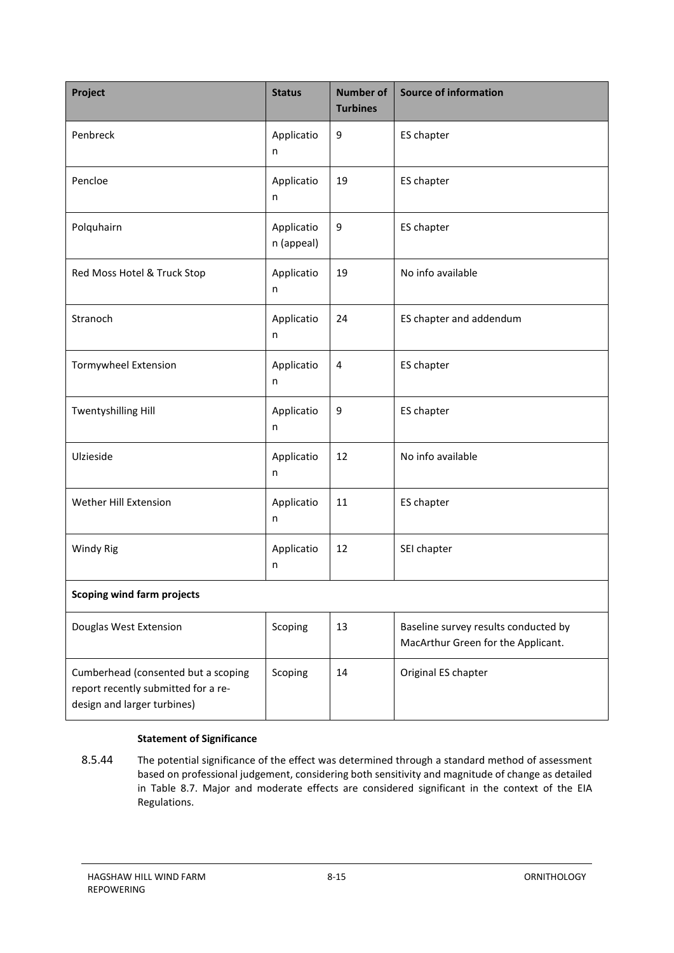| Project                                                                                                   | <b>Status</b>            | <b>Number of</b><br><b>Turbines</b> | <b>Source of information</b>                                               |  |  |
|-----------------------------------------------------------------------------------------------------------|--------------------------|-------------------------------------|----------------------------------------------------------------------------|--|--|
| Penbreck                                                                                                  | Applicatio<br>n          | 9                                   | ES chapter                                                                 |  |  |
| Pencloe                                                                                                   | Applicatio<br>n          | 19                                  | ES chapter                                                                 |  |  |
| Polquhairn                                                                                                | Applicatio<br>n (appeal) | $\boldsymbol{9}$                    | ES chapter                                                                 |  |  |
| Red Moss Hotel & Truck Stop                                                                               | Applicatio<br>n          | 19                                  | No info available                                                          |  |  |
| Stranoch                                                                                                  | Applicatio<br>n          | 24                                  | ES chapter and addendum                                                    |  |  |
| Tormywheel Extension                                                                                      | Applicatio<br>n          | 4                                   | ES chapter                                                                 |  |  |
| Twentyshilling Hill                                                                                       | Applicatio<br>n          | 9                                   | ES chapter                                                                 |  |  |
| Ulzieside                                                                                                 | Applicatio<br>n          | 12                                  | No info available                                                          |  |  |
| Wether Hill Extension                                                                                     | Applicatio<br>n          | 11                                  | ES chapter                                                                 |  |  |
| Windy Rig                                                                                                 | Applicatio<br>n          | 12                                  | SEI chapter                                                                |  |  |
| <b>Scoping wind farm projects</b>                                                                         |                          |                                     |                                                                            |  |  |
| Douglas West Extension                                                                                    | Scoping                  | 13                                  | Baseline survey results conducted by<br>MacArthur Green for the Applicant. |  |  |
| Cumberhead (consented but a scoping<br>report recently submitted for a re-<br>design and larger turbines) | Scoping                  | 14                                  | Original ES chapter                                                        |  |  |

### **Statement of Significance**

8.5.44 The potential significance of the effect was determined through a standard method of assessment based on professional judgement, considering both sensitivity and magnitude of change as detailed in Table 8.7. Major and moderate effects are considered significant in the context of the EIA Regulations.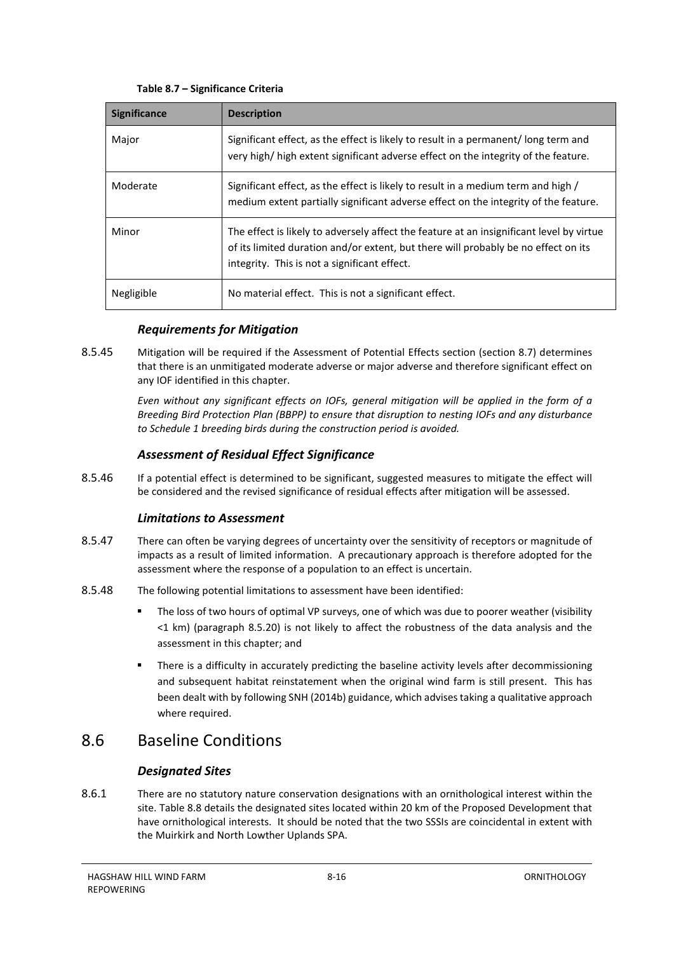| <b>Significance</b> | <b>Description</b>                                                                                                                                                                                                             |
|---------------------|--------------------------------------------------------------------------------------------------------------------------------------------------------------------------------------------------------------------------------|
| Major               | Significant effect, as the effect is likely to result in a permanent/long term and<br>very high/high extent significant adverse effect on the integrity of the feature.                                                        |
| Moderate            | Significant effect, as the effect is likely to result in a medium term and high /<br>medium extent partially significant adverse effect on the integrity of the feature.                                                       |
| Minor               | The effect is likely to adversely affect the feature at an insignificant level by virtue<br>of its limited duration and/or extent, but there will probably be no effect on its<br>integrity. This is not a significant effect. |
| Negligible          | No material effect. This is not a significant effect.                                                                                                                                                                          |

### **Table 8.7 – Significance Criteria**

# *Requirements for Mitigation*

8.5.45 Mitigation will be required if the Assessment of Potential Effects section (section [8.7\)](#page-26-0) determines that there is an unmitigated moderate adverse or major adverse and therefore significant effect on any IOF identified in this chapter.

> *Even without any significant effects on IOFs, general mitigation will be applied in the form of a Breeding Bird Protection Plan (BBPP) to ensure that disruption to nesting IOFs and any disturbance to Schedule 1 breeding birds during the construction period is avoided.*

# *Assessment of Residual Effect Significance*

8.5.46 If a potential effect is determined to be significant, suggested measures to mitigate the effect will be considered and the revised significance of residual effects after mitigation will be assessed.

#### *Limitations to Assessment*

- 8.5.47 There can often be varying degrees of uncertainty over the sensitivity of receptors or magnitude of impacts as a result of limited information. A precautionary approach is therefore adopted for the assessment where the response of a population to an effect is uncertain.
- 8.5.48 The following potential limitations to assessment have been identified:
	- The loss of two hours of optimal VP surveys, one of which was due to poorer weather (visibility <1 km) (paragraph 8.5.20) is not likely to affect the robustness of the data analysis and the assessment in this chapter; and
	- **There is a difficulty in accurately predicting the baseline activity levels after decommissioning** and subsequent habitat reinstatement when the original wind farm is still present. This has been dealt with by following SNH (2014b) guidance, which advises taking a qualitative approach where required.

# <span id="page-17-0"></span>8.6 Baseline Conditions

# *Designated Sites*

8.6.1 There are no statutory nature conservation designations with an ornithological interest within the site. Table 8.8 details the designated sites located within 20 km of the Proposed Development that have ornithological interests. It should be noted that the two SSSIs are coincidental in extent with the Muirkirk and North Lowther Uplands SPA.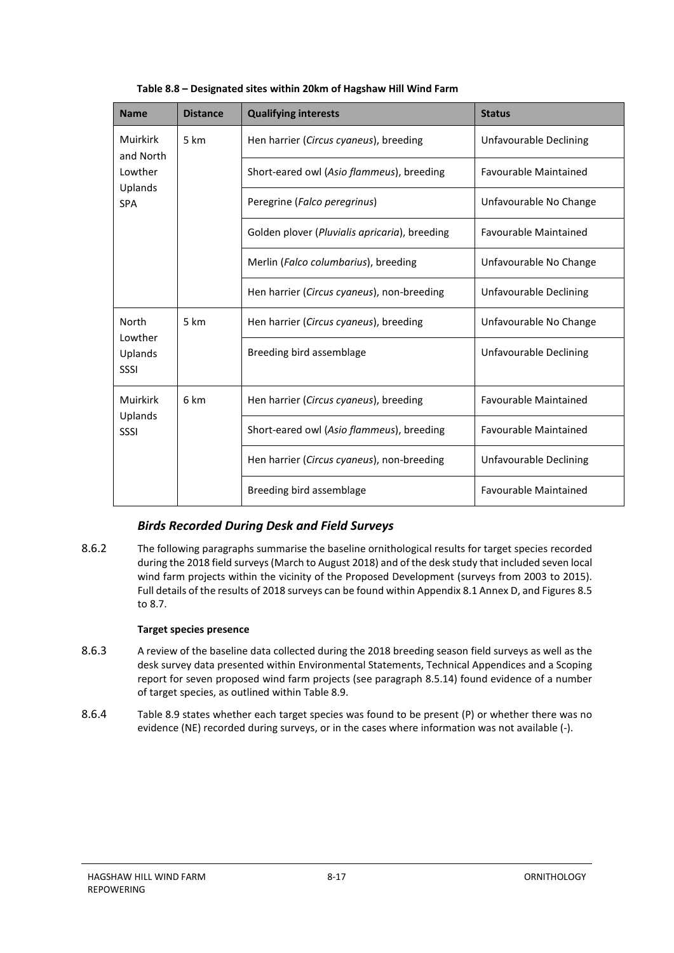| <b>Name</b>                   | <b>Distance</b>                      | <b>Qualifying interests</b>                   | <b>Status</b>                |  |
|-------------------------------|--------------------------------------|-----------------------------------------------|------------------------------|--|
| Muirkirk<br>5 km<br>and North |                                      | Hen harrier (Circus cyaneus), breeding        | Unfavourable Declining       |  |
| Lowther<br>Uplands            |                                      | Short-eared owl (Asio flammeus), breeding     | <b>Favourable Maintained</b> |  |
| <b>SPA</b>                    |                                      | Peregrine (Falco peregrinus)                  | Unfavourable No Change       |  |
|                               |                                      | Golden plover (Pluvialis apricaria), breeding | <b>Favourable Maintained</b> |  |
|                               | Merlin (Falco columbarius), breeding | Unfavourable No Change                        |                              |  |
|                               |                                      | Hen harrier (Circus cyaneus), non-breeding    | Unfavourable Declining       |  |
| North<br>Lowther              | 5 km                                 | Hen harrier (Circus cyaneus), breeding        | Unfavourable No Change       |  |
| Uplands<br>SSSI               | Breeding bird assemblage             | Unfavourable Declining                        |                              |  |
| Muirkirk                      | 6 km                                 | Hen harrier (Circus cyaneus), breeding        | <b>Favourable Maintained</b> |  |
| Uplands<br><b>SSSI</b>        |                                      | Short-eared owl (Asio flammeus), breeding     | <b>Favourable Maintained</b> |  |
|                               |                                      | Hen harrier (Circus cyaneus), non-breeding    | Unfavourable Declining       |  |
|                               |                                      | Breeding bird assemblage                      | <b>Favourable Maintained</b> |  |

# *Birds Recorded During Desk and Field Surveys*

8.6.2 The following paragraphs summarise the baseline ornithological results for target species recorded during the 2018 field surveys (March to August 2018) and of the desk study that included seven local wind farm projects within the vicinity of the Proposed Development (surveys from 2003 to 2015). Full details of the results of 2018 surveys can be found within Appendix 8.1 Annex D, and Figures 8.5 to 8.7.

#### **Target species presence**

- 8.6.3 A review of the baseline data collected during the 2018 breeding season field surveys as well as the desk survey data presented within Environmental Statements, Technical Appendices and a Scoping report for seven proposed wind farm projects (see paragraph [8.5.14\)](#page-7-0) found evidence of a number of target species, as outlined within Table 8.9.
- 8.6.4 Table 8.9 states whether each target species was found to be present (P) or whether there was no evidence (NE) recorded during surveys, or in the cases where information was not available (-).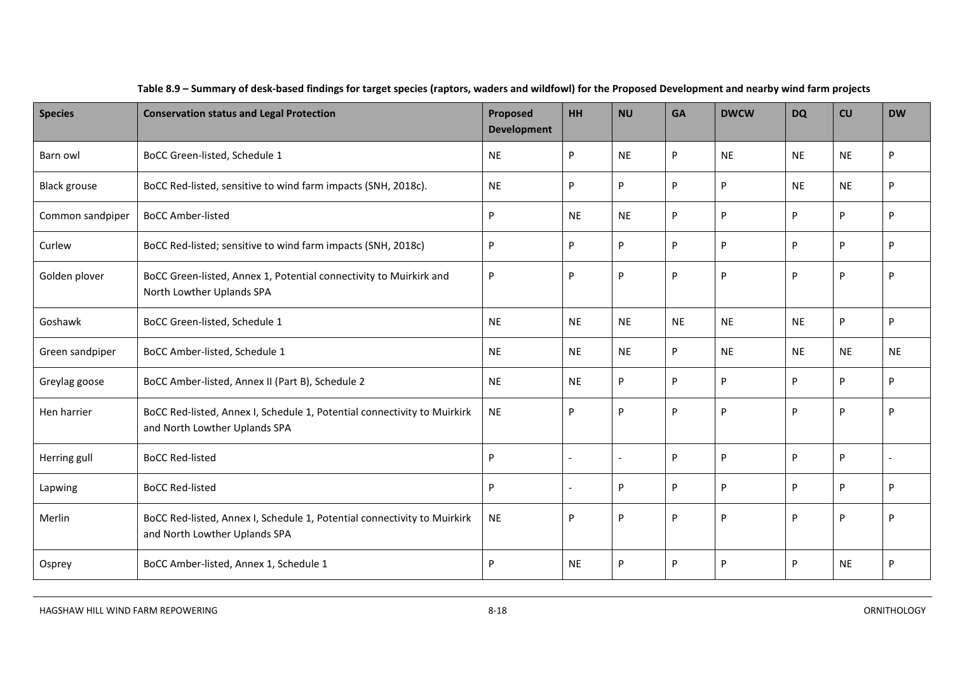| <b>Species</b>      | <b>Conservation status and Legal Protection</b>                                                           | Proposed<br><b>Development</b> | <b>HH</b>                | <b>NU</b> | <b>GA</b> | <b>DWCW</b> | <b>DQ</b> | CU        | <b>DW</b> |
|---------------------|-----------------------------------------------------------------------------------------------------------|--------------------------------|--------------------------|-----------|-----------|-------------|-----------|-----------|-----------|
| Barn owl            | BoCC Green-listed, Schedule 1                                                                             | <b>NE</b>                      | P                        | <b>NE</b> | P         | <b>NE</b>   | <b>NE</b> | <b>NE</b> | P         |
| <b>Black grouse</b> | BoCC Red-listed, sensitive to wind farm impacts (SNH, 2018c).                                             | <b>NE</b>                      | P                        | P         | P         | P           | <b>NE</b> | <b>NE</b> | P         |
| Common sandpiper    | <b>BoCC Amber-listed</b>                                                                                  | P                              | <b>NE</b>                | <b>NE</b> | P         | P           | P         | P         | P         |
| Curlew              | BoCC Red-listed; sensitive to wind farm impacts (SNH, 2018c)                                              | P                              | P                        | P         | P         | P           | P         | P         | P         |
| Golden plover       | BoCC Green-listed, Annex 1, Potential connectivity to Muirkirk and<br>North Lowther Uplands SPA           | P                              | P                        | P         | P         | P           | D         | P         | P         |
| Goshawk             | BoCC Green-listed, Schedule 1                                                                             | <b>NE</b>                      | <b>NE</b>                | <b>NE</b> | <b>NE</b> | <b>NE</b>   | <b>NE</b> | P         | P         |
| Green sandpiper     | BoCC Amber-listed, Schedule 1                                                                             | <b>NE</b>                      | <b>NE</b>                | <b>NE</b> | P         | <b>NE</b>   | <b>NE</b> | <b>NE</b> | <b>NE</b> |
| Greylag goose       | BoCC Amber-listed, Annex II (Part B), Schedule 2                                                          | <b>NE</b>                      | <b>NE</b>                | P         | P         | P           | P         | P         | P         |
| Hen harrier         | BoCC Red-listed, Annex I, Schedule 1, Potential connectivity to Muirkirk<br>and North Lowther Uplands SPA | <b>NE</b>                      | P                        | P         | P         | P           | P         | P         | P         |
| Herring gull        | <b>BoCC Red-listed</b>                                                                                    | P                              | ٠                        |           | P         | P           | P         | P         |           |
| Lapwing             | <b>BoCC Red-listed</b>                                                                                    | P                              | $\overline{\phantom{a}}$ | P         | P         | P           | P         | P         | P         |
| Merlin              | BoCC Red-listed, Annex I, Schedule 1, Potential connectivity to Muirkirk<br>and North Lowther Uplands SPA | <b>NE</b>                      | P                        | P         | P         | P           | P         | P         | P         |
| Osprey              | BoCC Amber-listed, Annex 1, Schedule 1                                                                    | P                              | <b>NE</b>                | P         | P         | P           | P         | <b>NE</b> | P         |

| Table 8.9 – Summary of desk-based findings for target species (raptors, waders and wildfowl) for the Proposed Development and nearby wind farm projects |  |  |  |  |
|---------------------------------------------------------------------------------------------------------------------------------------------------------|--|--|--|--|
|---------------------------------------------------------------------------------------------------------------------------------------------------------|--|--|--|--|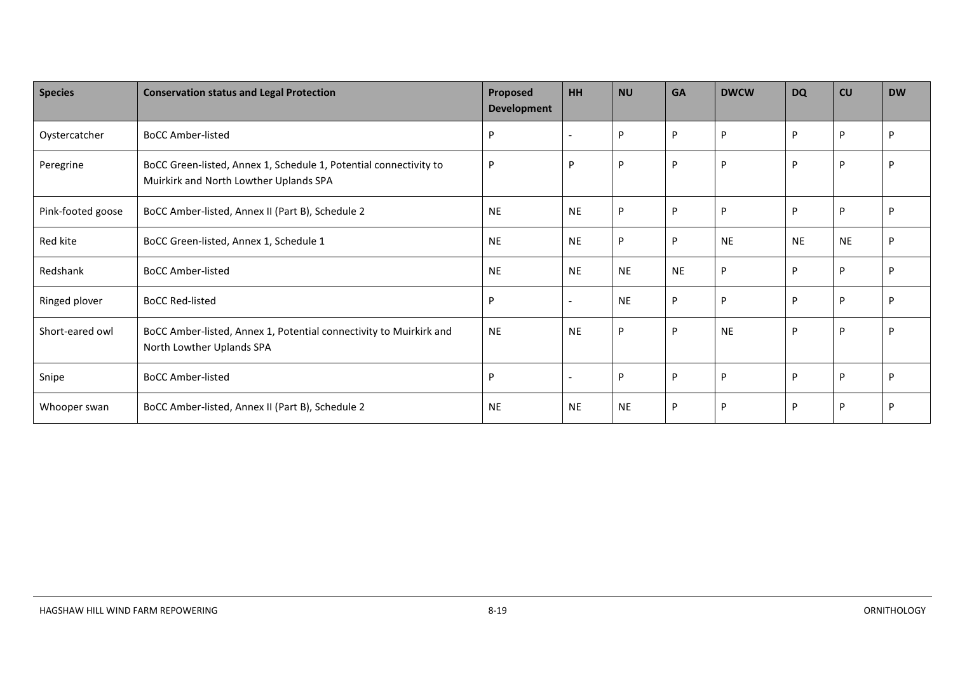| <b>Species</b>    | <b>Conservation status and Legal Protection</b>                                                             | Proposed<br>Development | HH.       | <b>NU</b> | <b>GA</b> | <b>DWCW</b> | <b>DQ</b> | CU        | <b>DW</b> |
|-------------------|-------------------------------------------------------------------------------------------------------------|-------------------------|-----------|-----------|-----------|-------------|-----------|-----------|-----------|
| Oystercatcher     | <b>BoCC Amber-listed</b>                                                                                    | P                       |           | P         | P         | P           | P         | P         | P         |
| Peregrine         | BoCC Green-listed, Annex 1, Schedule 1, Potential connectivity to<br>Muirkirk and North Lowther Uplands SPA | P                       | P         | D         | P         | P           | P         | P         | P         |
| Pink-footed goose | BoCC Amber-listed, Annex II (Part B), Schedule 2                                                            | <b>NE</b>               | <b>NE</b> | P         | P         | P           | P         | P         | P         |
| Red kite          | BoCC Green-listed, Annex 1, Schedule 1                                                                      | <b>NE</b>               | <b>NE</b> | D         | P         | <b>NE</b>   | <b>NE</b> | <b>NE</b> | P         |
| Redshank          | <b>BoCC Amber-listed</b>                                                                                    | <b>NE</b>               | <b>NE</b> | <b>NE</b> | <b>NE</b> | P           | P         | P         | P         |
| Ringed plover     | <b>BoCC Red-listed</b>                                                                                      | P                       |           | <b>NE</b> | P         | P           | P         | P         | P         |
| Short-eared owl   | BoCC Amber-listed, Annex 1, Potential connectivity to Muirkirk and<br>North Lowther Uplands SPA             | <b>NE</b>               | <b>NE</b> | D         | P         | <b>NE</b>   | P         | P         | P         |
| Snipe             | <b>BoCC Amber-listed</b>                                                                                    | P                       |           | Þ         | P         | P           | D         | P         | P         |
| Whooper swan      | BoCC Amber-listed, Annex II (Part B), Schedule 2                                                            | <b>NE</b>               | <b>NE</b> | <b>NE</b> | P         | P           | P         | P         | P         |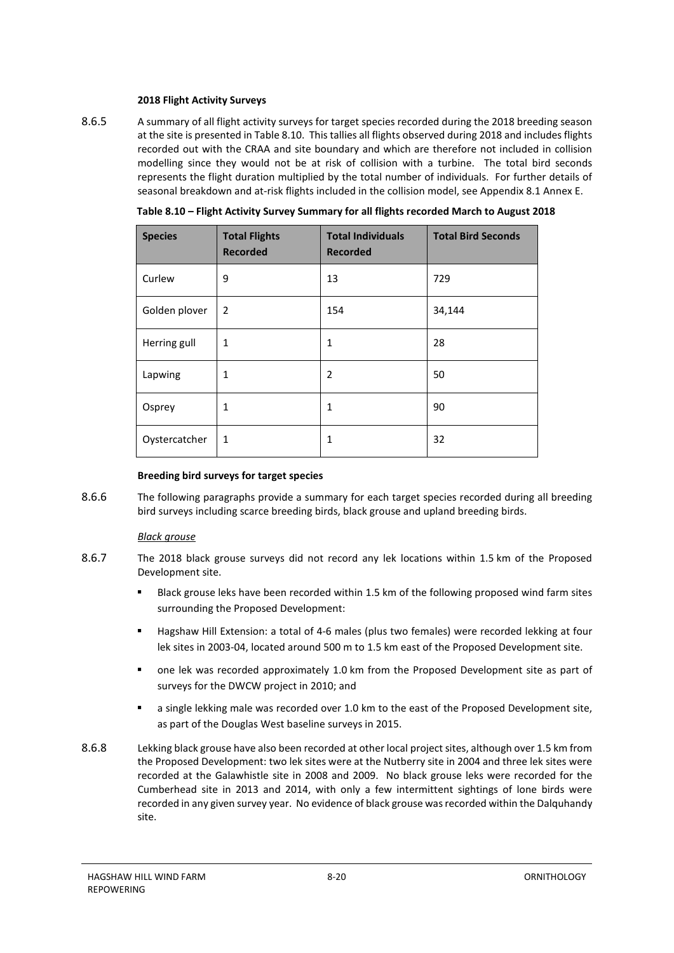#### **2018 Flight Activity Surveys**

8.6.5 A summary of all flight activity surveys for target species recorded during the 2018 breeding season at the site is presented in Table 8.10. This tallies all flights observed during 2018 and includes flights recorded out with the CRAA and site boundary and which are therefore not included in collision modelling since they would not be at risk of collision with a turbine. The total bird seconds represents the flight duration multiplied by the total number of individuals. For further details of seasonal breakdown and at-risk flights included in the collision model, see Appendix 8.1 Annex E.

| <b>Species</b> | <b>Total Flights</b><br><b>Recorded</b> | <b>Total Individuals</b><br><b>Recorded</b> | <b>Total Bird Seconds</b> |
|----------------|-----------------------------------------|---------------------------------------------|---------------------------|
| Curlew         | 9                                       | 13                                          | 729                       |
| Golden plover  | $\overline{2}$                          | 154                                         | 34,144                    |
| Herring gull   | $\mathbf{1}$                            | 1                                           | 28                        |
| Lapwing        | $\mathbf{1}$                            | 2                                           | 50                        |
| Osprey         | $\mathbf{1}$                            | 1                                           | 90                        |
| Oystercatcher  | $\mathbf{1}$                            | 1                                           | 32                        |

**Table 8.10 – Flight Activity Survey Summary for all flights recorded March to August 2018**

#### **Breeding bird surveys for target species**

<span id="page-21-0"></span>8.6.6 The following paragraphs provide a summary for each target species recorded during all breeding bird surveys including scarce breeding birds, black grouse and upland breeding birds.

#### *Black grouse*

- 8.6.7 The 2018 black grouse surveys did not record any lek locations within 1.5 km of the Proposed Development site.
	- **Black grouse leks have been recorded within 1.5 km of the following proposed wind farm sites** surrounding the Proposed Development:
	- **Hagshaw Hill Extension: a total of 4-6 males (plus two females) were recorded lekking at four** lek sites in 2003-04, located around 500 m to 1.5 km east of the Proposed Development site.
	- one lek was recorded approximately 1.0 km from the Proposed Development site as part of surveys for the DWCW project in 2010; and
	- a single lekking male was recorded over 1.0 km to the east of the Proposed Development site, as part of the Douglas West baseline surveys in 2015.
- 8.6.8 Lekking black grouse have also been recorded at other local project sites, although over 1.5 km from the Proposed Development: two lek sites were at the Nutberry site in 2004 and three lek sites were recorded at the Galawhistle site in 2008 and 2009. No black grouse leks were recorded for the Cumberhead site in 2013 and 2014, with only a few intermittent sightings of lone birds were recorded in any given survey year. No evidence of black grouse was recorded within the Dalquhandy site.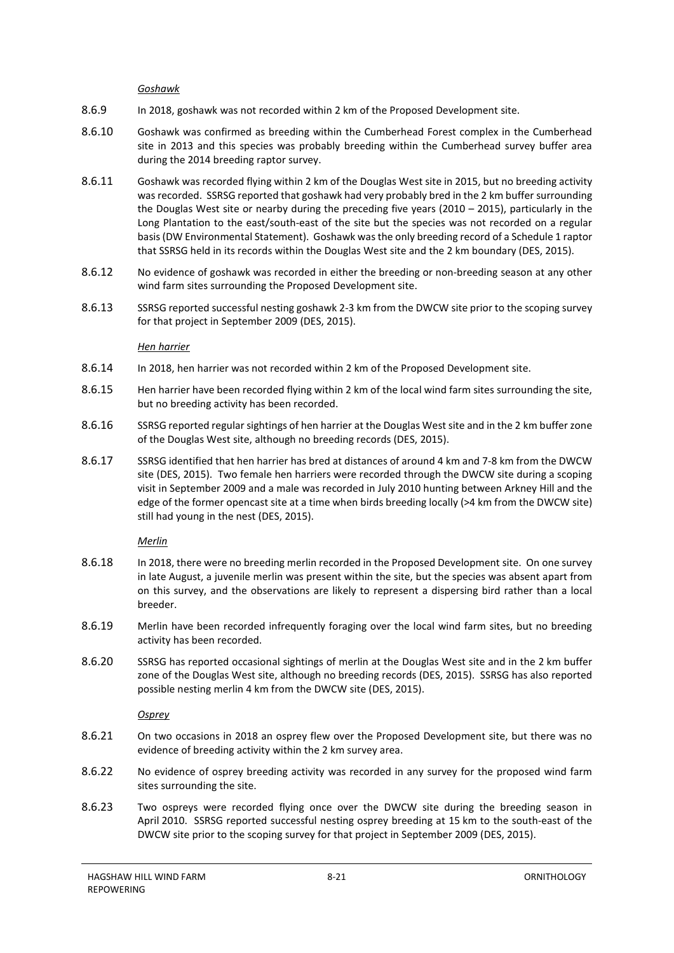*Goshawk* 

- 8.6.9 In 2018, goshawk was not recorded within 2 km of the Proposed Development site.
- 8.6.10 Goshawk was confirmed as breeding within the Cumberhead Forest complex in the Cumberhead site in 2013 and this species was probably breeding within the Cumberhead survey buffer area during the 2014 breeding raptor survey.
- 8.6.11 Goshawk was recorded flying within 2 km of the Douglas West site in 2015, but no breeding activity was recorded. SSRSG reported that goshawk had very probably bred in the 2 km buffer surrounding the Douglas West site or nearby during the preceding five years (2010 – 2015), particularly in the Long Plantation to the east/south-east of the site but the species was not recorded on a regular basis (DW Environmental Statement). Goshawk was the only breeding record of a Schedule 1 raptor that SSRSG held in its records within the Douglas West site and the 2 km boundary (DES, 2015).
- 8.6.12 No evidence of goshawk was recorded in either the breeding or non-breeding season at any other wind farm sites surrounding the Proposed Development site.
- 8.6.13 SSRSG reported successful nesting goshawk 2-3 km from the DWCW site prior to the scoping survey for that project in September 2009 (DES, 2015).

#### *Hen harrier*

- 8.6.14 In 2018, hen harrier was not recorded within 2 km of the Proposed Development site.
- 8.6.15 Hen harrier have been recorded flying within 2 km of the local wind farm sites surrounding the site, but no breeding activity has been recorded.
- 8.6.16 SSRSG reported regular sightings of hen harrier at the Douglas West site and in the 2 km buffer zone of the Douglas West site, although no breeding records (DES, 2015).
- 8.6.17 SSRSG identified that hen harrier has bred at distances of around 4 km and 7-8 km from the DWCW site (DES, 2015). Two female hen harriers were recorded through the DWCW site during a scoping visit in September 2009 and a male was recorded in July 2010 hunting between Arkney Hill and the edge of the former opencast site at a time when birds breeding locally (>4 km from the DWCW site) still had young in the nest (DES, 2015).

#### *Merlin*

- 8.6.18 In 2018, there were no breeding merlin recorded in the Proposed Development site. On one survey in late August, a juvenile merlin was present within the site, but the species was absent apart from on this survey, and the observations are likely to represent a dispersing bird rather than a local breeder.
- 8.6.19 Merlin have been recorded infrequently foraging over the local wind farm sites, but no breeding activity has been recorded.
- 8.6.20 SSRSG has reported occasional sightings of merlin at the Douglas West site and in the 2 km buffer zone of the Douglas West site, although no breeding records (DES, 2015). SSRSG has also reported possible nesting merlin 4 km from the DWCW site (DES, 2015).

#### *Osprey*

- 8.6.21 On two occasions in 2018 an osprey flew over the Proposed Development site, but there was no evidence of breeding activity within the 2 km survey area.
- 8.6.22 No evidence of osprey breeding activity was recorded in any survey for the proposed wind farm sites surrounding the site.
- 8.6.23 Two ospreys were recorded flying once over the DWCW site during the breeding season in April 2010. SSRSG reported successful nesting osprey breeding at 15 km to the south-east of the DWCW site prior to the scoping survey for that project in September 2009 (DES, 2015).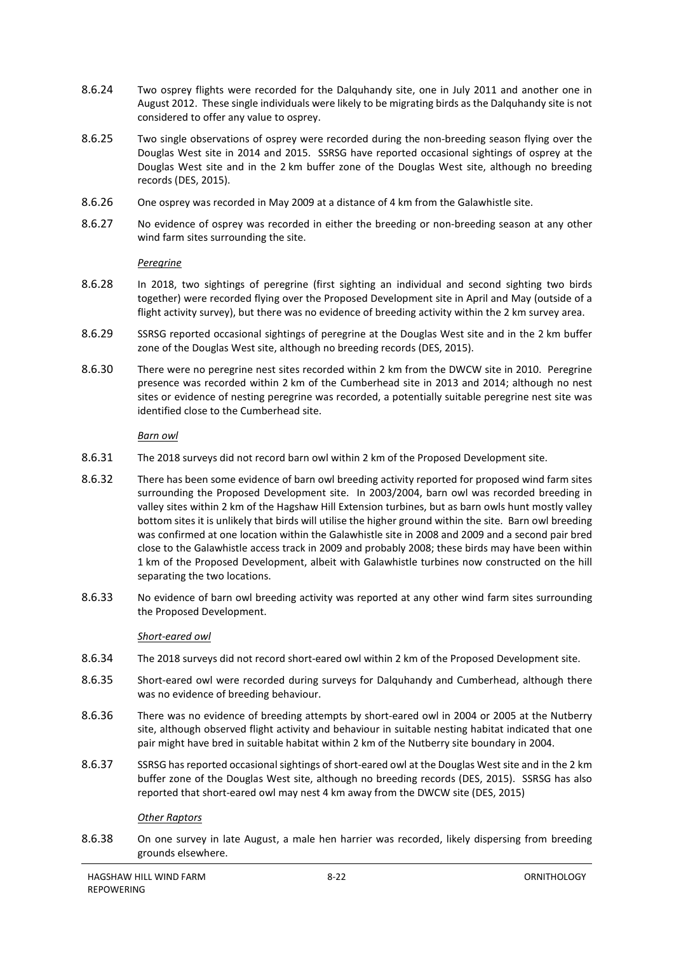- 8.6.24 Two osprey flights were recorded for the Dalquhandy site, one in July 2011 and another one in August 2012. These single individuals were likely to be migrating birds as the Dalquhandy site is not considered to offer any value to osprey.
- 8.6.25 Two single observations of osprey were recorded during the non-breeding season flying over the Douglas West site in 2014 and 2015. SSRSG have reported occasional sightings of osprey at the Douglas West site and in the 2 km buffer zone of the Douglas West site, although no breeding records (DES, 2015).
- 8.6.26 One osprey was recorded in May 2009 at a distance of 4 km from the Galawhistle site.
- 8.6.27 No evidence of osprey was recorded in either the breeding or non-breeding season at any other wind farm sites surrounding the site.

#### *Peregrine*

- 8.6.28 In 2018, two sightings of peregrine (first sighting an individual and second sighting two birds together) were recorded flying over the Proposed Development site in April and May (outside of a flight activity survey), but there was no evidence of breeding activity within the 2 km survey area.
- 8.6.29 SSRSG reported occasional sightings of peregrine at the Douglas West site and in the 2 km buffer zone of the Douglas West site, although no breeding records (DES, 2015).
- 8.6.30 There were no peregrine nest sites recorded within 2 km from the DWCW site in 2010. Peregrine presence was recorded within 2 km of the Cumberhead site in 2013 and 2014; although no nest sites or evidence of nesting peregrine was recorded, a potentially suitable peregrine nest site was identified close to the Cumberhead site.

#### *Barn owl*

- 8.6.31 The 2018 surveys did not record barn owl within 2 km of the Proposed Development site.
- 8.6.32 There has been some evidence of barn owl breeding activity reported for proposed wind farm sites surrounding the Proposed Development site. In 2003/2004, barn owl was recorded breeding in valley sites within 2 km of the Hagshaw Hill Extension turbines, but as barn owls hunt mostly valley bottom sites it is unlikely that birds will utilise the higher ground within the site. Barn owl breeding was confirmed at one location within the Galawhistle site in 2008 and 2009 and a second pair bred close to the Galawhistle access track in 2009 and probably 2008; these birds may have been within 1 km of the Proposed Development, albeit with Galawhistle turbines now constructed on the hill separating the two locations.
- 8.6.33 No evidence of barn owl breeding activity was reported at any other wind farm sites surrounding the Proposed Development.

#### *Short-eared owl*

- 8.6.34 The 2018 surveys did not record short-eared owl within 2 km of the Proposed Development site.
- 8.6.35 Short-eared owl were recorded during surveys for Dalquhandy and Cumberhead, although there was no evidence of breeding behaviour.
- 8.6.36 There was no evidence of breeding attempts by short-eared owl in 2004 or 2005 at the Nutberry site, although observed flight activity and behaviour in suitable nesting habitat indicated that one pair might have bred in suitable habitat within 2 km of the Nutberry site boundary in 2004.
- 8.6.37 SSRSG has reported occasional sightings of short-eared owl at the Douglas West site and in the 2 km buffer zone of the Douglas West site, although no breeding records (DES, 2015). SSRSG has also reported that short-eared owl may nest 4 km away from the DWCW site (DES, 2015)

#### *Other Raptors*

8.6.38 On one survey in late August, a male hen harrier was recorded, likely dispersing from breeding grounds elsewhere.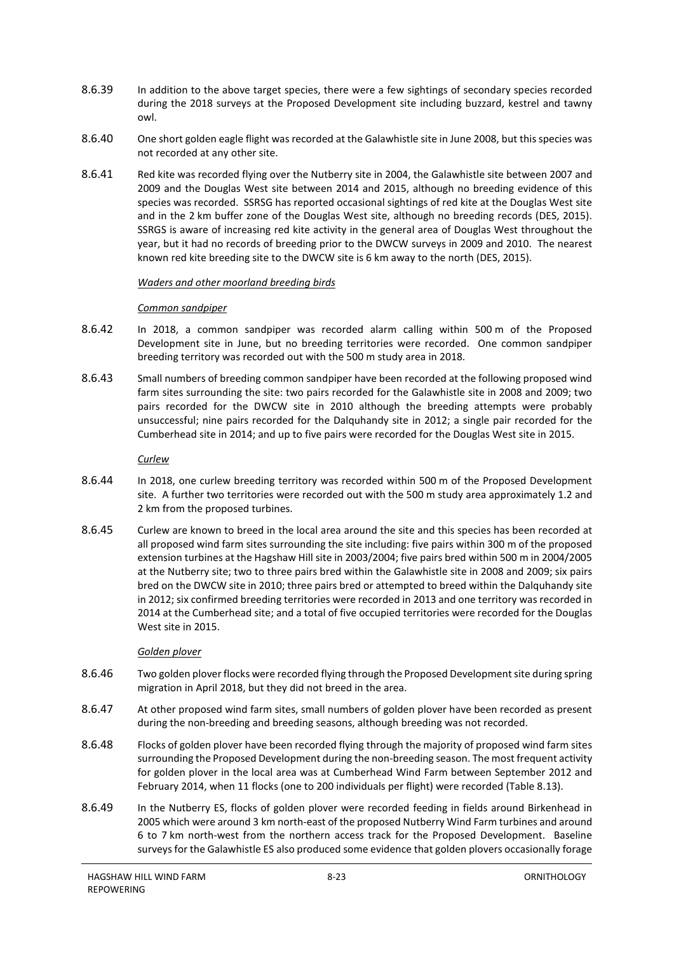- 8.6.39 In addition to the above target species, there were a few sightings of secondary species recorded during the 2018 surveys at the Proposed Development site including buzzard, kestrel and tawny owl.
- 8.6.40 One short golden eagle flight was recorded at the Galawhistle site in June 2008, but this species was not recorded at any other site.
- 8.6.41 Red kite was recorded flying over the Nutberry site in 2004, the Galawhistle site between 2007 and 2009 and the Douglas West site between 2014 and 2015, although no breeding evidence of this species was recorded. SSRSG has reported occasional sightings of red kite at the Douglas West site and in the 2 km buffer zone of the Douglas West site, although no breeding records (DES, 2015). SSRGS is aware of increasing red kite activity in the general area of Douglas West throughout the year, but it had no records of breeding prior to the DWCW surveys in 2009 and 2010. The nearest known red kite breeding site to the DWCW site is 6 km away to the north (DES, 2015).

#### *Waders and other moorland breeding birds*

#### *Common sandpiper*

- 8.6.42 In 2018, a common sandpiper was recorded alarm calling within 500 m of the Proposed Development site in June, but no breeding territories were recorded. One common sandpiper breeding territory was recorded out with the 500 m study area in 2018.
- 8.6.43 Small numbers of breeding common sandpiper have been recorded at the following proposed wind farm sites surrounding the site: two pairs recorded for the Galawhistle site in 2008 and 2009; two pairs recorded for the DWCW site in 2010 although the breeding attempts were probably unsuccessful; nine pairs recorded for the Dalquhandy site in 2012; a single pair recorded for the Cumberhead site in 2014; and up to five pairs were recorded for the Douglas West site in 2015.

#### *Curlew*

- 8.6.44 In 2018, one curlew breeding territory was recorded within 500 m of the Proposed Development site. A further two territories were recorded out with the 500 m study area approximately 1.2 and 2 km from the proposed turbines.
- 8.6.45 Curlew are known to breed in the local area around the site and this species has been recorded at all proposed wind farm sites surrounding the site including: five pairs within 300 m of the proposed extension turbines at the Hagshaw Hill site in 2003/2004; five pairs bred within 500 m in 2004/2005 at the Nutberry site; two to three pairs bred within the Galawhistle site in 2008 and 2009; six pairs bred on the DWCW site in 2010; three pairs bred or attempted to breed within the Dalquhandy site in 2012; six confirmed breeding territories were recorded in 2013 and one territory was recorded in 2014 at the Cumberhead site; and a total of five occupied territories were recorded for the Douglas West site in 2015.

#### *Golden plover*

- 8.6.46 Two golden plover flocks were recorded flying through the Proposed Development site during spring migration in April 2018, but they did not breed in the area.
- 8.6.47 At other proposed wind farm sites, small numbers of golden plover have been recorded as present during the non-breeding and breeding seasons, although breeding was not recorded.
- 8.6.48 Flocks of golden plover have been recorded flying through the majority of proposed wind farm sites surrounding the Proposed Development during the non-breeding season. The most frequent activity for golden plover in the local area was at Cumberhead Wind Farm between September 2012 and February 2014, when 11 flocks (one to 200 individuals per flight) were recorded (Table 8.13).
- 8.6.49 In the Nutberry ES, flocks of golden plover were recorded feeding in fields around Birkenhead in 2005 which were around 3 km north-east of the proposed Nutberry Wind Farm turbines and around 6 to 7 km north-west from the northern access track for the Proposed Development. Baseline surveys for the Galawhistle ES also produced some evidence that golden plovers occasionally forage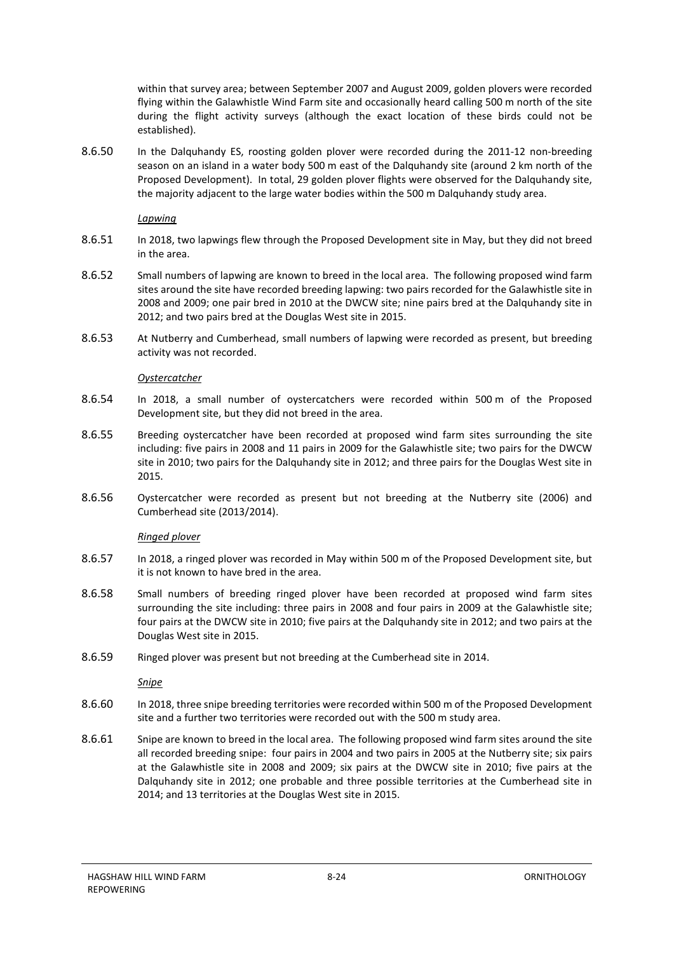within that survey area; between September 2007 and August 2009, golden plovers were recorded flying within the Galawhistle Wind Farm site and occasionally heard calling 500 m north of the site during the flight activity surveys (although the exact location of these birds could not be established).

8.6.50 In the Dalquhandy ES, roosting golden plover were recorded during the 2011-12 non-breeding season on an island in a water body 500 m east of the Dalquhandy site (around 2 km north of the Proposed Development). In total, 29 golden plover flights were observed for the Dalquhandy site, the majority adjacent to the large water bodies within the 500 m Dalquhandy study area.

#### *Lapwing*

- 8.6.51 In 2018, two lapwings flew through the Proposed Development site in May, but they did not breed in the area.
- 8.6.52 Small numbers of lapwing are known to breed in the local area. The following proposed wind farm sites around the site have recorded breeding lapwing: two pairs recorded for the Galawhistle site in 2008 and 2009; one pair bred in 2010 at the DWCW site; nine pairs bred at the Dalquhandy site in 2012; and two pairs bred at the Douglas West site in 2015.
- 8.6.53 At Nutberry and Cumberhead, small numbers of lapwing were recorded as present, but breeding activity was not recorded.

#### *Oystercatcher*

- 8.6.54 In 2018, a small number of oystercatchers were recorded within 500 m of the Proposed Development site, but they did not breed in the area.
- 8.6.55 Breeding oystercatcher have been recorded at proposed wind farm sites surrounding the site including: five pairs in 2008 and 11 pairs in 2009 for the Galawhistle site; two pairs for the DWCW site in 2010; two pairs for the Dalquhandy site in 2012; and three pairs for the Douglas West site in 2015.
- 8.6.56 Oystercatcher were recorded as present but not breeding at the Nutberry site (2006) and Cumberhead site (2013/2014).

#### *Ringed plover*

- 8.6.57 In 2018, a ringed plover was recorded in May within 500 m of the Proposed Development site, but it is not known to have bred in the area.
- 8.6.58 Small numbers of breeding ringed plover have been recorded at proposed wind farm sites surrounding the site including: three pairs in 2008 and four pairs in 2009 at the Galawhistle site; four pairs at the DWCW site in 2010; five pairs at the Dalquhandy site in 2012; and two pairs at the Douglas West site in 2015.
- 8.6.59 Ringed plover was present but not breeding at the Cumberhead site in 2014.

*Snipe* 

- 8.6.60 In 2018, three snipe breeding territories were recorded within 500 m of the Proposed Development site and a further two territories were recorded out with the 500 m study area.
- 8.6.61 Snipe are known to breed in the local area. The following proposed wind farm sites around the site all recorded breeding snipe: four pairs in 2004 and two pairs in 2005 at the Nutberry site; six pairs at the Galawhistle site in 2008 and 2009; six pairs at the DWCW site in 2010; five pairs at the Dalquhandy site in 2012; one probable and three possible territories at the Cumberhead site in 2014; and 13 territories at the Douglas West site in 2015.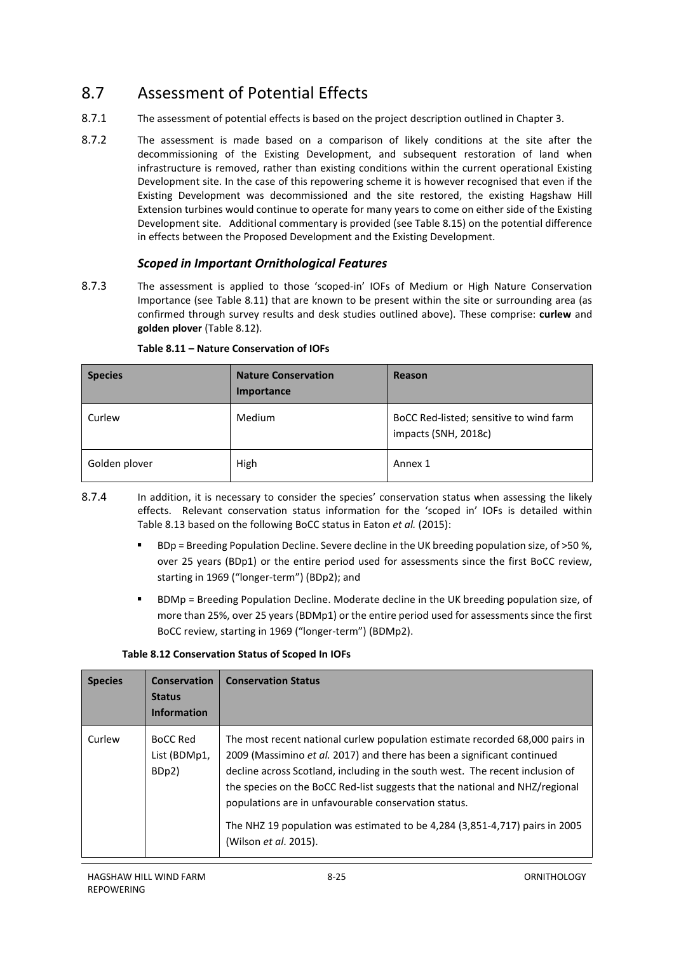# <span id="page-26-0"></span>8.7 Assessment of Potential Effects

- 8.7.1 The assessment of potential effects is based on the project description outlined in Chapter 3.
- 8.7.2 The assessment is made based on a comparison of likely conditions at the site after the decommissioning of the Existing Development, and subsequent restoration of land when infrastructure is removed, rather than existing conditions within the current operational Existing Development site. In the case of this repowering scheme it is however recognised that even if the Existing Development was decommissioned and the site restored, the existing Hagshaw Hill Extension turbines would continue to operate for many years to come on either side of the Existing Development site. Additional commentary is provided (see Table 8.15) on the potential difference in effects between the Proposed Development and the Existing Development.

# *Scoped in Important Ornithological Features*

<span id="page-26-1"></span>8.7.3 The assessment is applied to those 'scoped-in' IOFs of Medium or High Nature Conservation Importance (see Table 8.11) that are known to be present within the site or surrounding area (as confirmed through survey results and desk studies outlined above). These comprise: **curlew** and **golden plover** (Table 8.12).

| <b>Species</b> | <b>Nature Conservation</b><br>Importance | Reason                                                          |
|----------------|------------------------------------------|-----------------------------------------------------------------|
| Curlew         | Medium                                   | BoCC Red-listed; sensitive to wind farm<br>impacts (SNH, 2018c) |
| Golden plover  | High                                     | Annex 1                                                         |

#### **Table 8.11 – Nature Conservation of IOFs**

- 8.7.4 In addition, it is necessary to consider the species' conservation status when assessing the likely effects. Relevant conservation status information for the 'scoped in' IOFs is detailed within Table 8.13 based on the following BoCC status in Eaton *et al.* (2015):
	- BDp = Breeding Population Decline. Severe decline in the UK breeding population size, of >50 %, over 25 years (BDp1) or the entire period used for assessments since the first BoCC review, starting in 1969 ("longer-term") (BDp2); and
	- **BDMp = Breeding Population Decline. Moderate decline in the UK breeding population size, of** more than 25%, over 25 years (BDMp1) or the entire period used for assessments since the first BoCC review, starting in 1969 ("longer-term") (BDMp2).

# **Table 8.12 Conservation Status of Scoped In IOFs**

| <b>Species</b> | Conservation<br><b>Status</b><br><b>Information</b> | <b>Conservation Status</b>                                                                                                                                                                                                                                                                                                                                                                                                                                                               |
|----------------|-----------------------------------------------------|------------------------------------------------------------------------------------------------------------------------------------------------------------------------------------------------------------------------------------------------------------------------------------------------------------------------------------------------------------------------------------------------------------------------------------------------------------------------------------------|
| Curlew         | BoCC Red<br>List (BDMp1,<br>BDp2)                   | The most recent national curlew population estimate recorded 68,000 pairs in<br>2009 (Massimino et al. 2017) and there has been a significant continued<br>decline across Scotland, including in the south west. The recent inclusion of<br>the species on the BoCC Red-list suggests that the national and NHZ/regional<br>populations are in unfavourable conservation status.<br>The NHZ 19 population was estimated to be 4,284 (3,851-4,717) pairs in 2005<br>(Wilson et al. 2015). |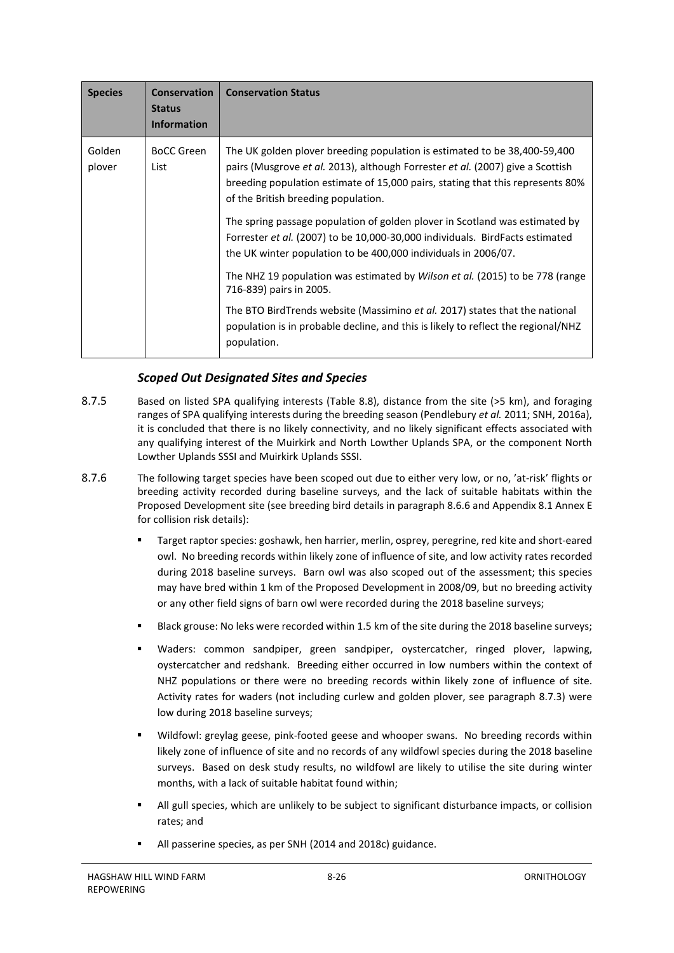| <b>Species</b>   | <b>Conservation</b><br><b>Status</b><br><b>Information</b> | <b>Conservation Status</b>                                                                                                                                                                                                                                                                                                                                                                                                                                                                                                                                                                                                                                                                                                                                                                                          |
|------------------|------------------------------------------------------------|---------------------------------------------------------------------------------------------------------------------------------------------------------------------------------------------------------------------------------------------------------------------------------------------------------------------------------------------------------------------------------------------------------------------------------------------------------------------------------------------------------------------------------------------------------------------------------------------------------------------------------------------------------------------------------------------------------------------------------------------------------------------------------------------------------------------|
| Golden<br>plover | <b>BoCC Green</b><br>List                                  | The UK golden plover breeding population is estimated to be 38,400-59,400<br>pairs (Musgrove et al. 2013), although Forrester et al. (2007) give a Scottish<br>breeding population estimate of 15,000 pairs, stating that this represents 80%<br>of the British breeding population.<br>The spring passage population of golden plover in Scotland was estimated by<br>Forrester et al. (2007) to be 10,000-30,000 individuals. BirdFacts estimated<br>the UK winter population to be 400,000 individuals in 2006/07.<br>The NHZ 19 population was estimated by Wilson et al. (2015) to be 778 (range<br>716-839) pairs in 2005.<br>The BTO BirdTrends website (Massimino et al. 2017) states that the national<br>population is in probable decline, and this is likely to reflect the regional/NHZ<br>population. |

# *Scoped Out Designated Sites and Species*

- 8.7.5 Based on listed SPA qualifying interests (Table 8.8), distance from the site (>5 km), and foraging ranges of SPA qualifying interests during the breeding season (Pendlebury *et al.* 2011; SNH, 2016a), it is concluded that there is no likely connectivity, and no likely significant effects associated with any qualifying interest of the Muirkirk and North Lowther Uplands SPA, or the component North Lowther Uplands SSSI and Muirkirk Uplands SSSI.
- 8.7.6 The following target species have been scoped out due to either very low, or no, 'at-risk' flights or breeding activity recorded during baseline surveys, and the lack of suitable habitats within the Proposed Development site (see breeding bird details in paragraph [8.6.6](#page-21-0) and Appendix 8.1 Annex E for collision risk details):
	- Target raptor species: goshawk, hen harrier, merlin, osprey, peregrine, red kite and short-eared owl. No breeding records within likely zone of influence of site, and low activity rates recorded during 2018 baseline surveys. Barn owl was also scoped out of the assessment; this species may have bred within 1 km of the Proposed Development in 2008/09, but no breeding activity or any other field signs of barn owl were recorded during the 2018 baseline surveys;
	- Black grouse: No leks were recorded within 1.5 km of the site during the 2018 baseline surveys;
	- Waders: common sandpiper, green sandpiper, oystercatcher, ringed plover, lapwing, oystercatcher and redshank. Breeding either occurred in low numbers within the context of NHZ populations or there were no breeding records within likely zone of influence of site. Activity rates for waders (not including curlew and golden plover, see paragraph [8.7.3\)](#page-26-1) were low during 2018 baseline surveys;
	- Wildfowl: greylag geese, pink-footed geese and whooper swans. No breeding records within likely zone of influence of site and no records of any wildfowl species during the 2018 baseline surveys. Based on desk study results, no wildfowl are likely to utilise the site during winter months, with a lack of suitable habitat found within;
	- All gull species, which are unlikely to be subject to significant disturbance impacts, or collision rates; and
	- All passerine species, as per SNH (2014 and 2018c) guidance.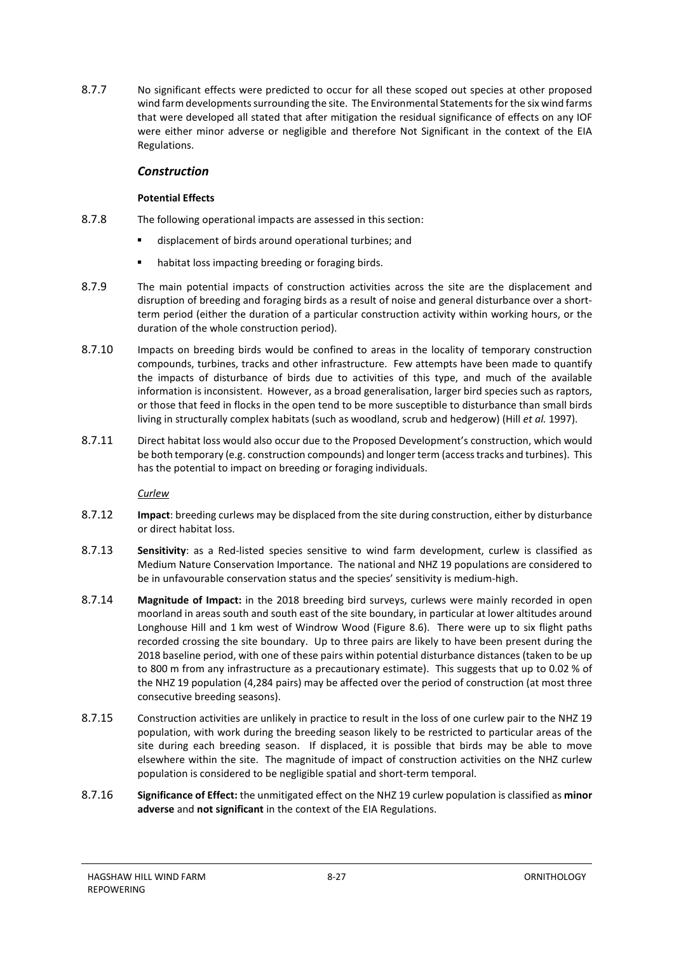8.7.7 No significant effects were predicted to occur for all these scoped out species at other proposed wind farm developments surrounding the site. The Environmental Statements for the six wind farms that were developed all stated that after mitigation the residual significance of effects on any IOF were either minor adverse or negligible and therefore Not Significant in the context of the EIA Regulations.

# *Construction*

### **Potential Effects**

- 8.7.8 The following operational impacts are assessed in this section:
	- displacement of birds around operational turbines; and
	- **•** habitat loss impacting breeding or foraging birds.
- 8.7.9 The main potential impacts of construction activities across the site are the displacement and disruption of breeding and foraging birds as a result of noise and general disturbance over a shortterm period (either the duration of a particular construction activity within working hours, or the duration of the whole construction period).
- 8.7.10 Impacts on breeding birds would be confined to areas in the locality of temporary construction compounds, turbines, tracks and other infrastructure. Few attempts have been made to quantify the impacts of disturbance of birds due to activities of this type, and much of the available information is inconsistent. However, as a broad generalisation, larger bird species such as raptors, or those that feed in flocks in the open tend to be more susceptible to disturbance than small birds living in structurally complex habitats (such as woodland, scrub and hedgerow) (Hill *et al.* 1997).
- 8.7.11 Direct habitat loss would also occur due to the Proposed Development's construction, which would be both temporary (e.g. construction compounds) and longer term (access tracks and turbines). This has the potential to impact on breeding or foraging individuals.

# *Curlew*

- 8.7.12 **Impact**: breeding curlews may be displaced from the site during construction, either by disturbance or direct habitat loss.
- 8.7.13 **Sensitivity**: as a Red-listed species sensitive to wind farm development, curlew is classified as Medium Nature Conservation Importance. The national and NHZ 19 populations are considered to be in unfavourable conservation status and the species' sensitivity is medium-high.
- 8.7.14 **Magnitude of Impact:** in the 2018 breeding bird surveys, curlews were mainly recorded in open moorland in areas south and south east of the site boundary, in particular at lower altitudes around Longhouse Hill and 1 km west of Windrow Wood (Figure 8.6). There were up to six flight paths recorded crossing the site boundary. Up to three pairs are likely to have been present during the 2018 baseline period, with one of these pairs within potential disturbance distances (taken to be up to 800 m from any infrastructure as a precautionary estimate). This suggests that up to 0.02 % of the NHZ 19 population (4,284 pairs) may be affected over the period of construction (at most three consecutive breeding seasons).
- 8.7.15 Construction activities are unlikely in practice to result in the loss of one curlew pair to the NHZ 19 population, with work during the breeding season likely to be restricted to particular areas of the site during each breeding season. If displaced, it is possible that birds may be able to move elsewhere within the site. The magnitude of impact of construction activities on the NHZ curlew population is considered to be negligible spatial and short-term temporal.
- 8.7.16 **Significance of Effect:** the unmitigated effect on the NHZ 19 curlew population is classified as **minor adverse** and **not significant** in the context of the EIA Regulations.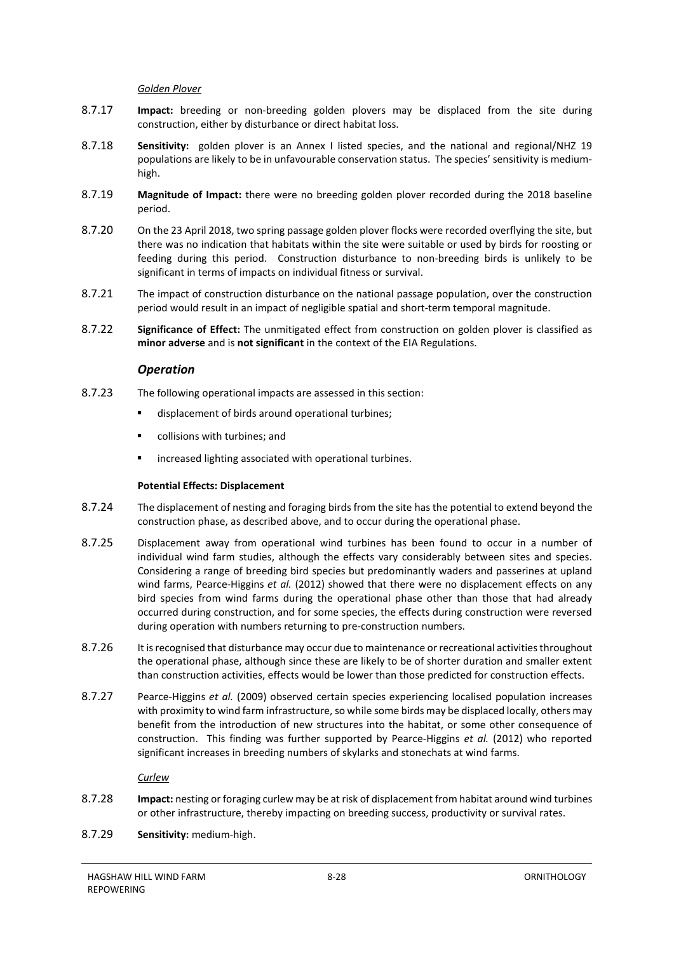#### *Golden Plover*

- 8.7.17 **Impact:** breeding or non-breeding golden plovers may be displaced from the site during construction, either by disturbance or direct habitat loss.
- 8.7.18 **Sensitivity:** golden plover is an Annex I listed species, and the national and regional/NHZ 19 populations are likely to be in unfavourable conservation status. The species' sensitivity is mediumhigh.
- 8.7.19 **Magnitude of Impact:** there were no breeding golden plover recorded during the 2018 baseline period.
- 8.7.20 On the 23 April 2018, two spring passage golden plover flocks were recorded overflying the site, but there was no indication that habitats within the site were suitable or used by birds for roosting or feeding during this period. Construction disturbance to non-breeding birds is unlikely to be significant in terms of impacts on individual fitness or survival.
- 8.7.21 The impact of construction disturbance on the national passage population, over the construction period would result in an impact of negligible spatial and short-term temporal magnitude.
- 8.7.22 **Significance of Effect:** The unmitigated effect from construction on golden plover is classified as **minor adverse** and is **not significant** in the context of the EIA Regulations.

### *Operation*

- 8.7.23 The following operational impacts are assessed in this section:
	- displacement of birds around operational turbines;
	- collisions with turbines; and
	- **EXEDENT INCREASED I** increased lighting associated with operational turbines.

#### **Potential Effects: Displacement**

- 8.7.24 The displacement of nesting and foraging birds from the site has the potential to extend beyond the construction phase, as described above, and to occur during the operational phase.
- 8.7.25 Displacement away from operational wind turbines has been found to occur in a number of individual wind farm studies, although the effects vary considerably between sites and species. Considering a range of breeding bird species but predominantly waders and passerines at upland wind farms, Pearce-Higgins *et al.* (2012) showed that there were no displacement effects on any bird species from wind farms during the operational phase other than those that had already occurred during construction, and for some species, the effects during construction were reversed during operation with numbers returning to pre-construction numbers.
- 8.7.26 It is recognised that disturbance may occur due to maintenance or recreational activities throughout the operational phase, although since these are likely to be of shorter duration and smaller extent than construction activities, effects would be lower than those predicted for construction effects.
- 8.7.27 Pearce-Higgins *et al.* (2009) observed certain species experiencing localised population increases with proximity to wind farm infrastructure, so while some birds may be displaced locally, others may benefit from the introduction of new structures into the habitat, or some other consequence of construction. This finding was further supported by Pearce-Higgins *et al.* (2012) who reported significant increases in breeding numbers of skylarks and stonechats at wind farms.

#### *Curlew*

- 8.7.28 **Impact:** nesting or foraging curlew may be at risk of displacement from habitat around wind turbines or other infrastructure, thereby impacting on breeding success, productivity or survival rates.
- 8.7.29 **Sensitivity:** medium-high.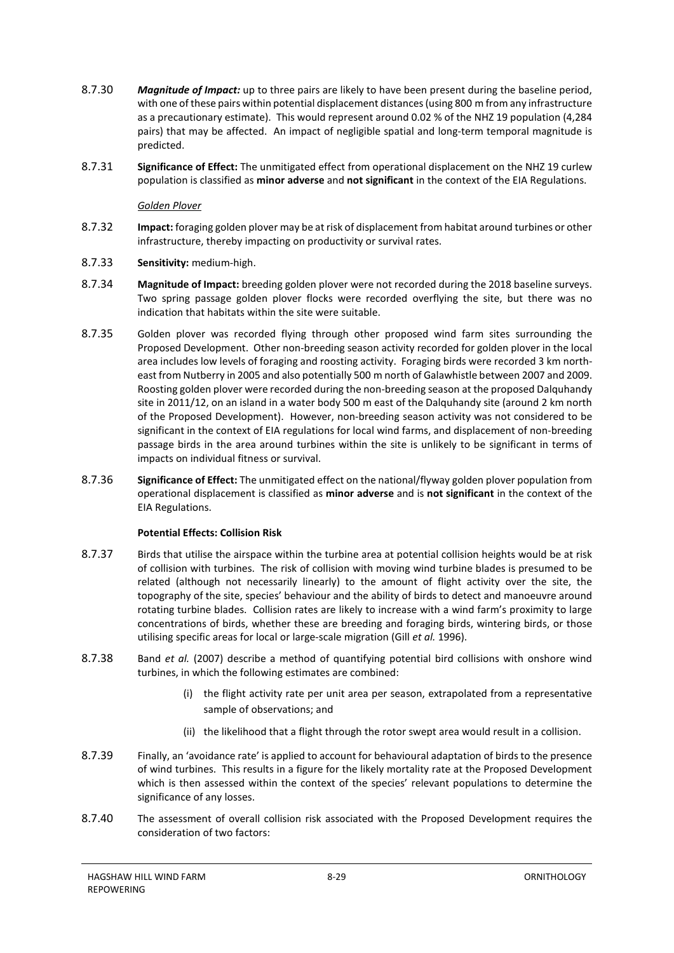- 8.7.30 *Magnitude of Impact:* up to three pairs are likely to have been present during the baseline period, with one of these pairs within potential displacement distances (using 800 m from any infrastructure as a precautionary estimate). This would represent around 0.02 % of the NHZ 19 population (4,284 pairs) that may be affected. An impact of negligible spatial and long-term temporal magnitude is predicted.
- 8.7.31 **Significance of Effect:** The unmitigated effect from operational displacement on the NHZ 19 curlew population is classified as **minor adverse** and **not significant** in the context of the EIA Regulations.

#### *Golden Plover*

- 8.7.32 **Impact:** foraging golden plover may be at risk of displacement from habitat around turbines or other infrastructure, thereby impacting on productivity or survival rates.
- 8.7.33 **Sensitivity:** medium-high.
- 8.7.34 **Magnitude of Impact:** breeding golden plover were not recorded during the 2018 baseline surveys. Two spring passage golden plover flocks were recorded overflying the site, but there was no indication that habitats within the site were suitable.
- 8.7.35 Golden plover was recorded flying through other proposed wind farm sites surrounding the Proposed Development. Other non-breeding season activity recorded for golden plover in the local area includes low levels of foraging and roosting activity. Foraging birds were recorded 3 km northeast from Nutberry in 2005 and also potentially 500 m north of Galawhistle between 2007 and 2009. Roosting golden plover were recorded during the non-breeding season at the proposed Dalquhandy site in 2011/12, on an island in a water body 500 m east of the Dalquhandy site (around 2 km north of the Proposed Development). However, non-breeding season activity was not considered to be significant in the context of EIA regulations for local wind farms, and displacement of non-breeding passage birds in the area around turbines within the site is unlikely to be significant in terms of impacts on individual fitness or survival.
- 8.7.36 **Significance of Effect:** The unmitigated effect on the national/flyway golden plover population from operational displacement is classified as **minor adverse** and is **not significant** in the context of the EIA Regulations.

#### **Potential Effects: Collision Risk**

- 8.7.37 Birds that utilise the airspace within the turbine area at potential collision heights would be at risk of collision with turbines. The risk of collision with moving wind turbine blades is presumed to be related (although not necessarily linearly) to the amount of flight activity over the site, the topography of the site, species' behaviour and the ability of birds to detect and manoeuvre around rotating turbine blades. Collision rates are likely to increase with a wind farm's proximity to large concentrations of birds, whether these are breeding and foraging birds, wintering birds, or those utilising specific areas for local or large-scale migration (Gill *et al.* 1996).
- 8.7.38 Band *et al.* (2007) describe a method of quantifying potential bird collisions with onshore wind turbines, in which the following estimates are combined:
	- (i) the flight activity rate per unit area per season, extrapolated from a representative sample of observations; and
	- (ii) the likelihood that a flight through the rotor swept area would result in a collision.
- 8.7.39 Finally, an 'avoidance rate' is applied to account for behavioural adaptation of birds to the presence of wind turbines. This results in a figure for the likely mortality rate at the Proposed Development which is then assessed within the context of the species' relevant populations to determine the significance of any losses.
- 8.7.40 The assessment of overall collision risk associated with the Proposed Development requires the consideration of two factors: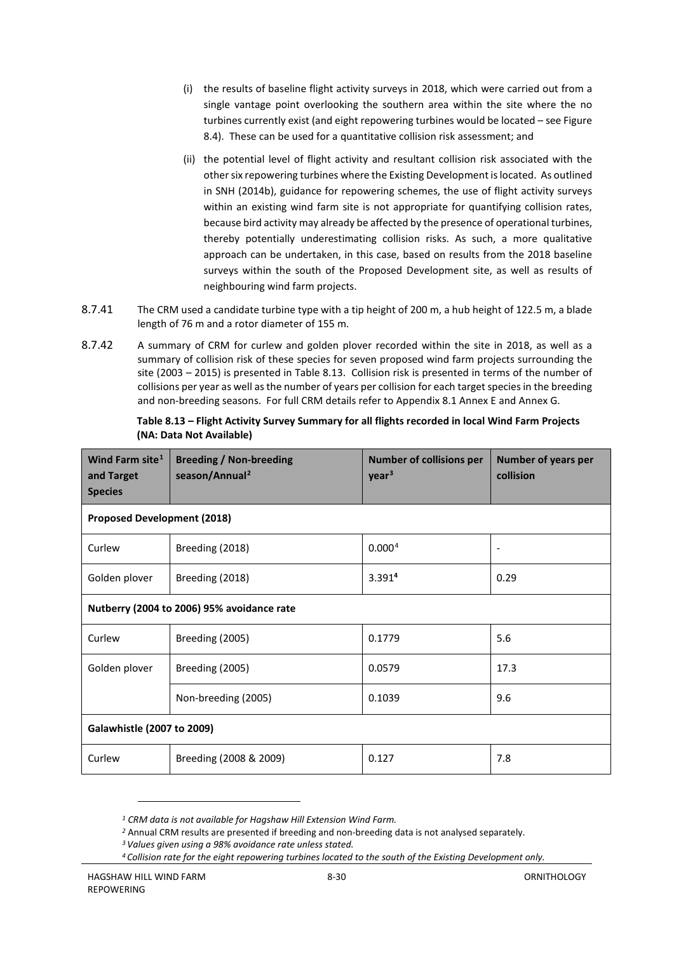- (i) the results of baseline flight activity surveys in 2018, which were carried out from a single vantage point overlooking the southern area within the site where the no turbines currently exist (and eight repowering turbines would be located – see Figure 8.4). These can be used for a quantitative collision risk assessment; and
- (ii) the potential level of flight activity and resultant collision risk associated with the other six repowering turbines where the Existing Development is located. As outlined in SNH (2014b), guidance for repowering schemes, the use of flight activity surveys within an existing wind farm site is not appropriate for quantifying collision rates, because bird activity may already be affected by the presence of operational turbines, thereby potentially underestimating collision risks. As such, a more qualitative approach can be undertaken, in this case, based on results from the 2018 baseline surveys within the south of the Proposed Development site, as well as results of neighbouring wind farm projects.
- 8.7.41 The CRM used a candidate turbine type with a tip height of 200 m, a hub height of 122.5 m, a blade length of 76 m and a rotor diameter of 155 m.
- 8.7.42 A summary of CRM for curlew and golden plover recorded within the site in 2018, as well as a summary of collision risk of these species for seven proposed wind farm projects surrounding the site (2003 – 2015) is presented in Table 8.13. Collision risk is presented in terms of the number of collisions per year as well as the number of years per collision for each target species in the breeding and non-breeding seasons. For full CRM details refer to Appendix 8.1 Annex E and Annex G.

| Wind Farm site <sup>1</sup><br>and Target<br><b>Species</b> | <b>Breeding / Non-breeding</b><br>season/Annual <sup>2</sup> | <b>Number of collisions per</b><br>year <sup>3</sup> | <b>Number of years per</b><br>collision |  |  |  |
|-------------------------------------------------------------|--------------------------------------------------------------|------------------------------------------------------|-----------------------------------------|--|--|--|
| <b>Proposed Development (2018)</b>                          |                                                              |                                                      |                                         |  |  |  |
| Curlew                                                      | Breeding (2018)                                              | 0.000 <sup>4</sup>                                   |                                         |  |  |  |
| Golden plover                                               | Breeding (2018)                                              | 3.391 <sup>4</sup>                                   | 0.29                                    |  |  |  |
|                                                             | Nutberry (2004 to 2006) 95% avoidance rate                   |                                                      |                                         |  |  |  |
| Curlew                                                      | Breeding (2005)                                              | 0.1779                                               | 5.6                                     |  |  |  |
| Golden plover                                               | Breeding (2005)                                              | 0.0579                                               | 17.3                                    |  |  |  |
|                                                             | Non-breeding (2005)                                          | 0.1039                                               | 9.6                                     |  |  |  |
| <b>Galawhistle (2007 to 2009)</b>                           |                                                              |                                                      |                                         |  |  |  |
| Curlew                                                      | Breeding (2008 & 2009)                                       | 0.127                                                | 7.8                                     |  |  |  |

<span id="page-31-0"></span>**Table 8.13 – Flight Activity Survey Summary for all flights recorded in local Wind Farm Projects (NA: Data Not Available)**

<span id="page-31-1"></span>*<sup>1</sup> CRM data is not available for Hagshaw Hill Extension Wind Farm.*

*<sup>2</sup>* Annual CRM results are presented if breeding and non-breeding data is not analysed separately.

<span id="page-31-3"></span><span id="page-31-2"></span>*<sup>3</sup> Values given using a 98% avoidance rate unless stated.*

<span id="page-31-4"></span>*<sup>4</sup> Collision rate for the eight repowering turbines located to the south of the Existing Development only.*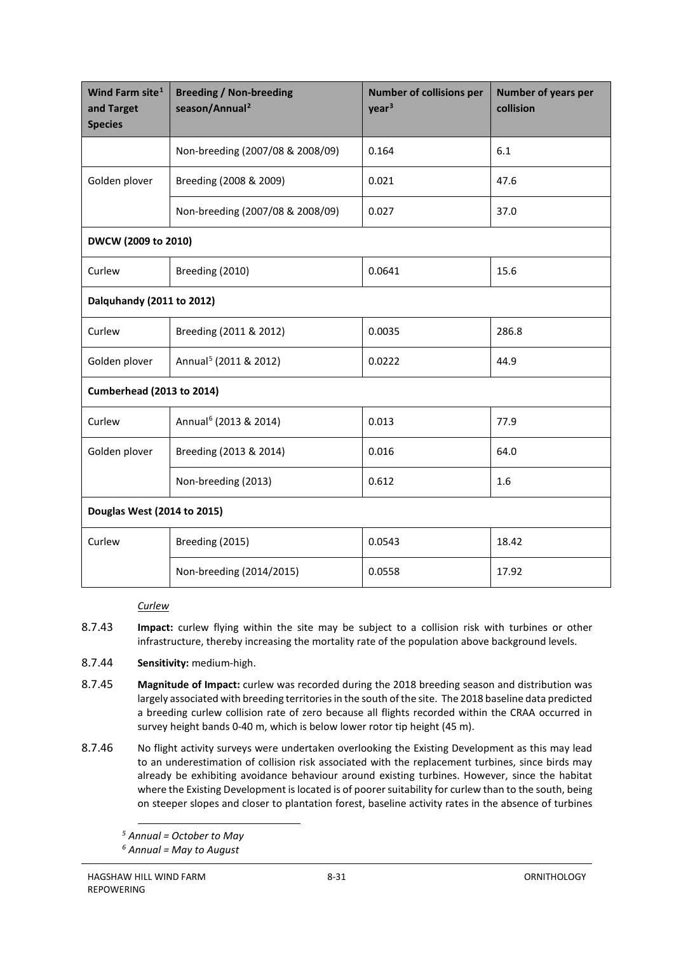| Wind Farm site <sup>1</sup><br>and Target<br><b>Species</b> | <b>Breeding / Non-breeding</b><br>season/Annual <sup>2</sup> | <b>Number of collisions per</b><br>year <sup>3</sup> | <b>Number of years per</b><br>collision |  |
|-------------------------------------------------------------|--------------------------------------------------------------|------------------------------------------------------|-----------------------------------------|--|
|                                                             | Non-breeding (2007/08 & 2008/09)                             | 0.164                                                | 6.1                                     |  |
| Golden plover                                               | Breeding (2008 & 2009)                                       | 0.021                                                | 47.6                                    |  |
|                                                             | Non-breeding (2007/08 & 2008/09)                             | 0.027                                                | 37.0                                    |  |
| DWCW (2009 to 2010)                                         |                                                              |                                                      |                                         |  |
| Curlew                                                      | Breeding (2010)                                              | 0.0641                                               | 15.6                                    |  |
| Dalquhandy (2011 to 2012)                                   |                                                              |                                                      |                                         |  |
| Curlew                                                      | Breeding (2011 & 2012)                                       | 0.0035                                               | 286.8                                   |  |
| Golden plover                                               | Annual <sup>5</sup> (2011 & 2012)                            | 0.0222                                               | 44.9                                    |  |
| <b>Cumberhead (2013 to 2014)</b>                            |                                                              |                                                      |                                         |  |
| Curlew                                                      | Annual <sup>6</sup> (2013 & 2014)                            | 0.013                                                | 77.9                                    |  |
| Golden plover                                               | Breeding (2013 & 2014)                                       | 0.016                                                | 64.0                                    |  |
|                                                             | Non-breeding (2013)                                          | 0.612                                                | 1.6                                     |  |
| Douglas West (2014 to 2015)                                 |                                                              |                                                      |                                         |  |
| Curlew                                                      | Breeding (2015)                                              | 0.0543                                               | 18.42                                   |  |
|                                                             | Non-breeding (2014/2015)                                     | 0.0558                                               | 17.92                                   |  |

*Curlew* 

8.7.43 **Impact:** curlew flying within the site may be subject to a collision risk with turbines or other infrastructure, thereby increasing the mortality rate of the population above background levels.

8.7.44 **Sensitivity:** medium-high.

- 8.7.45 **Magnitude of Impact:** curlew was recorded during the 2018 breeding season and distribution was largely associated with breeding territories in the south of the site. The 2018 baseline data predicted a breeding curlew collision rate of zero because all flights recorded within the CRAA occurred in survey height bands 0-40 m, which is below lower rotor tip height (45 m).
- 8.7.46 No flight activity surveys were undertaken overlooking the Existing Development as this may lead to an underestimation of collision risk associated with the replacement turbines, since birds may already be exhibiting avoidance behaviour around existing turbines. However, since the habitat where the Existing Development is located is of poorer suitability for curlew than to the south, being on steeper slopes and closer to plantation forest, baseline activity rates in the absence of turbines

 *<sup>5</sup> Annual = October to May*

<span id="page-32-1"></span><span id="page-32-0"></span>*<sup>6</sup> Annual = May to August*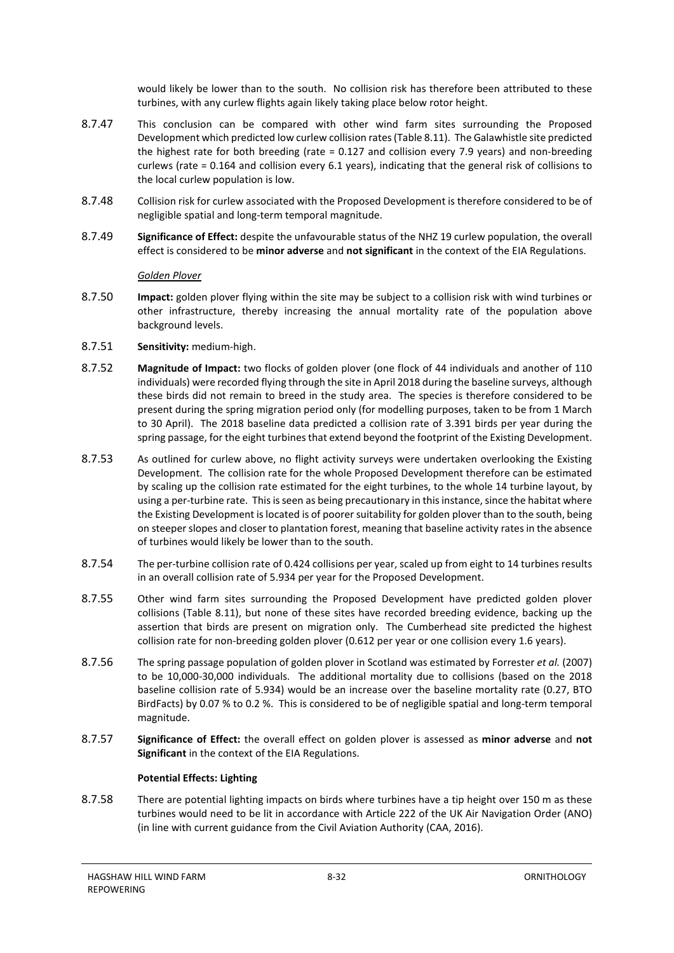would likely be lower than to the south. No collision risk has therefore been attributed to these turbines, with any curlew flights again likely taking place below rotor height.

- 8.7.47 This conclusion can be compared with other wind farm sites surrounding the Proposed Development which predicted low curlew collision rates (Table 8.11). The Galawhistle site predicted the highest rate for both breeding (rate = 0.127 and collision every 7.9 years) and non-breeding curlews (rate = 0.164 and collision every 6.1 years), indicating that the general risk of collisions to the local curlew population is low.
- 8.7.48 Collision risk for curlew associated with the Proposed Development is therefore considered to be of negligible spatial and long-term temporal magnitude.
- 8.7.49 **Significance of Effect:** despite the unfavourable status of the NHZ 19 curlew population, the overall effect is considered to be **minor adverse** and **not significant** in the context of the EIA Regulations.

#### *Golden Plover*

- 8.7.50 **Impact:** golden plover flying within the site may be subject to a collision risk with wind turbines or other infrastructure, thereby increasing the annual mortality rate of the population above background levels.
- 8.7.51 **Sensitivity:** medium-high.
- 8.7.52 **Magnitude of Impact:** two flocks of golden plover (one flock of 44 individuals and another of 110 individuals) were recorded flying through the site in April 2018 during the baseline surveys, although these birds did not remain to breed in the study area. The species is therefore considered to be present during the spring migration period only (for modelling purposes, taken to be from 1 March to 30 April). The 2018 baseline data predicted a collision rate of 3.391 birds per year during the spring passage, for the eight turbines that extend beyond the footprint of the Existing Development.
- 8.7.53 As outlined for curlew above, no flight activity surveys were undertaken overlooking the Existing Development. The collision rate for the whole Proposed Development therefore can be estimated by scaling up the collision rate estimated for the eight turbines, to the whole 14 turbine layout, by using a per-turbine rate. This is seen as being precautionary in this instance, since the habitat where the Existing Development is located is of poorer suitability for golden plover than to the south, being on steeper slopes and closer to plantation forest, meaning that baseline activity rates in the absence of turbines would likely be lower than to the south.
- 8.7.54 The per-turbine collision rate of 0.424 collisions per year, scaled up from eight to 14 turbines results in an overall collision rate of 5.934 per year for the Proposed Development.
- 8.7.55 Other wind farm sites surrounding the Proposed Development have predicted golden plover collisions (Table 8.11), but none of these sites have recorded breeding evidence, backing up the assertion that birds are present on migration only. The Cumberhead site predicted the highest collision rate for non-breeding golden plover (0.612 per year or one collision every 1.6 years).
- 8.7.56 The spring passage population of golden plover in Scotland was estimated by Forrester *et al.* (2007) to be 10,000-30,000 individuals. The additional mortality due to collisions (based on the 2018 baseline collision rate of 5.934) would be an increase over the baseline mortality rate (0.27, BTO BirdFacts) by 0.07 % to 0.2 %. This is considered to be of negligible spatial and long-term temporal magnitude.
- 8.7.57 **Significance of Effect:** the overall effect on golden plover is assessed as **minor adverse** and **not Significant** in the context of the EIA Regulations.

#### **Potential Effects: Lighting**

8.7.58 There are potential lighting impacts on birds where turbines have a tip height over 150 m as these turbines would need to be lit in accordance with Article 222 of the UK Air Navigation Order (ANO) (in line with current guidance from the Civil Aviation Authority (CAA, 2016).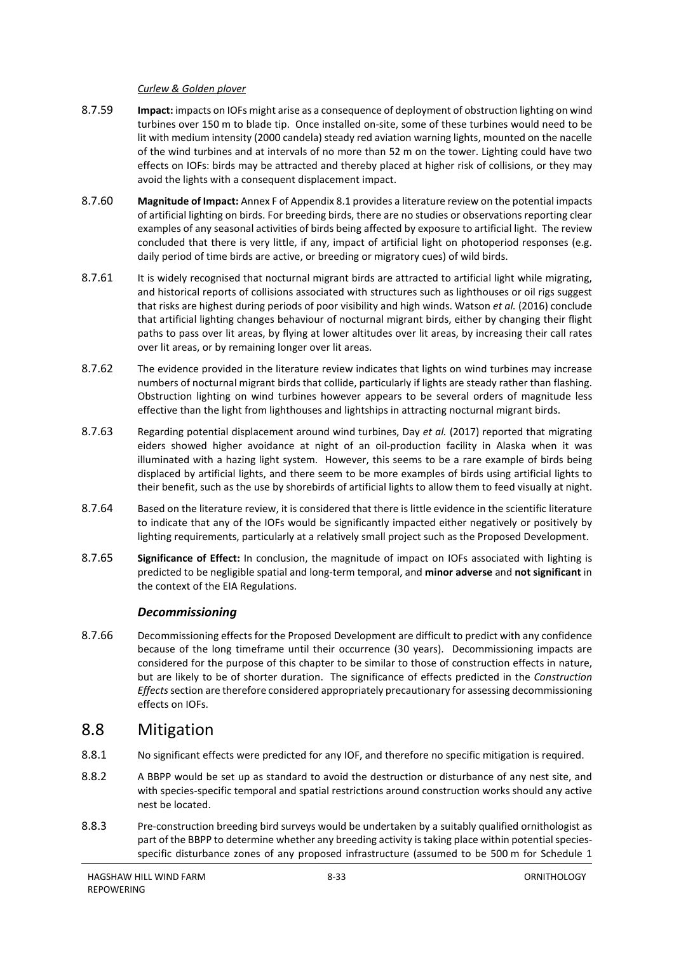#### *Curlew & Golden plover*

- 8.7.59 **Impact:** impacts on IOFs might arise as a consequence of deployment of obstruction lighting on wind turbines over 150 m to blade tip. Once installed on-site, some of these turbines would need to be lit with medium intensity (2000 candela) steady red aviation warning lights, mounted on the nacelle of the wind turbines and at intervals of no more than 52 m on the tower. Lighting could have two effects on IOFs: birds may be attracted and thereby placed at higher risk of collisions, or they may avoid the lights with a consequent displacement impact.
- 8.7.60 **Magnitude of Impact:** Annex F of Appendix 8.1 provides a literature review on the potential impacts of artificial lighting on birds. For breeding birds, there are no studies or observations reporting clear examples of any seasonal activities of birds being affected by exposure to artificial light. The review concluded that there is very little, if any, impact of artificial light on photoperiod responses (e.g. daily period of time birds are active, or breeding or migratory cues) of wild birds.
- 8.7.61 It is widely recognised that nocturnal migrant birds are attracted to artificial light while migrating, and historical reports of collisions associated with structures such as lighthouses or oil rigs suggest that risks are highest during periods of poor visibility and high winds. Watson *et al.* (2016) conclude that artificial lighting changes behaviour of nocturnal migrant birds, either by changing their flight paths to pass over lit areas, by flying at lower altitudes over lit areas, by increasing their call rates over lit areas, or by remaining longer over lit areas.
- 8.7.62 The evidence provided in the literature review indicates that lights on wind turbines may increase numbers of nocturnal migrant birds that collide, particularly if lights are steady rather than flashing. Obstruction lighting on wind turbines however appears to be several orders of magnitude less effective than the light from lighthouses and lightships in attracting nocturnal migrant birds.
- 8.7.63 Regarding potential displacement around wind turbines, Day *et al.* (2017) reported that migrating eiders showed higher avoidance at night of an oil-production facility in Alaska when it was illuminated with a hazing light system. However, this seems to be a rare example of birds being displaced by artificial lights, and there seem to be more examples of birds using artificial lights to their benefit, such as the use by shorebirds of artificial lights to allow them to feed visually at night.
- 8.7.64 Based on the literature review, it is considered that there is little evidence in the scientific literature to indicate that any of the IOFs would be significantly impacted either negatively or positively by lighting requirements, particularly at a relatively small project such as the Proposed Development.
- 8.7.65 **Significance of Effect:** In conclusion, the magnitude of impact on IOFs associated with lighting is predicted to be negligible spatial and long-term temporal, and **minor adverse** and **not significant** in the context of the EIA Regulations.

# *Decommissioning*

8.7.66 Decommissioning effects for the Proposed Development are difficult to predict with any confidence because of the long timeframe until their occurrence (30 years). Decommissioning impacts are considered for the purpose of this chapter to be similar to those of construction effects in nature, but are likely to be of shorter duration. The significance of effects predicted in the *Construction Effects*section are therefore considered appropriately precautionary for assessing decommissioning effects on IOFs.

# <span id="page-34-0"></span>8.8 Mitigation

- 8.8.1 No significant effects were predicted for any IOF, and therefore no specific mitigation is required.
- 8.8.2 A BBPP would be set up as standard to avoid the destruction or disturbance of any nest site, and with species-specific temporal and spatial restrictions around construction works should any active nest be located.
- 8.8.3 Pre-construction breeding bird surveys would be undertaken by a suitably qualified ornithologist as part of the BBPP to determine whether any breeding activity is taking place within potential speciesspecific disturbance zones of any proposed infrastructure (assumed to be 500 m for Schedule 1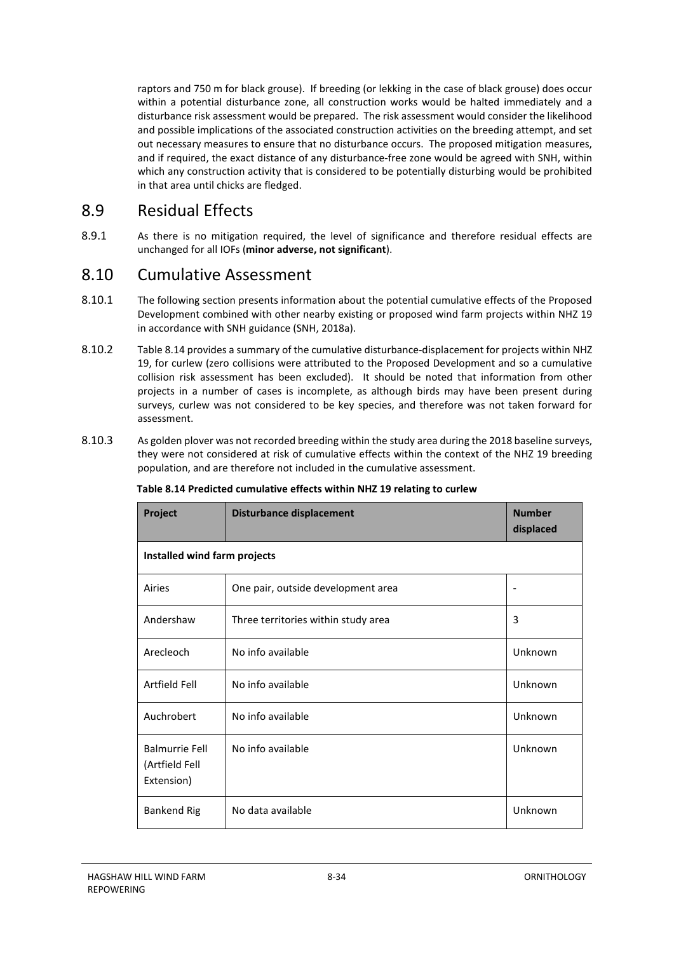raptors and 750 m for black grouse). If breeding (or lekking in the case of black grouse) does occur within a potential disturbance zone, all construction works would be halted immediately and a disturbance risk assessment would be prepared. The risk assessment would consider the likelihood and possible implications of the associated construction activities on the breeding attempt, and set out necessary measures to ensure that no disturbance occurs. The proposed mitigation measures, and if required, the exact distance of any disturbance-free zone would be agreed with SNH, within which any construction activity that is considered to be potentially disturbing would be prohibited in that area until chicks are fledged.

# <span id="page-35-0"></span>8.9 Residual Effects

8.9.1 As there is no mitigation required, the level of significance and therefore residual effects are unchanged for all IOFs (**minor adverse, not significant**).

# <span id="page-35-1"></span>8.10 Cumulative Assessment

- 8.10.1 The following section presents information about the potential cumulative effects of the Proposed Development combined with other nearby existing or proposed wind farm projects within NHZ 19 in accordance with SNH guidance (SNH, 2018a).
- 8.10.2 Table 8.14 provides a summary of the cumulative disturbance-displacement for projects within NHZ 19, for curlew (zero collisions were attributed to the Proposed Development and so a cumulative collision risk assessment has been excluded). It should be noted that information from other projects in a number of cases is incomplete, as although birds may have been present during surveys, curlew was not considered to be key species, and therefore was not taken forward for assessment.
- 8.10.3 As golden plover was not recorded breeding within the study area during the 2018 baseline surveys, they were not considered at risk of cumulative effects within the context of the NHZ 19 breeding population, and are therefore not included in the cumulative assessment.

| Project                                               | <b>Disturbance displacement</b>     | <b>Number</b><br>displaced |  |  |  |
|-------------------------------------------------------|-------------------------------------|----------------------------|--|--|--|
|                                                       | Installed wind farm projects        |                            |  |  |  |
| Airies                                                | One pair, outside development area  |                            |  |  |  |
| Andershaw                                             | Three territories within study area | 3                          |  |  |  |
| Arecleoch                                             | No info available                   | Unknown                    |  |  |  |
| Artfield Fell                                         | No info available                   | Unknown                    |  |  |  |
| Auchrobert                                            | No info available                   | Unknown                    |  |  |  |
| <b>Balmurrie Fell</b><br>(Artfield Fell<br>Extension) | No info available                   | Unknown                    |  |  |  |
| <b>Bankend Rig</b>                                    | No data available                   | Unknown                    |  |  |  |

|  | Table 8.14 Predicted cumulative effects within NHZ 19 relating to curlew |  |  |  |
|--|--------------------------------------------------------------------------|--|--|--|
|  |                                                                          |  |  |  |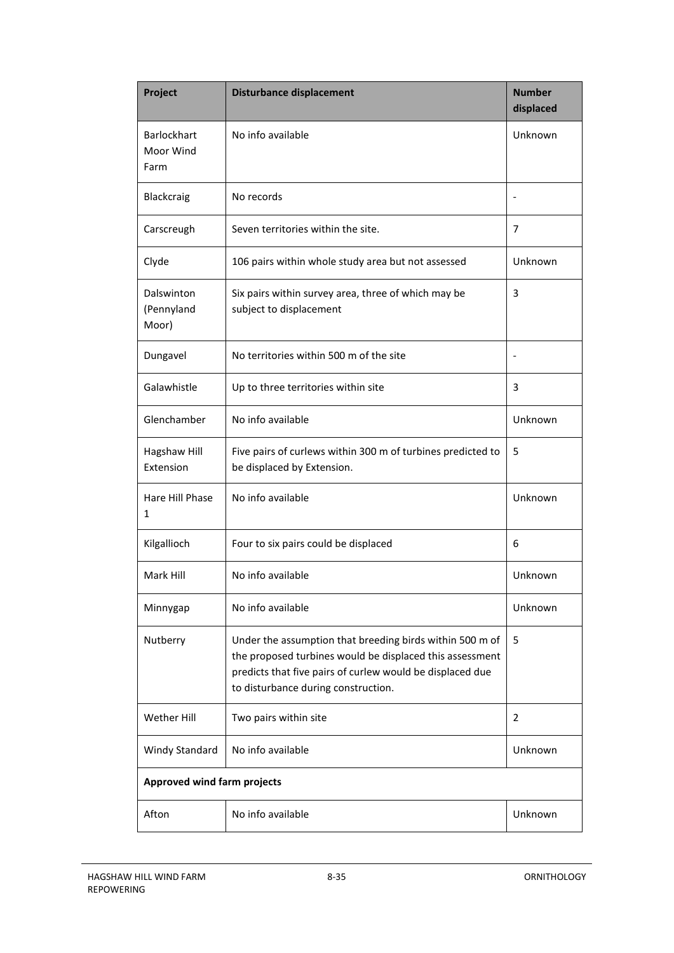| Project                           | <b>Disturbance displacement</b>                                                                                                                                                                                          | <b>Number</b><br>displaced |  |  |  |
|-----------------------------------|--------------------------------------------------------------------------------------------------------------------------------------------------------------------------------------------------------------------------|----------------------------|--|--|--|
| Barlockhart<br>Moor Wind<br>Farm  | No info available                                                                                                                                                                                                        | Unknown                    |  |  |  |
| Blackcraig                        | No records                                                                                                                                                                                                               |                            |  |  |  |
| Carscreugh                        | Seven territories within the site.                                                                                                                                                                                       | 7                          |  |  |  |
| Clyde                             | 106 pairs within whole study area but not assessed                                                                                                                                                                       | Unknown                    |  |  |  |
| Dalswinton<br>(Pennyland<br>Moor) | Six pairs within survey area, three of which may be<br>subject to displacement                                                                                                                                           | 3                          |  |  |  |
| Dungavel                          | No territories within 500 m of the site                                                                                                                                                                                  | $\overline{\phantom{0}}$   |  |  |  |
| Galawhistle                       | Up to three territories within site                                                                                                                                                                                      | 3                          |  |  |  |
| Glenchamber                       | No info available                                                                                                                                                                                                        | Unknown                    |  |  |  |
| Hagshaw Hill<br>Extension         | Five pairs of curlews within 300 m of turbines predicted to<br>be displaced by Extension.                                                                                                                                | 5                          |  |  |  |
| Hare Hill Phase<br>1              | No info available                                                                                                                                                                                                        | Unknown                    |  |  |  |
| Kilgallioch                       | Four to six pairs could be displaced                                                                                                                                                                                     | 6                          |  |  |  |
| Mark Hill                         | No info available                                                                                                                                                                                                        | Unknown                    |  |  |  |
| Minnygap                          | No info available                                                                                                                                                                                                        | Unknown                    |  |  |  |
| Nutberry                          | Under the assumption that breeding birds within 500 m of<br>the proposed turbines would be displaced this assessment<br>predicts that five pairs of curlew would be displaced due<br>to disturbance during construction. | 5                          |  |  |  |
| Wether Hill                       | Two pairs within site                                                                                                                                                                                                    | 2                          |  |  |  |
| Windy Standard                    | No info available                                                                                                                                                                                                        | Unknown                    |  |  |  |
|                                   | <b>Approved wind farm projects</b>                                                                                                                                                                                       |                            |  |  |  |
| Afton                             | No info available                                                                                                                                                                                                        | Unknown                    |  |  |  |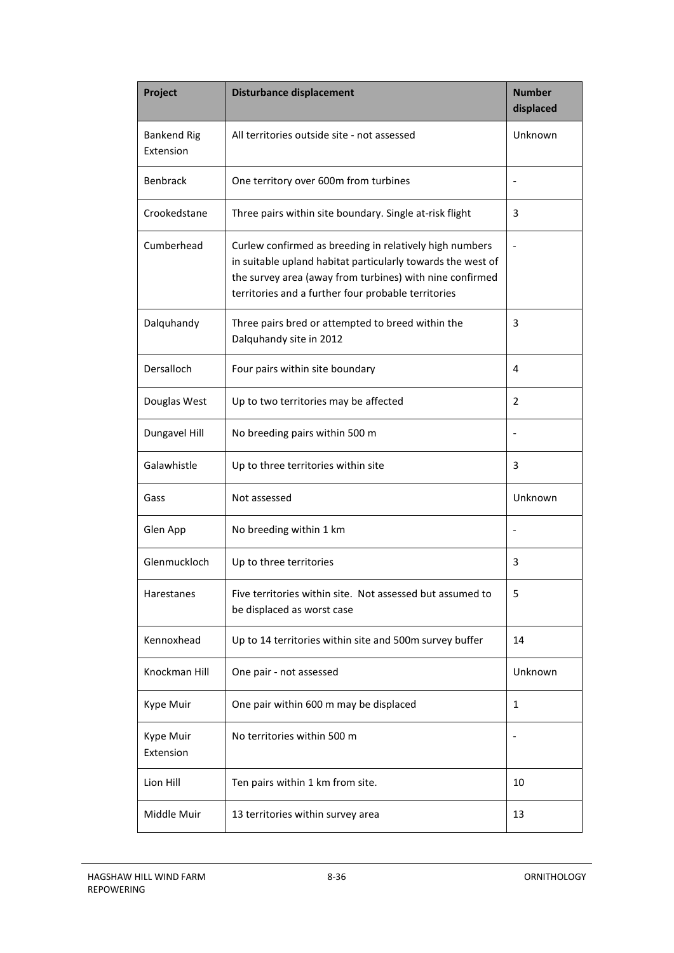| Project                         | <b>Disturbance displacement</b>                                                                                                                                                                                                           | <b>Number</b><br>displaced |
|---------------------------------|-------------------------------------------------------------------------------------------------------------------------------------------------------------------------------------------------------------------------------------------|----------------------------|
| <b>Bankend Rig</b><br>Extension | All territories outside site - not assessed                                                                                                                                                                                               | Unknown                    |
| <b>Benbrack</b>                 | One territory over 600m from turbines                                                                                                                                                                                                     | $\overline{\phantom{0}}$   |
| Crookedstane                    | Three pairs within site boundary. Single at-risk flight                                                                                                                                                                                   | 3                          |
| Cumberhead                      | Curlew confirmed as breeding in relatively high numbers<br>in suitable upland habitat particularly towards the west of<br>the survey area (away from turbines) with nine confirmed<br>territories and a further four probable territories |                            |
| Dalquhandy                      | Three pairs bred or attempted to breed within the<br>Dalquhandy site in 2012                                                                                                                                                              | 3                          |
| Dersalloch                      | Four pairs within site boundary                                                                                                                                                                                                           | 4                          |
| Douglas West                    | Up to two territories may be affected                                                                                                                                                                                                     | 2                          |
| Dungavel Hill                   | No breeding pairs within 500 m                                                                                                                                                                                                            |                            |
| Galawhistle                     | Up to three territories within site                                                                                                                                                                                                       | 3                          |
| Gass                            | Not assessed                                                                                                                                                                                                                              | Unknown                    |
| Glen App                        | No breeding within 1 km                                                                                                                                                                                                                   |                            |
| Glenmuckloch                    | Up to three territories                                                                                                                                                                                                                   | 3                          |
| Harestanes                      | Five territories within site. Not assessed but assumed to<br>be displaced as worst case                                                                                                                                                   | 5                          |
| Kennoxhead                      | Up to 14 territories within site and 500m survey buffer                                                                                                                                                                                   | 14                         |
| Knockman Hill                   | One pair - not assessed                                                                                                                                                                                                                   | Unknown                    |
| Kype Muir                       | One pair within 600 m may be displaced                                                                                                                                                                                                    | $\mathbf{1}$               |
| Kype Muir<br>Extension          | No territories within 500 m                                                                                                                                                                                                               |                            |
| Lion Hill                       | Ten pairs within 1 km from site.                                                                                                                                                                                                          | 10                         |
| Middle Muir                     | 13 territories within survey area                                                                                                                                                                                                         | 13                         |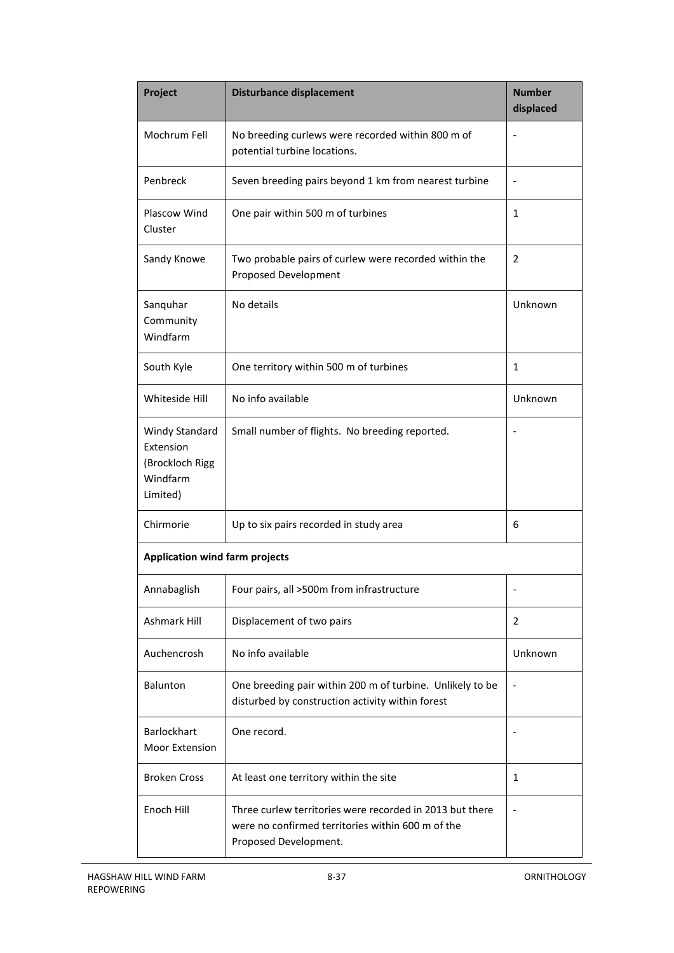| Project                                                                | <b>Disturbance displacement</b>                                                                                                        | <b>Number</b><br>displaced |
|------------------------------------------------------------------------|----------------------------------------------------------------------------------------------------------------------------------------|----------------------------|
| Mochrum Fell                                                           | No breeding curlews were recorded within 800 m of<br>potential turbine locations.                                                      |                            |
| Penbreck                                                               | Seven breeding pairs beyond 1 km from nearest turbine                                                                                  |                            |
| Plascow Wind<br>Cluster                                                | One pair within 500 m of turbines                                                                                                      | $\mathbf{1}$               |
| Sandy Knowe                                                            | Two probable pairs of curlew were recorded within the<br><b>Proposed Development</b>                                                   | $\overline{2}$             |
| Sanguhar<br>Community<br>Windfarm                                      | No details                                                                                                                             | Unknown                    |
| South Kyle                                                             | One territory within 500 m of turbines                                                                                                 | 1                          |
| Whiteside Hill                                                         | No info available                                                                                                                      | Unknown                    |
| Windy Standard<br>Extension<br>(Brockloch Rigg<br>Windfarm<br>Limited) | Small number of flights. No breeding reported.                                                                                         |                            |
| Chirmorie                                                              | Up to six pairs recorded in study area                                                                                                 | 6                          |
| <b>Application wind farm projects</b>                                  |                                                                                                                                        |                            |
| Annabaglish                                                            | Four pairs, all >500m from infrastructure                                                                                              |                            |
| Ashmark Hill                                                           | Displacement of two pairs                                                                                                              | 2                          |
| Auchencrosh                                                            | No info available                                                                                                                      | Unknown                    |
| <b>Balunton</b>                                                        | One breeding pair within 200 m of turbine. Unlikely to be<br>disturbed by construction activity within forest                          |                            |
| <b>Barlockhart</b><br>Moor Extension                                   | One record.                                                                                                                            |                            |
| <b>Broken Cross</b>                                                    | At least one territory within the site                                                                                                 | 1                          |
| Enoch Hill                                                             | Three curlew territories were recorded in 2013 but there<br>were no confirmed territories within 600 m of the<br>Proposed Development. |                            |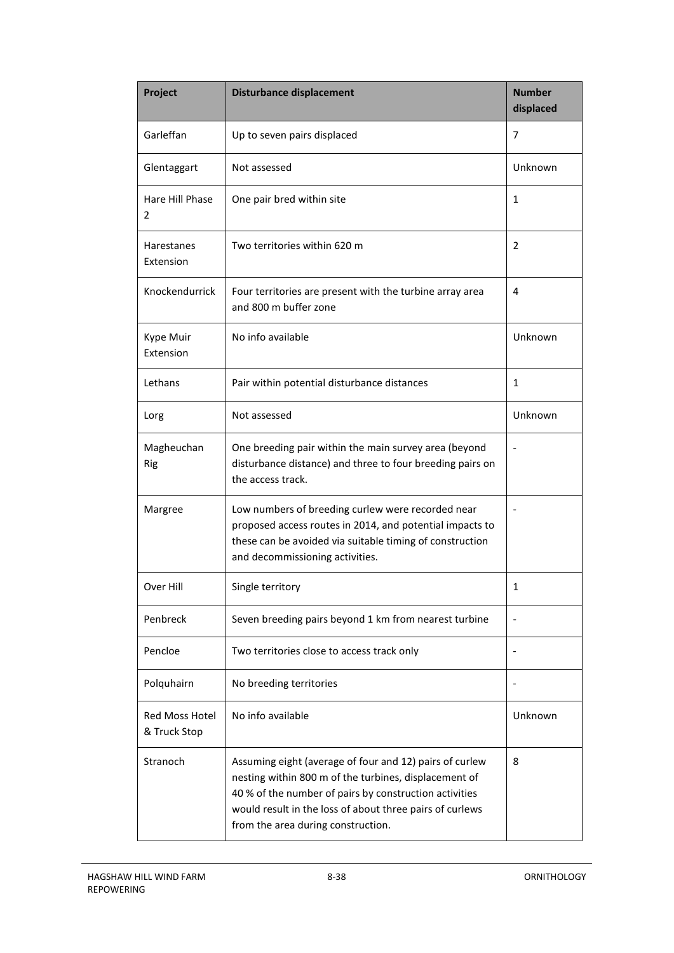| Project                        | <b>Disturbance displacement</b>                                                                                                                                                                                                                                              | <b>Number</b><br>displaced |
|--------------------------------|------------------------------------------------------------------------------------------------------------------------------------------------------------------------------------------------------------------------------------------------------------------------------|----------------------------|
| Garleffan                      | Up to seven pairs displaced                                                                                                                                                                                                                                                  | 7                          |
| Glentaggart                    | Not assessed                                                                                                                                                                                                                                                                 | Unknown                    |
| Hare Hill Phase<br>2           | One pair bred within site                                                                                                                                                                                                                                                    | 1                          |
| <b>Harestanes</b><br>Extension | Two territories within 620 m                                                                                                                                                                                                                                                 | 2                          |
| Knockendurrick                 | Four territories are present with the turbine array area<br>and 800 m buffer zone                                                                                                                                                                                            | 4                          |
| Kype Muir<br>Extension         | No info available                                                                                                                                                                                                                                                            | Unknown                    |
| Lethans                        | Pair within potential disturbance distances                                                                                                                                                                                                                                  | 1                          |
| Lorg                           | Not assessed                                                                                                                                                                                                                                                                 | Unknown                    |
| Magheuchan<br>Rig              | One breeding pair within the main survey area (beyond<br>disturbance distance) and three to four breeding pairs on<br>the access track.                                                                                                                                      |                            |
| Margree                        | Low numbers of breeding curlew were recorded near<br>proposed access routes in 2014, and potential impacts to<br>these can be avoided via suitable timing of construction<br>and decommissioning activities.                                                                 |                            |
| Over Hill                      | Single territory                                                                                                                                                                                                                                                             | 1                          |
| Penbreck                       | Seven breeding pairs beyond 1 km from nearest turbine                                                                                                                                                                                                                        |                            |
| Pencloe                        | Two territories close to access track only                                                                                                                                                                                                                                   |                            |
| Polquhairn                     | No breeding territories                                                                                                                                                                                                                                                      |                            |
| Red Moss Hotel<br>& Truck Stop | No info available                                                                                                                                                                                                                                                            | Unknown                    |
| Stranoch                       | Assuming eight (average of four and 12) pairs of curlew<br>nesting within 800 m of the turbines, displacement of<br>40 % of the number of pairs by construction activities<br>would result in the loss of about three pairs of curlews<br>from the area during construction. | 8                          |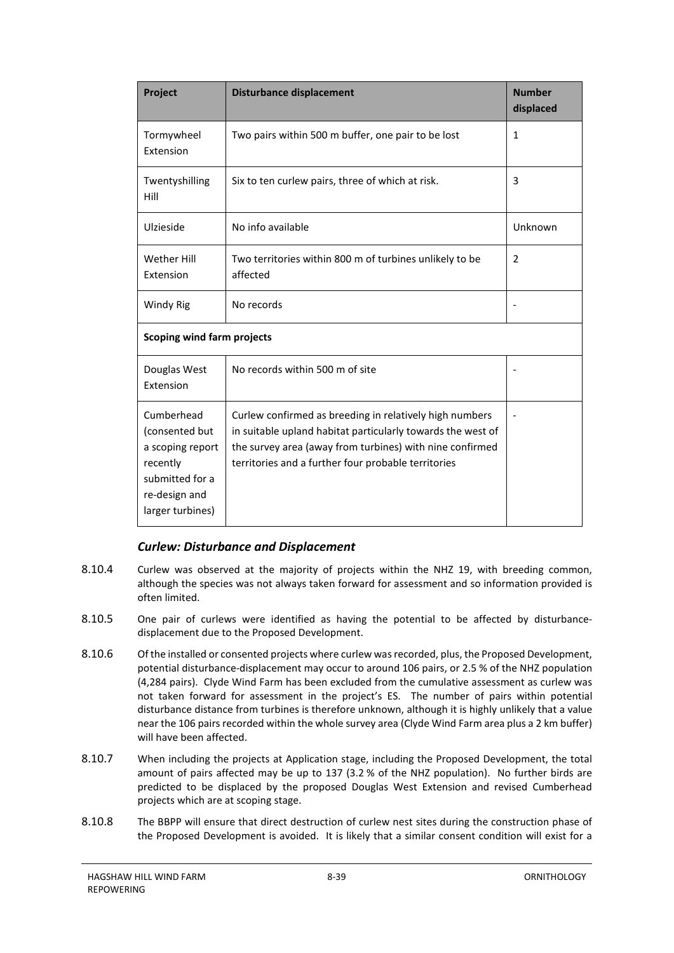| Project                                                                                                              | <b>Disturbance displacement</b>                                                                                                                                                                                                           | <b>Number</b><br>displaced |
|----------------------------------------------------------------------------------------------------------------------|-------------------------------------------------------------------------------------------------------------------------------------------------------------------------------------------------------------------------------------------|----------------------------|
| Tormywheel<br>Extension                                                                                              | Two pairs within 500 m buffer, one pair to be lost                                                                                                                                                                                        | $\mathbf{1}$               |
| Twentyshilling<br>Hill                                                                                               | Six to ten curlew pairs, three of which at risk.                                                                                                                                                                                          | 3                          |
| Ulzieside                                                                                                            | No info available                                                                                                                                                                                                                         | Unknown                    |
| <b>Wether Hill</b><br>Extension                                                                                      | Two territories within 800 m of turbines unlikely to be<br>affected                                                                                                                                                                       | $\overline{2}$             |
| Windy Rig                                                                                                            | No records                                                                                                                                                                                                                                |                            |
| <b>Scoping wind farm projects</b>                                                                                    |                                                                                                                                                                                                                                           |                            |
| Douglas West<br>Extension                                                                                            | No records within 500 m of site                                                                                                                                                                                                           |                            |
| Cumberhead<br>(consented but<br>a scoping report<br>recently<br>submitted for a<br>re-design and<br>larger turbines) | Curlew confirmed as breeding in relatively high numbers<br>in suitable upland habitat particularly towards the west of<br>the survey area (away from turbines) with nine confirmed<br>territories and a further four probable territories |                            |

# *Curlew: Disturbance and Displacement*

- 8.10.4 Curlew was observed at the majority of projects within the NHZ 19, with breeding common, although the species was not always taken forward for assessment and so information provided is often limited.
- 8.10.5 One pair of curlews were identified as having the potential to be affected by disturbancedisplacement due to the Proposed Development.
- 8.10.6 Of the installed or consented projects where curlew was recorded, plus, the Proposed Development, potential disturbance-displacement may occur to around 106 pairs, or 2.5 % of the NHZ population (4,284 pairs). Clyde Wind Farm has been excluded from the cumulative assessment as curlew was not taken forward for assessment in the project's ES. The number of pairs within potential disturbance distance from turbines is therefore unknown, although it is highly unlikely that a value near the 106 pairs recorded within the whole survey area (Clyde Wind Farm area plus a 2 km buffer) will have been affected.
- 8.10.7 When including the projects at Application stage, including the Proposed Development, the total amount of pairs affected may be up to 137 (3.2 % of the NHZ population). No further birds are predicted to be displaced by the proposed Douglas West Extension and revised Cumberhead projects which are at scoping stage.
- 8.10.8 The BBPP will ensure that direct destruction of curlew nest sites during the construction phase of the Proposed Development is avoided. It is likely that a similar consent condition will exist for a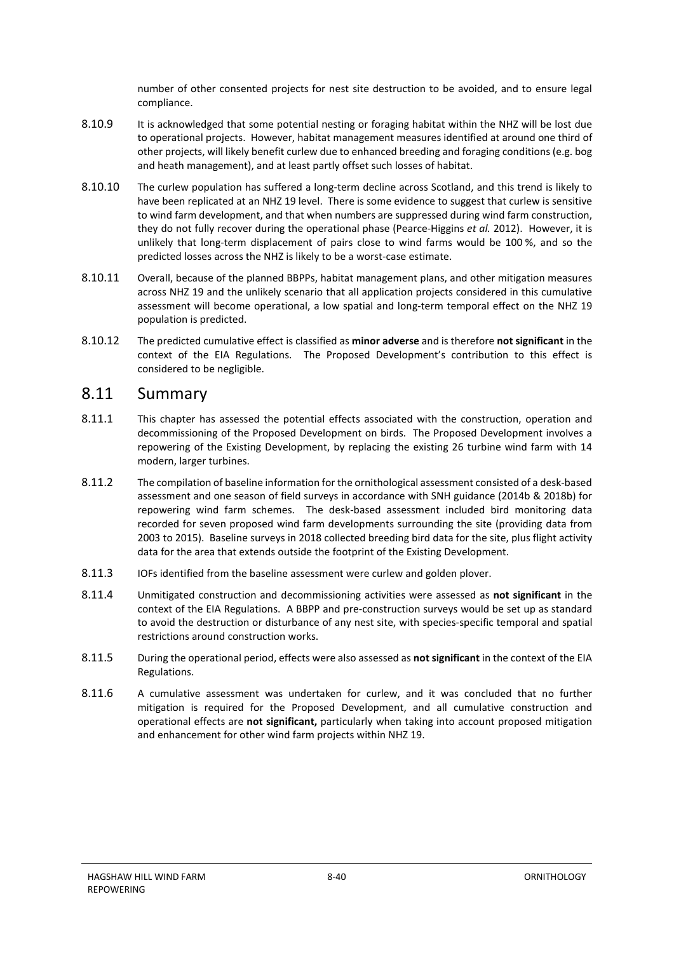number of other consented projects for nest site destruction to be avoided, and to ensure legal compliance.

- 8.10.9 It is acknowledged that some potential nesting or foraging habitat within the NHZ will be lost due to operational projects. However, habitat management measures identified at around one third of other projects, will likely benefit curlew due to enhanced breeding and foraging conditions (e.g. bog and heath management), and at least partly offset such losses of habitat.
- 8.10.10 The curlew population has suffered a long-term decline across Scotland, and this trend is likely to have been replicated at an NHZ 19 level. There is some evidence to suggest that curlew is sensitive to wind farm development, and that when numbers are suppressed during wind farm construction, they do not fully recover during the operational phase (Pearce-Higgins *et al.* 2012). However, it is unlikely that long-term displacement of pairs close to wind farms would be 100 %, and so the predicted losses across the NHZ is likely to be a worst-case estimate.
- 8.10.11 Overall, because of the planned BBPPs, habitat management plans, and other mitigation measures across NHZ 19 and the unlikely scenario that all application projects considered in this cumulative assessment will become operational, a low spatial and long-term temporal effect on the NHZ 19 population is predicted.
- 8.10.12 The predicted cumulative effect is classified as **minor adverse** and is therefore **not significant** in the context of the EIA Regulations. The Proposed Development's contribution to this effect is considered to be negligible.

# <span id="page-41-0"></span>8.11 Summary

- 8.11.1 This chapter has assessed the potential effects associated with the construction, operation and decommissioning of the Proposed Development on birds. The Proposed Development involves a repowering of the Existing Development, by replacing the existing 26 turbine wind farm with 14 modern, larger turbines.
- 8.11.2 The compilation of baseline information for the ornithological assessment consisted of a desk-based assessment and one season of field surveys in accordance with SNH guidance (2014b & 2018b) for repowering wind farm schemes. The desk-based assessment included bird monitoring data recorded for seven proposed wind farm developments surrounding the site (providing data from 2003 to 2015). Baseline surveys in 2018 collected breeding bird data for the site, plus flight activity data for the area that extends outside the footprint of the Existing Development.
- 8.11.3 IOFs identified from the baseline assessment were curlew and golden plover.
- 8.11.4 Unmitigated construction and decommissioning activities were assessed as **not significant** in the context of the EIA Regulations. A BBPP and pre-construction surveys would be set up as standard to avoid the destruction or disturbance of any nest site, with species-specific temporal and spatial restrictions around construction works.
- 8.11.5 During the operational period, effects were also assessed as **not significant** in the context of the EIA Regulations.
- 8.11.6 A cumulative assessment was undertaken for curlew, and it was concluded that no further mitigation is required for the Proposed Development, and all cumulative construction and operational effects are **not significant,** particularly when taking into account proposed mitigation and enhancement for other wind farm projects within NHZ 19.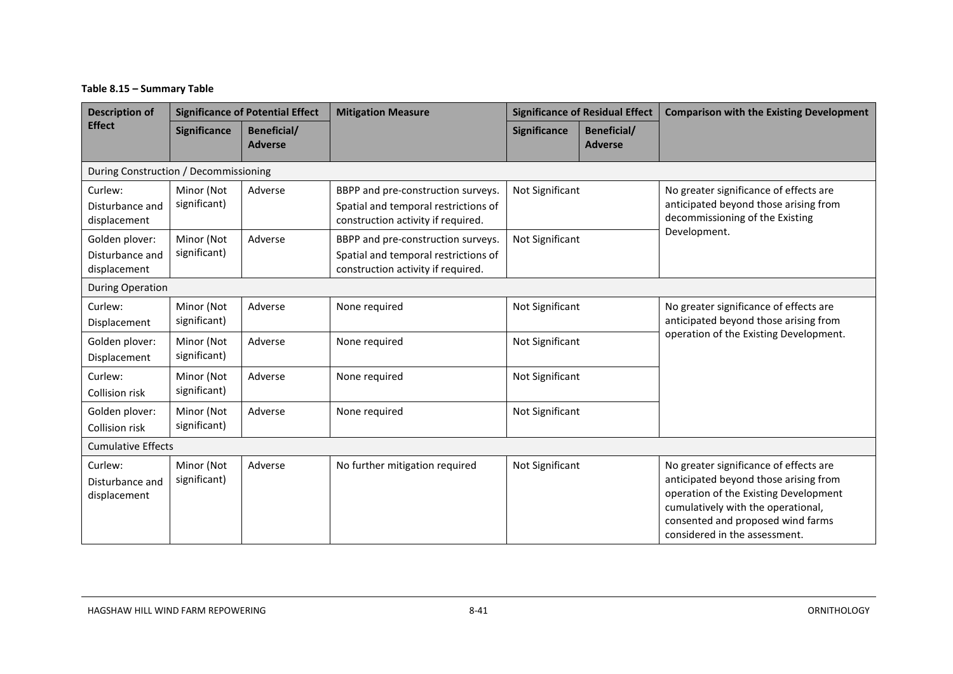#### **Table 8.15 – Summary Table**

| <b>Description of</b>                             |                            | <b>Significance of Potential Effect</b> | <b>Mitigation Measure</b>                                                                                        | <b>Significance of Residual Effect</b> |                                      | <b>Comparison with the Existing Development</b>                                                                                                                                                                                      |  |              |  |  |
|---------------------------------------------------|----------------------------|-----------------------------------------|------------------------------------------------------------------------------------------------------------------|----------------------------------------|--------------------------------------|--------------------------------------------------------------------------------------------------------------------------------------------------------------------------------------------------------------------------------------|--|--------------|--|--|
| <b>Effect</b>                                     | <b>Significance</b>        | <b>Beneficial/</b><br><b>Adverse</b>    |                                                                                                                  | Significance                           | <b>Beneficial/</b><br><b>Adverse</b> |                                                                                                                                                                                                                                      |  |              |  |  |
| During Construction / Decommissioning             |                            |                                         |                                                                                                                  |                                        |                                      |                                                                                                                                                                                                                                      |  |              |  |  |
| Curlew:<br>Disturbance and<br>displacement        | Minor (Not<br>significant) | Adverse                                 | BBPP and pre-construction surveys.<br>Spatial and temporal restrictions of<br>construction activity if required. | Not Significant                        |                                      | No greater significance of effects are<br>anticipated beyond those arising from<br>decommissioning of the Existing                                                                                                                   |  |              |  |  |
| Golden plover:<br>Disturbance and<br>displacement | Minor (Not<br>significant) | Adverse                                 | BBPP and pre-construction surveys.<br>Spatial and temporal restrictions of<br>construction activity if required. | Not Significant                        |                                      |                                                                                                                                                                                                                                      |  | Development. |  |  |
| <b>During Operation</b>                           |                            |                                         |                                                                                                                  |                                        |                                      |                                                                                                                                                                                                                                      |  |              |  |  |
| Curlew:<br>Displacement                           | Minor (Not<br>significant) | Adverse                                 | None required                                                                                                    | Not Significant                        |                                      | No greater significance of effects are<br>anticipated beyond those arising from                                                                                                                                                      |  |              |  |  |
| Golden plover:<br>Displacement                    | Minor (Not<br>significant) | Adverse                                 | None required                                                                                                    | Not Significant                        |                                      | operation of the Existing Development.                                                                                                                                                                                               |  |              |  |  |
| Curlew:<br>Collision risk                         | Minor (Not<br>significant) | Adverse                                 | None required                                                                                                    | Not Significant                        |                                      |                                                                                                                                                                                                                                      |  |              |  |  |
| Golden plover:<br>Collision risk                  | Minor (Not<br>significant) | Adverse                                 | None required                                                                                                    | Not Significant                        |                                      |                                                                                                                                                                                                                                      |  |              |  |  |
| <b>Cumulative Effects</b>                         |                            |                                         |                                                                                                                  |                                        |                                      |                                                                                                                                                                                                                                      |  |              |  |  |
| Curlew:<br>Disturbance and<br>displacement        | Minor (Not<br>significant) | Adverse                                 | No further mitigation required                                                                                   | Not Significant                        |                                      | No greater significance of effects are<br>anticipated beyond those arising from<br>operation of the Existing Development<br>cumulatively with the operational,<br>consented and proposed wind farms<br>considered in the assessment. |  |              |  |  |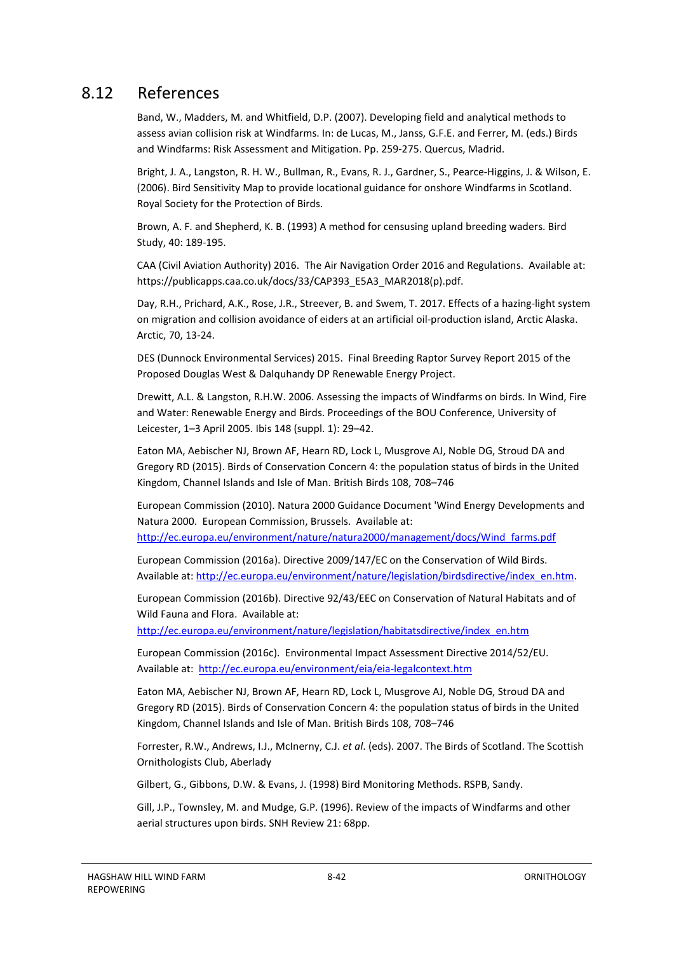# <span id="page-43-0"></span>8.12 References

Band, W., Madders, M. and Whitfield, D.P. (2007). Developing field and analytical methods to assess avian collision risk at Windfarms. In: de Lucas, M., Janss, G.F.E. and Ferrer, M. (eds.) Birds and Windfarms: Risk Assessment and Mitigation. Pp. 259-275. Quercus, Madrid.

Bright, J. A., Langston, R. H. W., Bullman, R., Evans, R. J., Gardner, S., Pearce-Higgins, J. & Wilson, E. (2006). Bird Sensitivity Map to provide locational guidance for onshore Windfarms in Scotland. Royal Society for the Protection of Birds.

Brown, A. F. and Shepherd, K. B. (1993) A method for censusing upland breeding waders. Bird Study, 40: 189-195.

CAA (Civil Aviation Authority) 2016. The Air Navigation Order 2016 and Regulations. Available at: [https://publicapps.caa.co.uk/docs/33/CAP393\\_E5A3\\_MAR2018\(p\).pdf.](https://publicapps.caa.co.uk/docs/33/CAP393_E5A3_MAR2018(p).pdf)

Day, R.H., Prichard, A.K., Rose, J.R., Streever, B. and Swem, T. 2017. Effects of a hazing-light system on migration and collision avoidance of eiders at an artificial oil-production island, Arctic Alaska. Arctic, 70, 13-24.

DES (Dunnock Environmental Services) 2015. Final Breeding Raptor Survey Report 2015 of the Proposed Douglas West & Dalquhandy DP Renewable Energy Project.

Drewitt, A.L. & Langston, R.H.W. 2006. Assessing the impacts of Windfarms on birds. In Wind, Fire and Water: Renewable Energy and Birds. Proceedings of the BOU Conference, University of Leicester, 1–3 April 2005. Ibis 148 (suppl. 1): 29–42.

Eaton MA, Aebischer NJ, Brown AF, Hearn RD, Lock L, Musgrove AJ, Noble DG, Stroud DA and Gregory RD (2015). Birds of Conservation Concern 4: the population status of birds in the United Kingdom, Channel Islands and Isle of Man. British Birds 108, 708–746

European Commission (2010). Natura 2000 Guidance Document 'Wind Energy Developments and Natura 2000. European Commission, Brussels. Available at: [http://ec.europa.eu/environment/nature/natura2000/management/docs/Wind\\_farms.pdf](http://ec.europa.eu/environment/nature/natura2000/management/docs/Wind_farms.pdf)

European Commission (2016a). Directive 2009/147/EC on the Conservation of Wild Birds. Available at[: http://ec.europa.eu/environment/nature/legislation/birdsdirective/index\\_en.htm.](http://ec.europa.eu/environment/nature/legislation/birdsdirective/index_en.htm)

European Commission (2016b). Directive 92/43/EEC on Conservation of Natural Habitats and of Wild Fauna and Flora. Available at:

[http://ec.europa.eu/environment/nature/legislation/habitatsdirective/index\\_en.htm](http://ec.europa.eu/environment/nature/legislation/habitatsdirective/index_en.htm)

European Commission (2016c). Environmental Impact Assessment Directive 2014/52/EU. Available at:<http://ec.europa.eu/environment/eia/eia-legalcontext.htm>

Eaton MA, Aebischer NJ, Brown AF, Hearn RD, Lock L, Musgrove AJ, Noble DG, Stroud DA and Gregory RD (2015). Birds of Conservation Concern 4: the population status of birds in the United Kingdom, Channel Islands and Isle of Man. British Birds 108, 708–746

Forrester, R.W., Andrews, I.J., McInerny, C.J. *et al*. (eds). 2007. The Birds of Scotland. The Scottish Ornithologists Club, Aberlady

Gilbert, G., Gibbons, D.W. & Evans, J. (1998) Bird Monitoring Methods. RSPB, Sandy.

Gill, J.P., Townsley, M. and Mudge, G.P. (1996). Review of the impacts of Windfarms and other aerial structures upon birds. SNH Review 21: 68pp.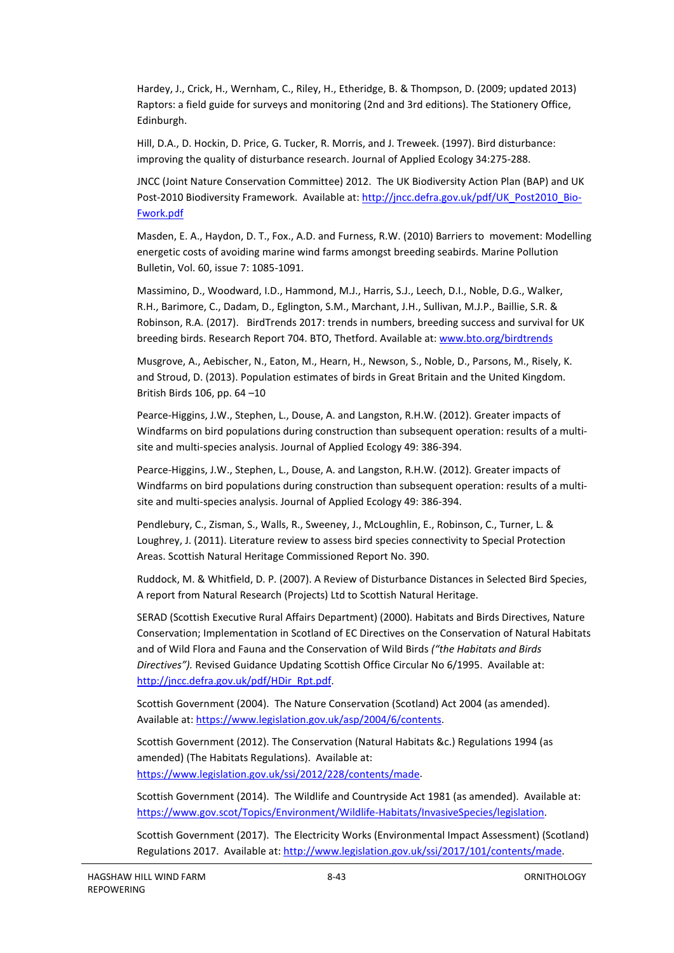Hardey, J., Crick, H., Wernham, C., Riley, H., Etheridge, B. & Thompson, D. (2009; updated 2013) Raptors: a field guide for surveys and monitoring (2nd and 3rd editions). The Stationery Office, Edinburgh.

Hill, D.A., D. Hockin, D. Price, G. Tucker, R. Morris, and J. Treweek. (1997). Bird disturbance: improving the quality of disturbance research. Journal of Applied Ecology 34:275-288.

JNCC (Joint Nature Conservation Committee) 2012. The UK Biodiversity Action Plan (BAP) and UK Post-2010 Biodiversity Framework. Available at: [http://jncc.defra.gov.uk/pdf/UK\\_Post2010\\_Bio-](http://jncc.defra.gov.uk/pdf/UK_Post2010_Bio-Fwork.pdf)[Fwork.pdf](http://jncc.defra.gov.uk/pdf/UK_Post2010_Bio-Fwork.pdf)

Masden, E. A., Haydon, D. T., Fox., A.D. and Furness, R.W. (2010) Barriers to movement: Modelling energetic costs of avoiding marine wind farms amongst breeding seabirds. Marine Pollution Bulletin, Vol. 60, issue 7: 1085-1091.

Massimino, D., Woodward, I.D., Hammond, M.J., Harris, S.J., Leech, D.I., Noble, D.G., Walker, R.H., Barimore, C., Dadam, D., Eglington, S.M., Marchant, J.H., Sullivan, M.J.P., Baillie, S.R. & Robinson, R.A. (2017). BirdTrends 2017: trends in numbers, breeding success and survival for UK breeding birds. Research Report 704. BTO, Thetford. Available at: [www.bto.org/birdtrends](http://www.bto.org/birdtrends)

Musgrove, A., Aebischer, N., Eaton, M., Hearn, H., Newson, S., Noble, D., Parsons, M., Risely, K. and Stroud, D. (2013). Population estimates of birds in Great Britain and the United Kingdom. British Birds 106, pp. 64 –10

Pearce-Higgins, J.W., Stephen, L., Douse, A. and Langston, R.H.W. (2012). Greater impacts of Windfarms on bird populations during construction than subsequent operation: results of a multisite and multi-species analysis. Journal of Applied Ecology 49: 386-394.

Pearce-Higgins, J.W., Stephen, L., Douse, A. and Langston, R.H.W. (2012). Greater impacts of Windfarms on bird populations during construction than subsequent operation: results of a multisite and multi-species analysis. Journal of Applied Ecology 49: 386-394.

Pendlebury, C., Zisman, S., Walls, R., Sweeney, J., McLoughlin, E., Robinson, C., Turner, L. & Loughrey, J. (2011). Literature review to assess bird species connectivity to Special Protection Areas. Scottish Natural Heritage Commissioned Report No. 390.

Ruddock, M. & Whitfield, D. P. (2007). A Review of Disturbance Distances in Selected Bird Species, A report from Natural Research (Projects) Ltd to Scottish Natural Heritage.

SERAD (Scottish Executive Rural Affairs Department) (2000). Habitats and Birds Directives, Nature Conservation; Implementation in Scotland of EC Directives on the Conservation of Natural Habitats and of Wild Flora and Fauna and the Conservation of Wild Birds *("the Habitats and Birds Directives").* Revised Guidance Updating Scottish Office Circular No 6/1995. Available at: [http://jncc.defra.gov.uk/pdf/HDir\\_Rpt.pdf.](http://jncc.defra.gov.uk/pdf/HDir_Rpt.pdf)

Scottish Government (2004). The Nature Conservation (Scotland) Act 2004 (as amended). Available at[: https://www.legislation.gov.uk/asp/2004/6/contents.](https://www.legislation.gov.uk/asp/2004/6/contents)

Scottish Government (2012). The Conservation (Natural Habitats &c.) Regulations 1994 (as amended) (The Habitats Regulations). Available at: [https://www.legislation.gov.uk/ssi/2012/228/contents/made.](https://www.legislation.gov.uk/ssi/2012/228/contents/made)

Scottish Government (2014). The Wildlife and Countryside Act 1981 (as amended). Available at: [https://www.gov.scot/Topics/Environment/Wildlife-Habitats/InvasiveSpecies/legislation.](https://www.gov.scot/Topics/Environment/Wildlife-Habitats/InvasiveSpecies/legislation)

Scottish Government (2017). The Electricity Works (Environmental Impact Assessment) (Scotland) Regulations 2017. Available at[: http://www.legislation.gov.uk/ssi/2017/101/contents/made.](http://www.legislation.gov.uk/ssi/2017/101/contents/made)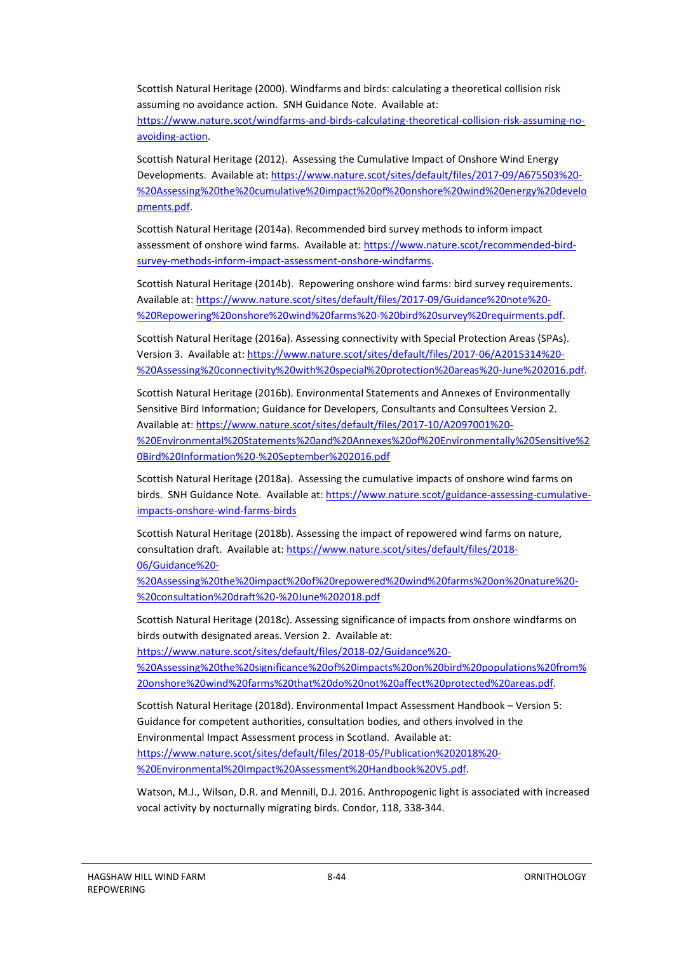Scottish Natural Heritage (2000). Windfarms and birds: calculating a theoretical collision risk assuming no avoidance action. SNH Guidance Note. Available at: [https://www.nature.scot/windfarms-and-birds-calculating-theoretical-collision-risk-assuming-no](https://www.nature.scot/windfarms-and-birds-calculating-theoretical-collision-risk-assuming-no-avoiding-action)[avoiding-action.](https://www.nature.scot/windfarms-and-birds-calculating-theoretical-collision-risk-assuming-no-avoiding-action)

Scottish Natural Heritage (2012). Assessing the Cumulative Impact of Onshore Wind Energy Developments. Available at[: https://www.nature.scot/sites/default/files/2017-09/A675503%20-](https://www.nature.scot/sites/default/files/2017-09/A675503%20-%20Assessing%20the%20cumulative%20impact%20of%20onshore%20wind%20energy%20developments.pdf) [%20Assessing%20the%20cumulative%20impact%20of%20onshore%20wind%20energy%20develo](https://www.nature.scot/sites/default/files/2017-09/A675503%20-%20Assessing%20the%20cumulative%20impact%20of%20onshore%20wind%20energy%20developments.pdf) [pments.pdf.](https://www.nature.scot/sites/default/files/2017-09/A675503%20-%20Assessing%20the%20cumulative%20impact%20of%20onshore%20wind%20energy%20developments.pdf)

Scottish Natural Heritage (2014a). Recommended bird survey methods to inform impact assessment of onshore wind farms. Available at[: https://www.nature.scot/recommended-bird](https://www.nature.scot/recommended-bird-survey-methods-inform-impact-assessment-onshore-windfarms)[survey-methods-inform-impact-assessment-onshore-windfarms.](https://www.nature.scot/recommended-bird-survey-methods-inform-impact-assessment-onshore-windfarms)

Scottish Natural Heritage (2014b). Repowering onshore wind farms: bird survey requirements. Available at[: https://www.nature.scot/sites/default/files/2017-09/Guidance%20note%20-](https://www.nature.scot/sites/default/files/2017-09/Guidance%20note%20-%20Repowering%20onshore%20wind%20farms%20-%20bird%20survey%20requirments.pdf) [%20Repowering%20onshore%20wind%20farms%20-%20bird%20survey%20requirments.pdf.](https://www.nature.scot/sites/default/files/2017-09/Guidance%20note%20-%20Repowering%20onshore%20wind%20farms%20-%20bird%20survey%20requirments.pdf)

Scottish Natural Heritage (2016a). Assessing connectivity with Special Protection Areas (SPAs). Version 3. Available at[: https://www.nature.scot/sites/default/files/2017-06/A2015314%20-](https://www.nature.scot/sites/default/files/2017-06/A2015314%20-%20Assessing%20connectivity%20with%20special%20protection%20areas%20-June%202016.pdf) [%20Assessing%20connectivity%20with%20special%20protection%20areas%20-June%202016.pdf.](https://www.nature.scot/sites/default/files/2017-06/A2015314%20-%20Assessing%20connectivity%20with%20special%20protection%20areas%20-June%202016.pdf)

Scottish Natural Heritage (2016b). Environmental Statements and Annexes of Environmentally Sensitive Bird Information; Guidance for Developers, Consultants and Consultees Version 2. Available at[: https://www.nature.scot/sites/default/files/2017-10/A2097001%20-](https://www.nature.scot/sites/default/files/2017-10/A2097001%20-%20Environmental%20Statements%20and%20Annexes%20of%20Environmentally%20Sensitive%20Bird%20Information%20-%20September%202016.pdf) [%20Environmental%20Statements%20and%20Annexes%20of%20Environmentally%20Sensitive%2](https://www.nature.scot/sites/default/files/2017-10/A2097001%20-%20Environmental%20Statements%20and%20Annexes%20of%20Environmentally%20Sensitive%20Bird%20Information%20-%20September%202016.pdf) [0Bird%20Information%20-%20September%202016.pdf](https://www.nature.scot/sites/default/files/2017-10/A2097001%20-%20Environmental%20Statements%20and%20Annexes%20of%20Environmentally%20Sensitive%20Bird%20Information%20-%20September%202016.pdf)

Scottish Natural Heritage (2018a). Assessing the cumulative impacts of onshore wind farms on birds. SNH Guidance Note. Available at: [https://www.nature.scot/guidance-assessing-cumulative](https://www.nature.scot/guidance-assessing-cumulative-impacts-onshore-wind-farms-birds)[impacts-onshore-wind-farms-birds](https://www.nature.scot/guidance-assessing-cumulative-impacts-onshore-wind-farms-birds)

Scottish Natural Heritage (2018b). Assessing the impact of repowered wind farms on nature, consultation draft. Available at: [https://www.nature.scot/sites/default/files/2018-](https://www.nature.scot/sites/default/files/2018-06/Guidance%20-%20Assessing%20the%20impact%20of%20repowered%20wind%20farms%20on%20nature%20-%20consultation%20draft%20-%20June%202018.pdf) [06/Guidance%20-](https://www.nature.scot/sites/default/files/2018-06/Guidance%20-%20Assessing%20the%20impact%20of%20repowered%20wind%20farms%20on%20nature%20-%20consultation%20draft%20-%20June%202018.pdf)

[%20Assessing%20the%20impact%20of%20repowered%20wind%20farms%20on%20nature%20-](https://www.nature.scot/sites/default/files/2018-06/Guidance%20-%20Assessing%20the%20impact%20of%20repowered%20wind%20farms%20on%20nature%20-%20consultation%20draft%20-%20June%202018.pdf) [%20consultation%20draft%20-%20June%202018.pdf](https://www.nature.scot/sites/default/files/2018-06/Guidance%20-%20Assessing%20the%20impact%20of%20repowered%20wind%20farms%20on%20nature%20-%20consultation%20draft%20-%20June%202018.pdf)

Scottish Natural Heritage (2018c). Assessing significance of impacts from onshore windfarms on birds outwith designated areas. Version 2. Available at:

[https://www.nature.scot/sites/default/files/2018-02/Guidance%20-](https://www.nature.scot/sites/default/files/2018-02/Guidance%20-%20Assessing%20the%20significance%20of%20impacts%20on%20bird%20populations%20from%20onshore%20wind%20farms%20that%20do%20not%20affect%20protected%20areas.pdf)

[%20Assessing%20the%20significance%20of%20impacts%20on%20bird%20populations%20from%](https://www.nature.scot/sites/default/files/2018-02/Guidance%20-%20Assessing%20the%20significance%20of%20impacts%20on%20bird%20populations%20from%20onshore%20wind%20farms%20that%20do%20not%20affect%20protected%20areas.pdf) [20onshore%20wind%20farms%20that%20do%20not%20affect%20protected%20areas.pdf.](https://www.nature.scot/sites/default/files/2018-02/Guidance%20-%20Assessing%20the%20significance%20of%20impacts%20on%20bird%20populations%20from%20onshore%20wind%20farms%20that%20do%20not%20affect%20protected%20areas.pdf)

Scottish Natural Heritage (2018d). Environmental Impact Assessment Handbook – Version 5: Guidance for competent authorities, consultation bodies, and others involved in the Environmental Impact Assessment process in Scotland. Available at: [https://www.nature.scot/sites/default/files/2018-05/Publication%202018%20-](https://www.nature.scot/sites/default/files/2018-05/Publication%202018%20-%20Environmental%20Impact%20Assessment%20Handbook%20V5.pdf) [%20Environmental%20Impact%20Assessment%20Handbook%20V5.pdf.](https://www.nature.scot/sites/default/files/2018-05/Publication%202018%20-%20Environmental%20Impact%20Assessment%20Handbook%20V5.pdf)

Watson, M.J., Wilson, D.R. and Mennill, D.J. 2016. Anthropogenic light is associated with increased vocal activity by nocturnally migrating birds. Condor, 118, 338-344.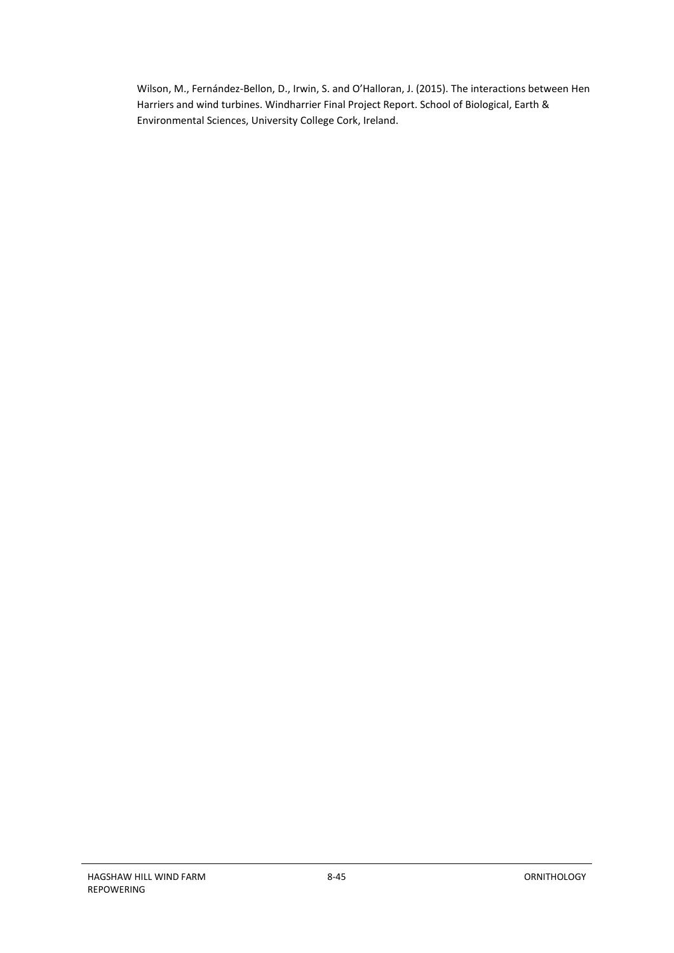Wilson, M., Fernández-Bellon, D., Irwin, S. and O'Halloran, J. (2015). The interactions between Hen Harriers and wind turbines. Windharrier Final Project Report. School of Biological, Earth & Environmental Sciences, University College Cork, Ireland.